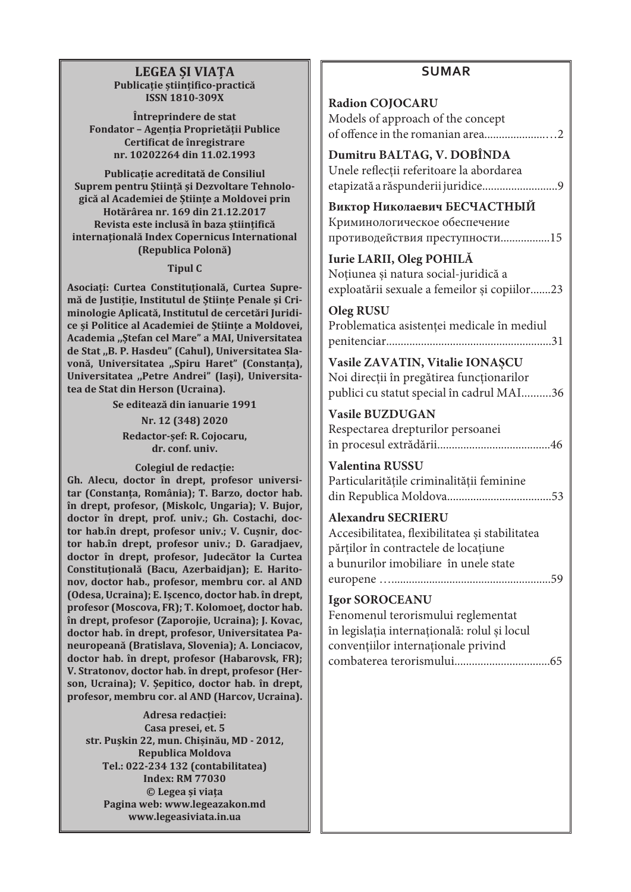# **LEGEA ŞI VIAŢA Publicaţie ştiinţifico-practică ISSN 1810-309X**

**Întreprindere de stat Fondator – Agenția Proprietății Publice Certificat de înregistrare nr. 10202264 din 11.02.1993**

**Publicaţie acreditată de Consiliul Suprem pentru Ştiinţă şi Dezvoltare Tehnologică al Academiei de Ştiinţe a Moldovei prin Hotărârea nr. 169 din 21.12.2017 Revista este inclusă în baza științifică internațională Index Copernicus International (Republica Polonă)**

### **Tipul C**

Asociati: Curtea Constitutională, Curtea Supremă de Justitie, Institutul de Stiinte Penale și Cri**minologie Aplicată, Institutul de cercetări Juridice și Politice al Academiei de Ştiinţe a Moldovei, Academia ,,Ştefan cel Mare" a MAI, Universitatea de Stat ,,B. P. Hasdeu" (Cahul), Universitatea Slavonă, Universitatea ,,Spiru Haret" (Constanţa), Universitatea ,,Petre Andrei" (Iaşi), Universitatea de Stat din Herson (Ucraina).**

**Se editează din ianuarie 1991**

**Nr. 12 (348) 2020 Redactor-şef: R. Cojocaru, dr. conf. univ.**

**Colegiul de redacţie:**

**Gh. Alecu, doctor în drept, profesor universitar (Constanța, România); T. Barzo, doctor hab. în drept, profesor, (Miskolc, Ungaria); V. Bujor, doctor în drept, prof. univ.; Gh. Costachi, doctor hab.în drept, profesor univ.; V. Cușnir, doctor hab.în drept, profesor univ.; D. Garadjaev, doctor în drept, profesor, Judecător la Curtea Constituțională (Bacu, Azerbaidjan); E. Haritonov, doctor hab., profesor, membru cor. al AND (Odesa, Ucraina); E. Ișcenco, doctor hab. în drept, profesor (Moscova, FR); T. Kolomoeț, doctor hab. în drept, profesor (Zaporojie, Ucraina); J. Kovac, doctor hab. în drept, profesor, Universitatea Paneuropeană (Bratislava, Slovenia); A. Lonciacov, doctor hab. în drept, profesor (Habarovsk, FR); V. Stratonov, doctor hab. în drept, profesor (Herson, Ucraina); V. Șepitico, doctor hab. în drept, profesor, membru cor. al AND (Harcov, Ucraina).**

**Adresa redacţiei: Casa presei, et. 5 str. Puşkin 22, mun. Chişinău, MD - 2012, Republica Moldova Tel.: 022-234 132 (contabilitatea) Index: RM 77030 © Legea şi viaţa Pagina web: www.legeazakon.md www.legeasiviata.in.ua**

# **SUMAR**

| <b>Radion COJOCARU</b><br>Models of approach of the concept                                                                                                   |
|---------------------------------------------------------------------------------------------------------------------------------------------------------------|
| Dumitru BALTAG, V. DOBÎNDA<br>Unele reflecții referitoare la abordarea                                                                                        |
| Виктор Николаевич БЕСЧАСТНЫЙ<br>Криминологическое обеспечение<br>противодействия преступности15                                                               |
| Iurie LARII, Oleg POHILĂ<br>Noțiunea și natura social-juridică a<br>exploatării sexuale a femeilor și copiilor23                                              |
| <b>Oleg RUSU</b><br>Problematica asistenței medicale în mediul                                                                                                |
| Vasile ZAVATIN, Vitalie IONAȘCU<br>Noi direcții în pregătirea funcționarilor<br>publici cu statut special în cadrul MAI36                                     |
| <b>Vasile BUZDUGAN</b><br>Respectarea drepturilor persoanei                                                                                                   |
| Valentina RUSSU<br>Particularitățile criminalității feminine                                                                                                  |
| <b>Alexandru SECRIERU</b><br>Accesibilitatea, flexibilitatea și stabilitatea<br>părților în contractele de locațiune<br>a bunurilor imobiliare în unele state |
| <b>Igor SOROCEANU</b><br>Fenomenul terorismului reglementat<br>în legislația internațională: rolul și locul<br>convențiilor internaționale privind            |
|                                                                                                                                                               |
|                                                                                                                                                               |
|                                                                                                                                                               |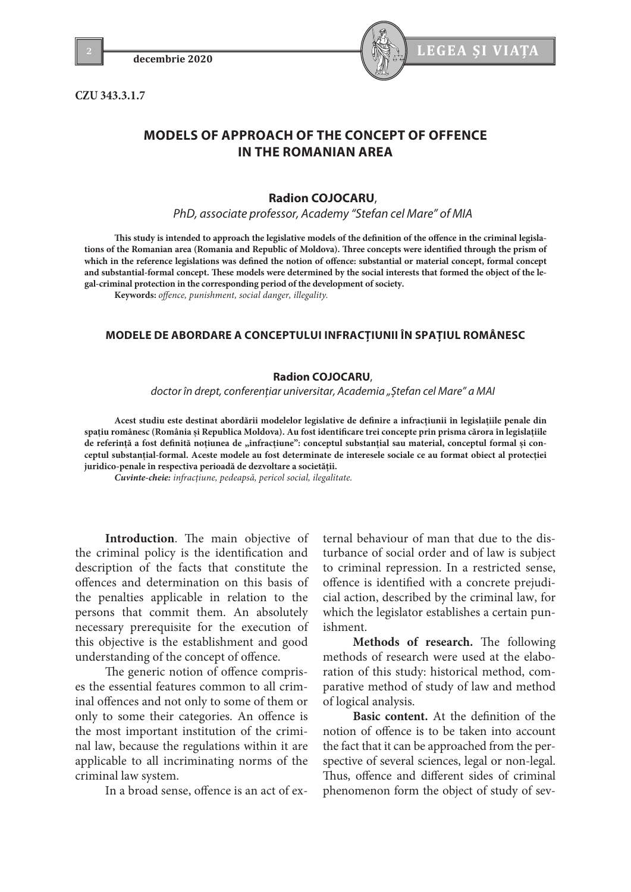**CZU 343.3.1.7**



# **MODELS OF APPROACH OF THE CONCEPT OF OFFENCE IN THE ROMANIAN AREA**

# **Radion COJOCARU**,

*PhD, associate professor, Academy "Stefan cel Mare" of MIA* 

**This study is intended to approach the legislative models of the definition of the offence in the criminal legislations of the Romanian area (Romania and Republic of Moldova). Three concepts were identified through the prism of which in the reference legislations was defined the notion of offence: substantial or material concept, formal concept and substantial-formal concept. These models were determined by the social interests that formed the object of the legal-criminal protection in the corresponding period of the development of society.**

**Keywords:** *offence, punishment, social danger, illegality.*

# **MODELE DE ABORDARE A CONCEPTULUI INFRACŢIUNII ÎN SPAŢIUL ROMÂNESC**

#### **Radion COJOCARU**,

*doctor în drept, conferențiar universitar, Academia "Ștefan cel Mare" a MAI*

**Acest studiu este destinat abordării modelelor legislative de definire a infracţiunii în legislaţiile penale din spaţiu românesc (România şi Republica Moldova). Au fost identificare trei concepte prin prisma cărora în legislaţiile**  de referință a fost definită noțiunea de "infracțiune": conceptul substanțial sau material, conceptul formal și con**ceptul substanţial-formal. Aceste modele au fost determinate de interesele sociale ce au format obiect al protecţiei juridico-penale în respectiva perioadă de dezvoltare a societăţii.**

*Cuvinte-cheie: infracţiune, pedeapsă, pericol social, ilegalitate.*

**Introduction**. The main objective of the criminal policy is the identification and description of the facts that constitute the offences and determination on this basis of the penalties applicable in relation to the persons that commit them. An absolutely necessary prerequisite for the execution of this objective is the establishment and good understanding of the concept of offence.

The generic notion of offence comprises the essential features common to all criminal offences and not only to some of them or only to some their categories. An offence is the most important institution of the criminal law, because the regulations within it are applicable to all incriminating norms of the criminal law system.

In a broad sense, offence is an act of ex-

ternal behaviour of man that due to the disturbance of social order and of law is subject to criminal repression. In a restricted sense, offence is identified with a concrete prejudicial action, described by the criminal law, for which the legislator establishes a certain punishment.

**Methods of research.** The following methods of research were used at the elaboration of this study: historical method, comparative method of study of law and method of logical analysis.

**Basic content.** At the definition of the notion of offence is to be taken into account the fact that it can be approached from the perspective of several sciences, legal or non-legal. Thus, offence and different sides of criminal phenomenon form the object of study of sev-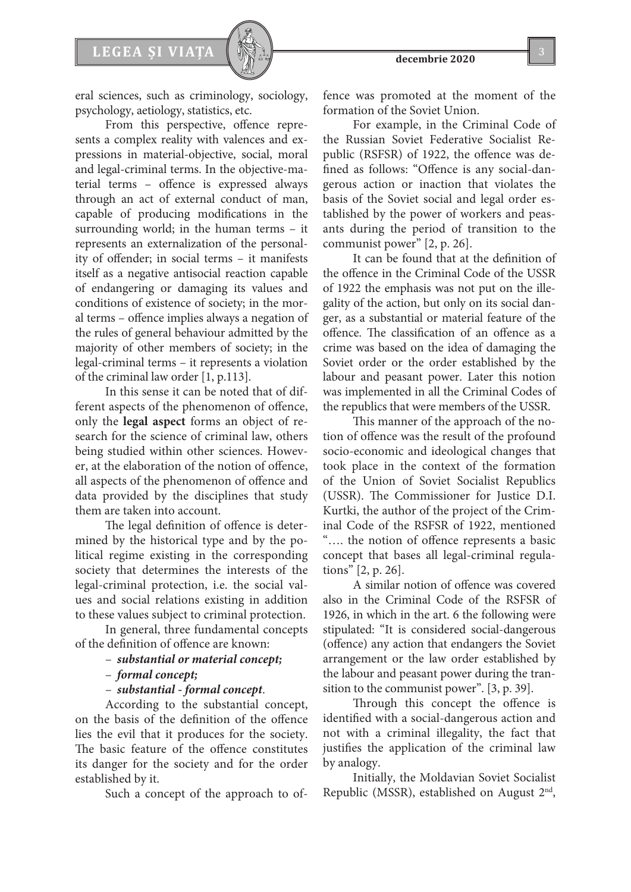

eral sciences, such as criminology, sociology, psychology, aetiology, statistics, etc.

From this perspective, offence represents a complex reality with valences and expressions in material-objective, social, moral and legal-criminal terms. In the objective-material terms – offence is expressed always through an act of external conduct of man, capable of producing modifications in the surrounding world; in the human terms – it represents an externalization of the personality of offender; in social terms – it manifests itself as a negative antisocial reaction capable of endangering or damaging its values and conditions of existence of society; in the moral terms – offence implies always a negation of the rules of general behaviour admitted by the majority of other members of society; in the legal-criminal terms – it represents a violation of the criminal law order [1, p.113].

In this sense it can be noted that of different aspects of the phenomenon of offence, only the **legal aspect** forms an object of research for the science of criminal law, others being studied within other sciences. However, at the elaboration of the notion of offence, all aspects of the phenomenon of offence and data provided by the disciplines that study them are taken into account.

The legal definition of offence is determined by the historical type and by the political regime existing in the corresponding society that determines the interests of the legal-criminal protection, i.e. the social values and social relations existing in addition to these values subject to criminal protection.

In general, three fundamental concepts of the definition of offence are known:

- *substantial or material concept;*
- *formal concept;*
- *substantial formal concept*.

According to the substantial concept, on the basis of the definition of the offence lies the evil that it produces for the society. The basic feature of the offence constitutes its danger for the society and for the order established by it.

Such a concept of the approach to of-

fence was promoted at the moment of the formation of the Soviet Union.

For example, in the Criminal Code of the Russian Soviet Federative Socialist Republic (RSFSR) of 1922, the offence was defined as follows: "Offence is any social-dangerous action or inaction that violates the basis of the Soviet social and legal order established by the power of workers and peasants during the period of transition to the communist power" [2, p. 26].

It can be found that at the definition of the offence in the Criminal Code of the USSR of 1922 the emphasis was not put on the illegality of the action, but only on its social danger, as a substantial or material feature of the offence. The classification of an offence as a crime was based on the idea of damaging the Soviet order or the order established by the labour and peasant power. Later this notion was implemented in all the Criminal Codes of the republics that were members of the USSR.

This manner of the approach of the notion of offence was the result of the profound socio-economic and ideological changes that took place in the context of the formation of the Union of Soviet Socialist Republics (USSR). The Commissioner for Justice D.I. Kurtki, the author of the project of the Criminal Code of the RSFSR of 1922, mentioned "…. the notion of offence represents a basic concept that bases all legal-criminal regulations" [2, p. 26].

A similar notion of offence was covered also in the Criminal Code of the RSFSR of 1926, in which in the art. 6 the following were stipulated: "It is considered social-dangerous (offence) any action that endangers the Soviet arrangement or the law order established by the labour and peasant power during the transition to the communist power". [3, p. 39].

Through this concept the offence is identified with a social-dangerous action and not with a criminal illegality, the fact that justifies the application of the criminal law by analogy.

Initially, the Moldavian Soviet Socialist Republic (MSSR), established on August 2nd,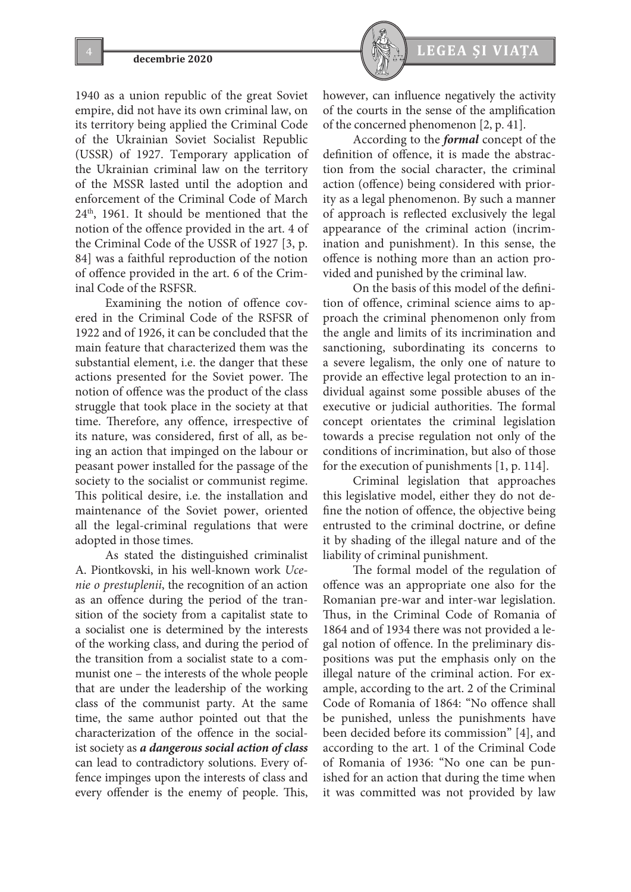1940 as a union republic of the great Soviet empire, did not have its own criminal law, on its territory being applied the Criminal Code of the Ukrainian Soviet Socialist Republic (USSR) of 1927. Temporary application of the Ukrainian criminal law on the territory of the MSSR lasted until the adoption and enforcement of the Criminal Code of March  $24<sup>th</sup>$ , 1961. It should be mentioned that the notion of the offence provided in the art. 4 of the Criminal Code of the USSR of 1927 [3, p. 84] was a faithful reproduction of the notion of offence provided in the art. 6 of the Criminal Code of the RSFSR.

Examining the notion of offence covered in the Criminal Code of the RSFSR of 1922 and of 1926, it can be concluded that the main feature that characterized them was the substantial element, i.e. the danger that these actions presented for the Soviet power. The notion of offence was the product of the class struggle that took place in the society at that time. Therefore, any offence, irrespective of its nature, was considered, first of all, as being an action that impinged on the labour or peasant power installed for the passage of the society to the socialist or communist regime. This political desire, i.e. the installation and maintenance of the Soviet power, oriented all the legal-criminal regulations that were adopted in those times.

As stated the distinguished criminalist A. Piontkovski, in his well-known work *Ucenie o prestuplenii*, the recognition of an action as an offence during the period of the transition of the society from a capitalist state to a socialist one is determined by the interests of the working class, and during the period of the transition from a socialist state to a communist one – the interests of the whole people that are under the leadership of the working class of the communist party. At the same time, the same author pointed out that the characterization of the offence in the socialist society as *a dangerous social action of class* can lead to contradictory solutions. Every offence impinges upon the interests of class and every offender is the enemy of people. This,



however, can influence negatively the activity of the courts in the sense of the amplification of the concerned phenomenon [2, p. 41].

According to the *formal* concept of the definition of offence, it is made the abstraction from the social character, the criminal action (offence) being considered with priority as a legal phenomenon. By such a manner of approach is reflected exclusively the legal appearance of the criminal action (incrimination and punishment). In this sense, the offence is nothing more than an action provided and punished by the criminal law.

On the basis of this model of the definition of offence, criminal science aims to approach the criminal phenomenon only from the angle and limits of its incrimination and sanctioning, subordinating its concerns to a severe legalism, the only one of nature to provide an effective legal protection to an individual against some possible abuses of the executive or judicial authorities. The formal concept orientates the criminal legislation towards a precise regulation not only of the conditions of incrimination, but also of those for the execution of punishments [1, p. 114].

Criminal legislation that approaches this legislative model, either they do not define the notion of offence, the objective being entrusted to the criminal doctrine, or define it by shading of the illegal nature and of the liability of criminal punishment.

The formal model of the regulation of offence was an appropriate one also for the Romanian pre-war and inter-war legislation. Thus, in the Criminal Code of Romania of 1864 and of 1934 there was not provided a legal notion of offence. In the preliminary dispositions was put the emphasis only on the illegal nature of the criminal action. For example, according to the art. 2 of the Criminal Code of Romania of 1864: "No offence shall be punished, unless the punishments have been decided before its commission" [4], and according to the art. 1 of the Criminal Code of Romania of 1936: "No one can be punished for an action that during the time when it was committed was not provided by law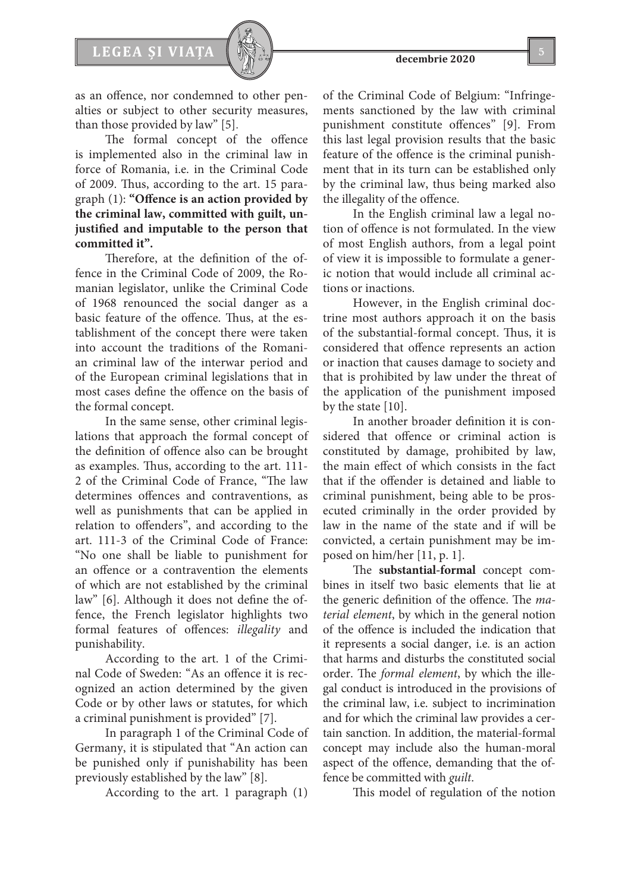

as an offence, nor condemned to other penalties or subject to other security measures, than those provided by law" [5].

The formal concept of the offence is implemented also in the criminal law in force of Romania, i.e. in the Criminal Code of 2009. Thus, according to the art. 15 paragraph (1): **"Offence is an action provided by the criminal law, committed with guilt, unjustified and imputable to the person that committed it".**

Therefore, at the definition of the offence in the Criminal Code of 2009, the Romanian legislator, unlike the Criminal Code of 1968 renounced the social danger as a basic feature of the offence. Thus, at the establishment of the concept there were taken into account the traditions of the Romanian criminal law of the interwar period and of the European criminal legislations that in most cases define the offence on the basis of the formal concept.

In the same sense, other criminal legislations that approach the formal concept of the definition of offence also can be brought as examples. Thus, according to the art. 111- 2 of the Criminal Code of France, "The law determines offences and contraventions, as well as punishments that can be applied in relation to offenders", and according to the art. 111-3 of the Criminal Code of France: "No one shall be liable to punishment for an offence or a contravention the elements of which are not established by the criminal law" [6]. Although it does not define the offence, the French legislator highlights two formal features of offences: *illegality* and punishability.

According to the art. 1 of the Criminal Code of Sweden: "As an offence it is recognized an action determined by the given Code or by other laws or statutes, for which a criminal punishment is provided" [7].

In paragraph 1 of the Criminal Code of Germany, it is stipulated that "An action can be punished only if punishability has been previously established by the law" [8].

According to the art. 1 paragraph (1)

of the Criminal Code of Belgium: "Infringements sanctioned by the law with criminal punishment constitute offences" [9]. From this last legal provision results that the basic feature of the offence is the criminal punishment that in its turn can be established only by the criminal law, thus being marked also the illegality of the offence.

In the English criminal law a legal notion of offence is not formulated. In the view of most English authors, from a legal point of view it is impossible to formulate a generic notion that would include all criminal actions or inactions.

However, in the English criminal doctrine most authors approach it on the basis of the substantial-formal concept. Thus, it is considered that offence represents an action or inaction that causes damage to society and that is prohibited by law under the threat of the application of the punishment imposed by the state [10].

In another broader definition it is considered that offence or criminal action is constituted by damage, prohibited by law, the main effect of which consists in the fact that if the offender is detained and liable to criminal punishment, being able to be prosecuted criminally in the order provided by law in the name of the state and if will be convicted, a certain punishment may be imposed on him/her [11, p. 1].

The **substantial-formal** concept combines in itself two basic elements that lie at the generic definition of the offence. The *material element*, by which in the general notion of the offence is included the indication that it represents a social danger, i.e. is an action that harms and disturbs the constituted social order. The *formal element*, by which the illegal conduct is introduced in the provisions of the criminal law, i.e. subject to incrimination and for which the criminal law provides a certain sanction. In addition, the material-formal concept may include also the human-moral aspect of the offence, demanding that the offence be committed with *guilt*.

This model of regulation of the notion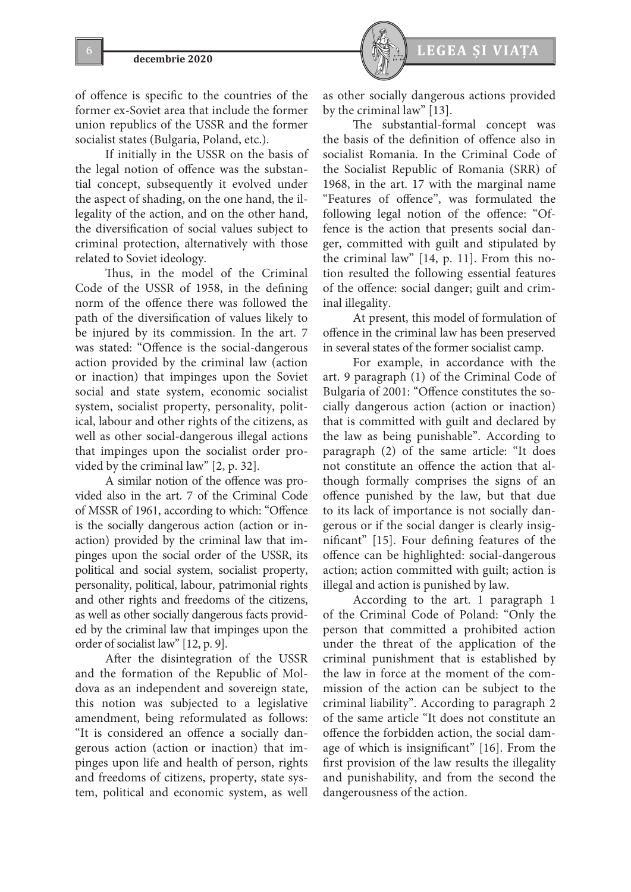



of offence is specific to the countries of the former ex-Soviet area that include the former union republics of the USSR and the former socialist states (Bulgaria, Poland, etc.).

If initially in the USSR on the basis of the legal notion of offence was the substantial concept, subsequently it evolved under the aspect of shading, on the one hand, the illegality of the action, and on the other hand, the diversification of social values subject to criminal protection, alternatively with those related to Soviet ideology.

Thus, in the model of the Criminal Code of the USSR of 1958, in the defining norm of the offence there was followed the path of the diversification of values likely to be injured by its commission. In the art. 7 was stated: "Offence is the social-dangerous action provided by the criminal law (action or inaction) that impinges upon the Soviet social and state system, economic socialist system, socialist property, personality, political, labour and other rights of the citizens, as well as other social-dangerous illegal actions that impinges upon the socialist order provided by the criminal law" [2, p. 32].

A similar notion of the offence was provided also in the art. 7 of the Criminal Code of MSSR of 1961, according to which: "Offence is the socially dangerous action (action or inaction) provided by the criminal law that impinges upon the social order of the USSR, its political and social system, socialist property, personality, political, labour, patrimonial rights and other rights and freedoms of the citizens, as well as other socially dangerous facts provided by the criminal law that impinges upon the order of socialist law" [12, p. 9].

After the disintegration of the USSR and the formation of the Republic of Moldova as an independent and sovereign state, this notion was subjected to a legislative amendment, being reformulated as follows: "It is considered an offence a socially dangerous action (action or inaction) that impinges upon life and health of person, rights and freedoms of citizens, property, state system, political and economic system, as well

as other socially dangerous actions provided by the criminal law" [13].

The substantial-formal concept was the basis of the definition of offence also in socialist Romania. In the Criminal Code of the Socialist Republic of Romania (SRR) of 1968, in the art. 17 with the marginal name "Features of offence", was formulated the following legal notion of the offence: "Offence is the action that presents social danger, committed with guilt and stipulated by the criminal law" [14, p. 11]. From this notion resulted the following essential features of the offence: social danger; guilt and criminal illegality.

At present, this model of formulation of offence in the criminal law has been preserved in several states of the former socialist camp.

For example, in accordance with the art. 9 paragraph (1) of the Criminal Code of Bulgaria of 2001: "Offence constitutes the socially dangerous action (action or inaction) that is committed with guilt and declared by the law as being punishable". According to paragraph (2) of the same article: "It does not constitute an offence the action that although formally comprises the signs of an offence punished by the law, but that due to its lack of importance is not socially dangerous or if the social danger is clearly insignificant" [15]. Four defining features of the offence can be highlighted: social-dangerous action; action committed with guilt; action is illegal and action is punished by law.

According to the art. 1 paragraph 1 of the Criminal Code of Poland: "Only the person that committed a prohibited action under the threat of the application of the criminal punishment that is established by the law in force at the moment of the commission of the action can be subject to the criminal liability". According to paragraph 2 of the same article "It does not constitute an offence the forbidden action, the social damage of which is insignificant" [16]. From the first provision of the law results the illegality and punishability, and from the second the dangerousness of the action.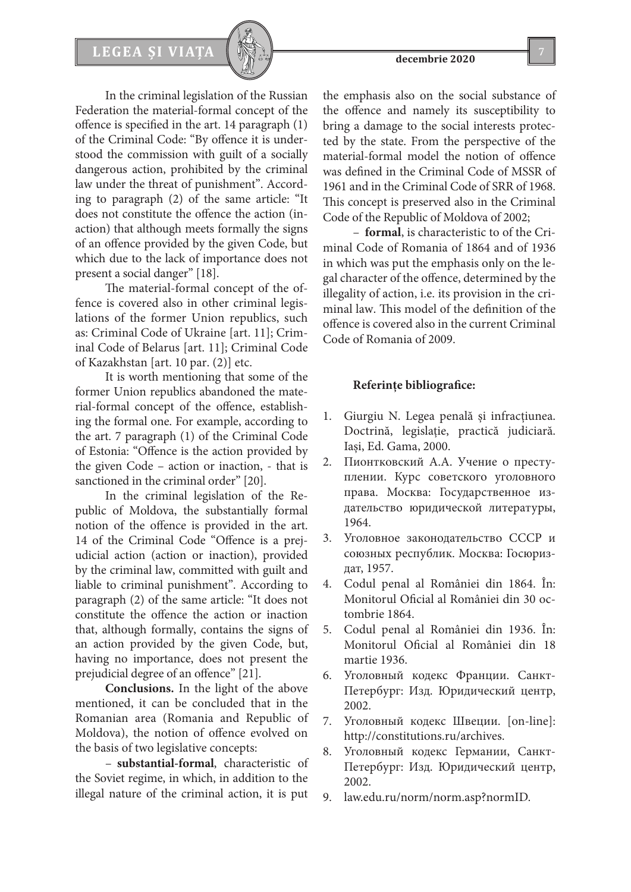# LEGEA ȘI VIAȚA  $\left[\begin{array}{c} \sqrt{\frac{2}{3}} & \sqrt{\frac{2}{3}} \\ \sqrt{\frac{2}{3}} & \sqrt{\frac{2}{3}} \\ \sqrt{\frac{2}{3}} & \sqrt{\frac{2}{3}} \\ \sqrt{\frac{2}{3}} & \sqrt{\frac{2}{3}} \\ \sqrt{\frac{2}{3}} & \sqrt{\frac{2}{3}} \\ \sqrt{\frac{2}{3}} & \sqrt{\frac{2}{3}} \\ \sqrt{\frac{2}{3}} & \sqrt{\frac{2}{3}} \\ \sqrt{\frac{2}{3}} & \sqrt{\frac{2}{3}} \\ \sqrt{\frac{2}{3}} & \sqrt{\frac{2}{3}} \\ \sqrt{\frac{2}{3}} & \sqrt{\frac{2}{$



In the criminal legislation of the Russian Federation the material-formal concept of the offence is specified in the art. 14 paragraph (1) of the Criminal Code: "By offence it is understood the commission with guilt of a socially dangerous action, prohibited by the criminal law under the threat of punishment". According to paragraph (2) of the same article: "It does not constitute the offence the action (inaction) that although meets formally the signs of an offence provided by the given Code, but which due to the lack of importance does not present a social danger" [18].

The material-formal concept of the offence is covered also in other criminal legislations of the former Union republics, such as: Criminal Code of Ukraine [art. 11]; Criminal Code of Belarus [art. 11]; Criminal Code of Kazakhstan [art. 10 par. (2)] etc.

It is worth mentioning that some of the former Union republics abandoned the material-formal concept of the offence, establishing the formal one. For example, according to the art. 7 paragraph (1) of the Criminal Code of Estonia: "Offence is the action provided by the given Code – action or inaction, - that is sanctioned in the criminal order" [20].

In the criminal legislation of the Republic of Moldova, the substantially formal notion of the offence is provided in the art. 14 of the Criminal Code "Offence is a prejudicial action (action or inaction), provided by the criminal law, committed with guilt and liable to criminal punishment". According to paragraph (2) of the same article: "It does not constitute the offence the action or inaction that, although formally, contains the signs of an action provided by the given Code, but, having no importance, does not present the prejudicial degree of an offence" [21].

**Conclusions.** In the light of the above mentioned, it can be concluded that in the Romanian area (Romania and Republic of Moldova), the notion of offence evolved on the basis of two legislative concepts:

– **substantial-formal**, characteristic of the Soviet regime, in which, in addition to the illegal nature of the criminal action, it is put

the emphasis also on the social substance of the offence and namely its susceptibility to bring a damage to the social interests protected by the state. From the perspective of the material-formal model the notion of offence was defined in the Criminal Code of MSSR of 1961 and in the Criminal Code of SRR of 1968. This concept is preserved also in the Criminal Code of the Republic of Moldova of 2002;

– **formal**, is characteristic to of the Criminal Code of Romania of 1864 and of 1936 in which was put the emphasis only on the legal character of the offence, determined by the illegality of action, i.e. its provision in the criminal law. This model of the definition of the offence is covered also in the current Criminal Code of Romania of 2009.

### **Referinţe bibliografice:**

- 1. Giurgiu N. Legea penală şi infracţiunea. Doctrină, legislaţie, practică judiciară. Iaşi, Ed. Gama, 2000.
- 2. Пионтковский А.А. Учение о преступлении. Курс советского уголовного права. Москва: Государственное издательство юридической литературы, 1964.
- 3. Уголовное законодательство СССР и союзных республик. Москва: Госюриздат, 1957.
- 4. Codul penal al României din 1864. În: Monitorul Oficial al României din 30 octombrie 1864.
- 5. Codul penal al României din 1936. În: Monitorul Oficial al României din 18 martie 1936.
- 6. Уголовный кодекс Франции. Санкт-Петербург: Изд. Юридический центр, 2002.
- 7. Уголовный кодекс Швеции. [on-line]: http://constitutions.ru/archives.
- 8. Уголовный кодекс Германии, Санкт-Петербург: Изд. Юридический центр, 2002.
- 9. law.edu.ru/norm/norm.asp?normID.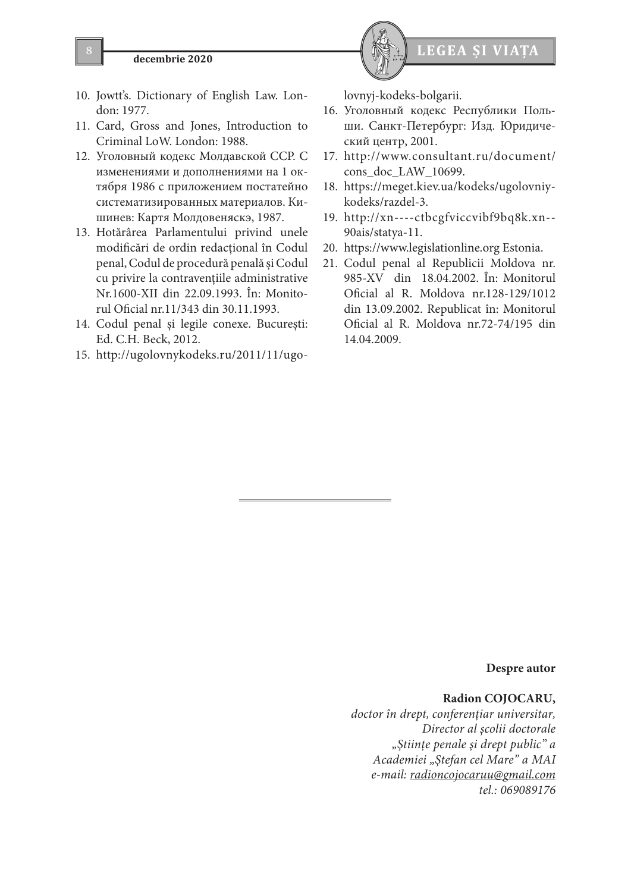

- 10. Jowtt's. Dictionary of English Law. London: 1977.
- 11. Card, Gross and Jones, Introduction to Criminal LoW. London: 1988.
- 12. Уголовный кодекс Молдавской ССР. С изменениями и дополнениями на 1 октября 1986 с приложением постатейно систематизированных материалов. Кишинев: Картя Молдовеняскэ, 1987.
- 13. Hotărârea Parlamentului privind unele modificări de ordin redacţional în Codul penal, Codul de procedură penală şi Codul cu privire la contravenţiile administrative Nr.1600-XII din 22.09.1993. În: Monitorul Oficial nr.11/343 din 30.11.1993.
- 14. Codul penal şi legile conexe. Bucureşti: Ed. C.H. Beck, 2012.
- 15. http://ugolovnykodeks.ru/2011/11/ugo-

lovnyj-kodeks-bolgarii.

- 16. Уголовный кодекс Республики Польши. Санкт-Петербург: Изд. Юридический центр, 2001.
- 17. http://www.consultant.ru/document/ cons\_doc\_LAW\_10699.
- 18. https://meget.kiev.ua/kodeks/ugolovniykodeks/razdel-3.
- 19. http://xn----ctbcgfviccvibf9bq8k.xn-- 90ais/statya-11.
- 20. https://www.legislationline.org Estonia.
- 21. Codul penal al Republicii Moldova nr. 985-XV din 18.04.2002. În: Monitorul Oficial al R. Moldova nr.128-129/1012 din 13.09.2002. Republicat în: Monitorul Oficial al R. Moldova nr.72-74/195 din 14.04.2009.

**Despre autor**

# **Radion COJOCARU,**

*doctor în drept, conferenţiar universitar, Director al şcolii doctorale "Ştiinţe penale şi drept public" a Academiei "Ştefan cel Mare" a MAI e-mail: radioncojocaruu@gmail.com tel.: 069089176*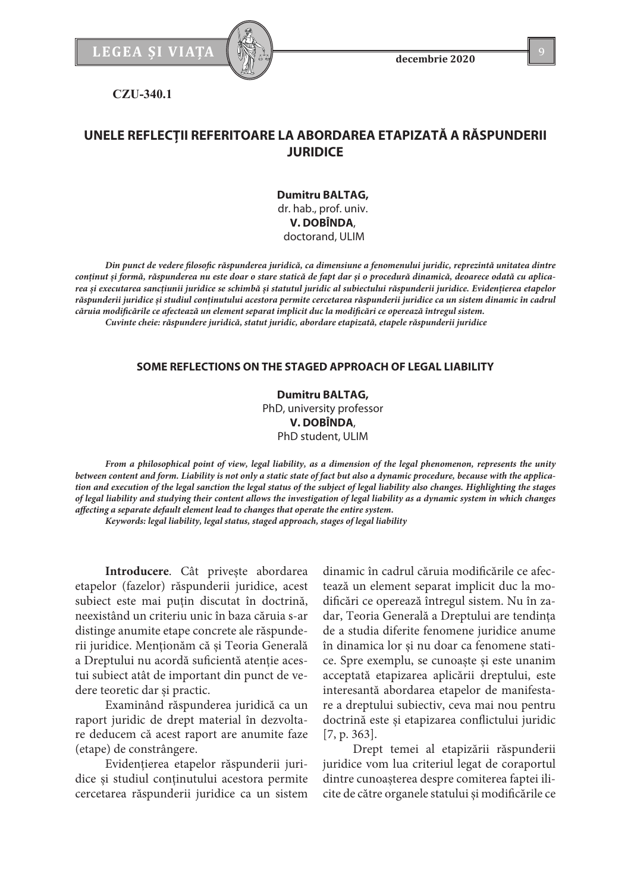

**decembrie 2020**

**CZU-340.1**

# **UNELE REFLECŢII REFERITOARE LA ABORDAREA ETAPIZATĂ A RĂSPUNDERII JURIDICE**

**Dumitru BALTAG,** dr. hab., prof. univ. **V. DOBÎNDA**, doctorand, ULIM

*Din punct de vedere filosofic răspunderea juridică, ca dimensiune a fenomenului juridic, reprezintă unitatea dintre conținut și formă, răspunderea nu este doar o stare statică de fapt dar și o procedură dinamică, deoarece odată cu aplicarea și executarea sancțiunii juridice se schimbă și statutul juridic al subiectului răspunderii juridice. Evidențierea etapelor răspunderii juridice și studiul conținutului acestora permite cercetarea răspunderii juridice ca un sistem dinamic în cadrul căruia modificările ce afectează un element separat implicit duc la modificări ce operează întregul sistem. Cuvinte cheie: răspundere juridică, statut juridic, abordare etapizată, etapele răspunderii juridice*

## **SOME REFLECTIONS ON THE STAGED APPROACH OF LEGAL LIABILITY**

**Dumitru BALTAG,** PhD, university professor **V. DOBÎNDA**, PhD student, ULIM

*From a philosophical point of view, legal liability, as a dimension of the legal phenomenon, represents the unity between content and form. Liability is not only a static state of fact but also a dynamic procedure, because with the application and execution of the legal sanction the legal status of the subject of legal liability also changes. Highlighting the stages of legal liability and studying their content allows the investigation of legal liability as a dynamic system in which changes affecting a separate default element lead to changes that operate the entire system.*

*Keywords: legal liability, legal status, staged approach, stages of legal liability*

**Introducere**. Cât privește abordarea etapelor (fazelor) răspunderii juridice, acest subiect este mai puțin discutat în doctrină, neexistând un criteriu unic în baza căruia s-ar distinge anumite etape concrete ale răspunderii juridice. Menționăm că și Teoria Generală a Dreptului nu acordă suficientă atenție acestui subiect atât de important din punct de vedere teoretic dar și practic.

Examinând răspunderea juridică ca un raport juridic de drept material în dezvoltare deducem că acest raport are anumite faze (etape) de constrângere.

Evidențierea etapelor răspunderii juridice și studiul conținutului acestora permite cercetarea răspunderii juridice ca un sistem

dinamic în cadrul căruia modificările ce afectează un element separat implicit duc la modificări ce operează întregul sistem. Nu în zadar, Teoria Generală a Dreptului are tendința de a studia diferite fenomene juridice anume în dinamica lor și nu doar ca fenomene statice. Spre exemplu, se cunoaște și este unanim acceptată etapizarea aplicării dreptului, este interesantă abordarea etapelor de manifestare a dreptului subiectiv, ceva mai nou pentru doctrină este și etapizarea conflictului juridic [7, p. 363].

Drept temei al etapizării răspunderii juridice vom lua criteriul legat de coraportul dintre cunoașterea despre comiterea faptei ilicite de către organele statului și modificările ce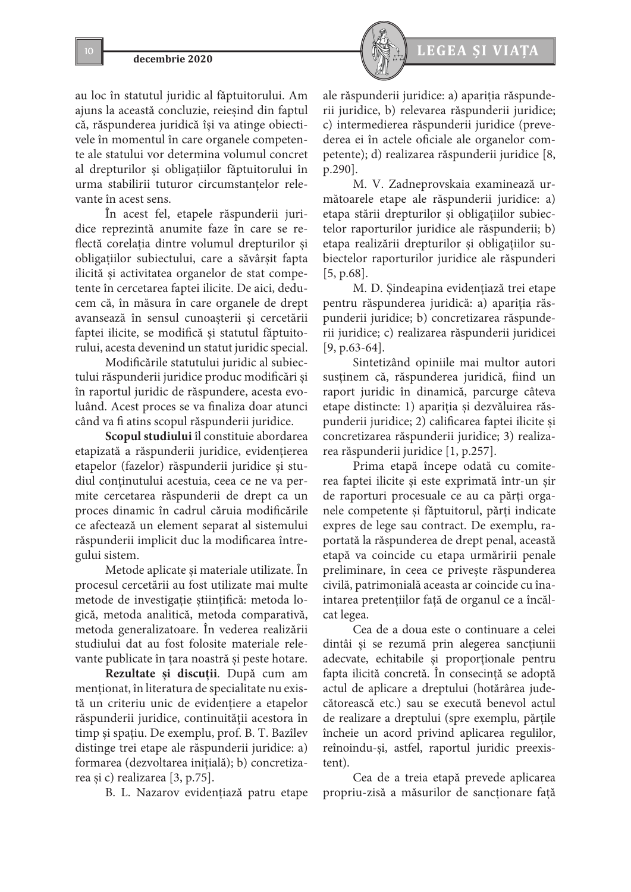

au loc în statutul juridic al făptuitorului. Am ajuns la această concluzie, reieșind din faptul că, răspunderea juridică își va atinge obiectivele în momentul în care organele competente ale statului vor determina volumul concret al drepturilor și obligațiilor făptuitorului în urma stabilirii tuturor circumstanțelor relevante în acest sens.

În acest fel, etapele răspunderii juridice reprezintă anumite faze în care se reflectă corelația dintre volumul drepturilor și obligațiilor subiectului, care a săvârșit fapta ilicită și activitatea organelor de stat competente în cercetarea faptei ilicite. De aici, deducem că, în măsura în care organele de drept avansează în sensul cunoașterii și cercetării faptei ilicite, se modifică și statutul făptuitorului, acesta devenind un statut juridic special.

Modificările statutului juridic al subiectului răspunderii juridice produc modificări și în raportul juridic de răspundere, acesta evoluând. Acest proces se va finaliza doar atunci când va fi atins scopul răspunderii juridice.

**Scopul studiului** îl constituie abordarea etapizată a răspunderii juridice, evidențierea etapelor (fazelor) răspunderii juridice și studiul conținutului acestuia, ceea ce ne va permite cercetarea răspunderii de drept ca un proces dinamic în cadrul căruia modificările ce afectează un element separat al sistemului răspunderii implicit duc la modificarea întregului sistem.

Metode aplicate și materiale utilizate. În procesul cercetării au fost utilizate mai multe metode de investigație științifică: metoda logică, metoda analitică, metoda comparativă, metoda generalizatoare. În vederea realizării studiului dat au fost folosite materiale relevante publicate în țara noastră și peste hotare.

**Rezultate și discuții**. După cum am menționat, în literatura de specialitate nu există un criteriu unic de evidențiere a etapelor răspunderii juridice, continuității acestora în timp și spațiu. De exemplu, prof. В. T. Bazîlev distinge trei etape ale răspunderii juridice: a) formarea (dezvoltarea inițială); b) concretizarea și c) realizarea [3, p.75].

B. L. Nazarov evidențiază patru etape

ale răspunderii juridice: a) apariția răspunderii juridice, b) relevarea răspunderii juridice; c) intermedierea răspunderii juridice (prevederea ei în actele oficiale ale organelor competente); d) realizarea răspunderii juridice [8, p.290].

M. V. Zadneprovskaia examinează următoarele etape ale răspunderii juridice: a) etapa stării drepturilor și obligațiilor subiectelor raporturilor juridice ale răspunderii; b) etapa realizării drepturilor și obligațiilor subiectelor raporturilor juridice ale răspunderi [5, p.68].

M. D. Șindeapina evidențiază trei etape pentru răspunderea juridică: a) apariția răspunderii juridice; b) concretizarea răspunderii juridice; c) realizarea răspunderii juridicei [9, p.63-64].

Sintetizând opiniile mai multor autori susținem că, răspunderea juridică, fiind un raport juridic în dinamică, parcurge câteva etape distincte: 1) apariția și dezvăluirea răspunderii juridice; 2) calificarea faptei ilicite și concretizarea răspunderii juridice; 3) realizarea răspunderii juridice [1, p.257].

Prima etapă începe odată cu comiterea faptei ilicite și este exprimată într-un șir de raporturi procesuale ce au ca părți organele competente și făptuitorul, părți indicate expres de lege sau contract. De exemplu, raportată la răspunderea de drept penal, această etapă va coincide cu etapa urmăririi penale preliminare, în ceea ce privește răspunderea civilă, patrimonială aceasta ar coincide cu înaintarea pretențiilor față de organul ce a încălcat legea.

Cea de a doua este o continuare a celei dintâi și se rezumă prin alegerea sancțiunii adecvate, echitabile și proporționale pentru fapta ilicită concretă. În consecință se adoptă actul de aplicare a dreptului (hotărârea judecătorească etc.) sau se execută benevol actul de realizare a dreptului (spre exemplu, părțile încheie un acord privind aplicarea regulilor, reînoindu-și, astfel, raportul juridic preexistent).

Cea de a treia etapă prevede aplicarea propriu-zisă a măsurilor de sancționare față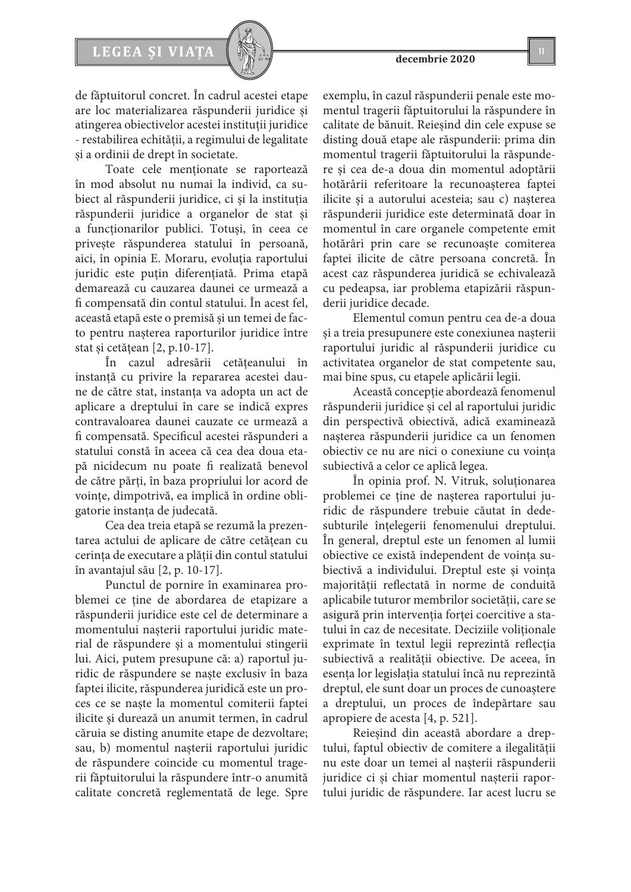de făptuitorul concret. În cadrul acestei etape are loc materializarea răspunderii juridice și atingerea obiectivelor acestei instituții juridice - restabilirea echității, a regimului de legalitate și a ordinii de drept în societate.

Toate cele menționate se raportează în mod absolut nu numai la individ, ca subiect al răspunderii juridice, ci și la instituția răspunderii juridice a organelor de stat și a funcționarilor publici. Totuși, în ceea ce privește răspunderea statului în persoană, aici, în opinia E. Moraru, evoluția raportului juridic este puțin diferențiată. Prima etapă demarează cu cauzarea daunei ce urmează a fi compensată din contul statului. În acest fel, această etapă este o premisă și un temei de facto pentru nașterea raporturilor juridice între stat și cetățean [2, p.10-17].

În cazul adresării cetățeanului în instanță cu privire la repararea acestei daune de către stat, instanța va adopta un act de aplicare a dreptului în care se indică expres contravaloarea daunei cauzate ce urmează a fi compensată. Specificul acestei răspunderi a statului constă în aceea că cea dea doua etapă nicidecum nu poate fi realizată benevol de către părți, în baza propriului lor acord de voințe, dimpotrivă, ea implică în ordine obligatorie instanța de judecată.

Cea dea treia etapă se rezumă la prezentarea actului de aplicare de către cetățean cu cerința de executare a plății din contul statului în avantajul său [2, p. 10-17].

Punctul de pornire în examinarea problemei ce ține de abordarea de etapizare a răspunderii juridice este cel de determinare a momentului nașterii raportului juridic material de răspundere și a momentului stingerii lui. Aici, putem presupune că: a) raportul juridic de răspundere se naște exclusiv în baza faptei ilicite, răspunderea juridică este un proces ce se naște la momentul comiterii faptei ilicite și durează un anumit termen, în cadrul căruia se disting anumite etape de dezvoltare; sau, b) momentul nașterii raportului juridic de răspundere coincide cu momentul tragerii făptuitorului la răspundere într-o anumită calitate concretă reglementată de lege. Spre

exemplu, în cazul răspunderii penale este momentul tragerii făptuitorului la răspundere în calitate de bănuit. Reieșind din cele expuse se disting două etape ale răspunderii: prima din momentul tragerii făptuitorului la răspundere și cea de-a doua din momentul adoptării hotărârii referitoare la recunoașterea faptei ilicite și a autorului acesteia; sau c) nașterea răspunderii juridice este determinată doar în momentul în care organele competente emit hotărâri prin care se recunoaște comiterea faptei ilicite de către persoana concretă. În acest caz răspunderea juridică se echivalează cu pedeapsa, iar problema etapizării răspunderii juridice decade.

Elementul comun pentru cea de-a doua și a treia presupunere este conexiunea nașterii raportului juridic al răspunderii juridice cu activitatea organelor de stat competente sau, mai bine spus, cu etapele aplicării legii.

Această concepție abordează fenomenul răspunderii juridice și cel al raportului juridic din perspectivă obiectivă, adică examinează nașterea răspunderii juridice ca un fenomen obiectiv ce nu are nici o conexiune cu voința subiectivă a celor ce aplică legea.

În opinia prof. N. Vitruk, soluționarea problemei ce ține de nașterea raportului juridic de răspundere trebuie căutat în dedesubturile înțelegerii fenomenului dreptului. În general, dreptul este un fenomen al lumii obiective ce există independent de voința subiectivă a individului. Dreptul este și voința majorității reflectată în norme de conduită aplicabile tuturor membrilor societății, care se asigură prin intervenția forței coercitive a statului în caz de necesitate. Deciziile voliționale exprimate în textul legii reprezintă reflecția subiectivă a realității obiective. De aceea, în esența lor legislația statului încă nu reprezintă dreptul, ele sunt doar un proces de cunoaștere a dreptului, un proces de îndepărtare sau apropiere de acesta [4, p. 521].

Reieșind din această abordare a dreptului, faptul obiectiv de comitere a ilegalității nu este doar un temei al nașterii răspunderii juridice ci și chiar momentul nașterii raportului juridic de răspundere. Iar acest lucru se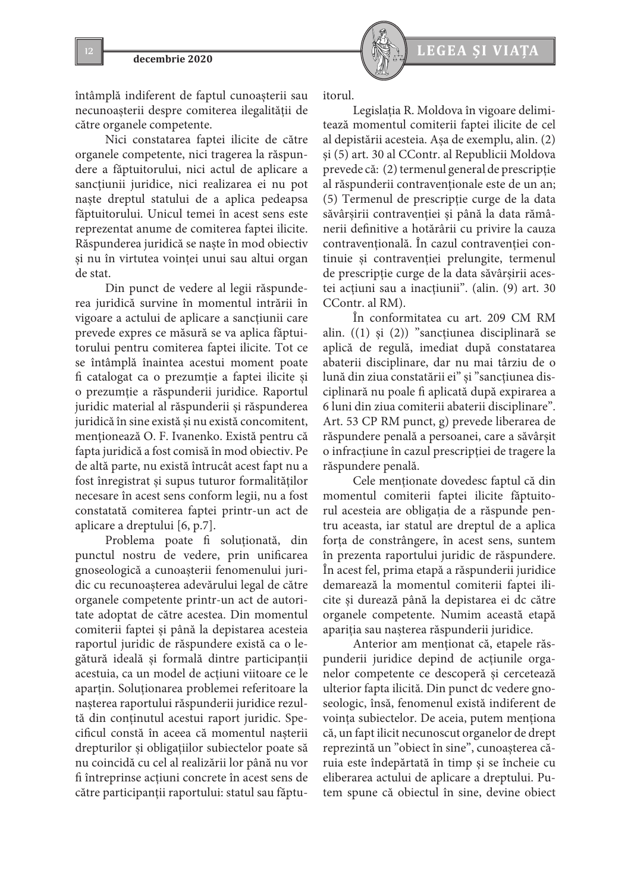întâmplă indiferent de faptul cunoașterii sau necunoașterii despre comiterea ilegalității de către organele competente.

Nici constatarea faptei ilicite de către organele competente, nici tragerea la răspundere a făptuitorului, nici actul de aplicare a sancțiunii juridice, nici realizarea ei nu pot naște dreptul statului de a aplica pedeapsa făptuitorului. Unicul temei în acest sens este reprezentat anume de comiterea faptei ilicite. Răspunderea juridică se naște în mod obiectiv și nu în virtutea voinței unui sau altui organ de stat.

Din punct de vedere al legii răspunderea juridică survine în momentul intrării în vigoare a actului de aplicare a sancțiunii care prevede expres ce măsură se va aplica făptuitorului pentru comiterea faptei ilicite. Tot ce se întâmplă înaintea acestui moment poate fi catalogat ca o prezumție a faptei ilicite și o prezumție a răspunderii juridice. Raportul juridic material al răspunderii și răspunderea juridică în sine există și nu există concomitent, menționează O. F. Ivanenko. Există pentru că fapta juridică a fost comisă în mod obiectiv. Pe de altă parte, nu există întrucât acest fapt nu a fost înregistrat și supus tuturor formalităților necesare în acest sens conform legii, nu a fost constatată comiterea faptei printr-un act de aplicare a dreptului [6, p.7].

Problema poate fi soluționată, din punctul nostru de vedere, prin unificarea gnoseologică a cunoașterii fenomenului juridic cu recunoașterea adevărului legal de către organele competente printr-un act de autoritate adoptat de către acestea. Din momentul comiterii faptei și până la depistarea acesteia raportul juridic de răspundere există ca o legătură ideală și formală dintre participanții acestuia, ca un model de acțiuni viitoare ce le aparțin. Soluționarea problemei referitoare la nașterea raportului răspunderii juridice rezultă din conținutul acestui raport juridic. Specificul constă în aceea că momentul nașterii drepturilor și obligațiilor subiectelor poate să nu coincidă cu cel al realizării lor până nu vor fi întreprinse acțiuni concrete în acest sens de către participanții raportului: statul sau făptu-



itorul.

Legislația R. Moldova în vigoare delimitează momentul comiterii faptei ilicite de cel al depistării acesteia. Așa de exemplu, alin. (2) și (5) art. 30 al CContr. al Republicii Moldova prevede că: (2) termenul general de prescripție al răspunderii contravenționale este de un an; (5) Termenul de prescripție curge de la data săvârșirii contravenției şi până la data rămânerii definitive a hotărârii cu privire la cauza contravențională. În cazul contravenției continuie și contravenției prelungite, termenul de prescripție curge de la data săvârșirii acestei acțiuni sau a inacțiunii". (alin. (9) art. 30 CContr. al RM).

În conformitatea cu art. 209 CM RM alin. ((1) și (2)) "sancțiunea disciplinară se aplică de regulă, imediat după constatarea abaterii disciplinare, dar nu mai târziu de o lună din ziua constatării ei" și "sancțiunea disciplinară nu poale fi aplicată după expirarea a 6 luni din ziua comiterii abaterii disciplinare". Art. 53 CP RM punct, g) prevede liberarea de răspundere penală a persoanei, care a săvârșit o infracțiune în cazul prescripției de tragere la răspundere penală.

Cele menționate dovedesc faptul că din momentul comiterii faptei ilicite făptuitorul acesteia are obligația de a răspunde pentru aceasta, iar statul are dreptul de a aplica forța de constrângere, în acest sens, suntem în prezenta raportului juridic de răspundere. În acest fel, prima etapă a răspunderii juridice demarează la momentul comiterii faptei ilicite și durează până la depistarea ei dc către organele competente. Numim această etapă apariția sau nașterea răspunderii juridice.

Anterior am menționat că, etapele răspunderii juridice depind de acțiunile organelor competente ce descoperă și cercetează ulterior fapta ilicită. Din punct dc vedere gnoseologic, însă, fenomenul există indiferent de voința subiectelor. De aceia, putem menționa că, un fapt ilicit necunoscut organelor de drept reprezintă un "obiect în sine", cunoașterea căruia este îndepărtată în timp și se încheie cu eliberarea actului de aplicare a dreptului. Putem spune că obiectul în sine, devine obiect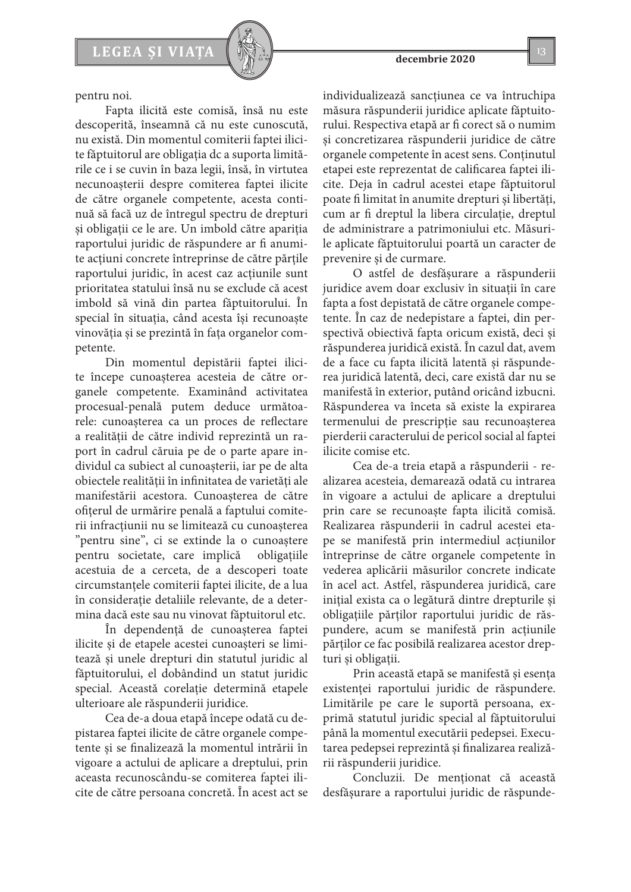pentru noi.

Fapta ilicită este comisă, însă nu este descoperită, înseamnă că nu este cunoscută, nu există. Din momentul comiterii faptei ilicite făptuitorul are obligația dc a suporta limitările ce i se cuvin în baza legii, însă, în virtutea necunoașterii despre comiterea faptei ilicite de către organele competente, acesta continuă să facă uz de întregul spectru de drepturi și obligații ce le are. Un imbold către apariția raportului juridic de răspundere ar fi anumite acțiuni concrete întreprinse de către părțile raportului juridic, în acest caz acțiunile sunt prioritatea statului însă nu se exclude că acest imbold să vină din partea făptuitorului. În special în situația, când acesta își recunoaște vinovăția și se prezintă în fața organelor competente.

Din momentul depistării faptei ilicite începe cunoașterea acesteia de către organele competente. Examinând activitatea procesual-penală putem deduce următoarele: cunoașterea ca un proces de reflectare a realității de către individ reprezintă un raport în cadrul căruia pe de o parte apare individul ca subiect al cunoașterii, iar pe de alta obiectele realității în infinitatea de varietăți ale manifestării acestora. Cunoașterea de către ofițerul de urmărire penală a faptului comiterii infracțiunii nu se limitează cu cunoașterea "pentru sine", ci se extinde la o cunoaștere pentru societate, care implică obligațiile acestuia de a cerceta, de a descoperi toate circumstanțele comiterii faptei ilicite, de a lua în considerație detaliile relevante, de a determina dacă este sau nu vinovat făptuitorul etc.

În dependență de cunoașterea faptei ilicite și de etapele acestei cunoașteri se limitează și unele drepturi din statutul juridic al făptuitorului, el dobândind un statut juridic special. Această corelație determină etapele ulterioare ale răspunderii juridice.

Cea de-a doua etapă începe odată cu depistarea faptei ilicite de către organele competente și se finalizează la momentul intrării în vigoare a actului de aplicare a dreptului, prin aceasta recunoscându-se comiterea faptei ilicite de către persoana concretă. În acest act se individualizează sancțiunea ce va întruchipa măsura răspunderii juridice aplicate făptuitorului. Respectiva etapă ar fi corect să o numim și concretizarea răspunderii juridice de către organele competente în acest sens. Conținutul etapei este reprezentat de calificarea faptei ilicite. Deja în cadrul acestei etape făptuitorul poate fi limitat în anumite drepturi și libertăți, cum ar fi dreptul la libera circulație, dreptul de administrare a patrimoniului etc. Măsurile aplicate făptuitorului poartă un caracter de prevenire și de curmare.

O astfel de desfășurare a răspunderii juridice avem doar exclusiv în situații în care fapta a fost depistată de către organele competente. În caz de nedepistare a faptei, din perspectivă obiectivă fapta oricum există, deci și răspunderea juridică există. În cazul dat, avem de a face cu fapta ilicită latentă și răspunderea juridică latentă, deci, care există dar nu se manifestă în exterior, putând oricând izbucni. Răspunderea va înceta să existe la expirarea termenului de prescripție sau recunoașterea pierderii caracterului de pericol social al faptei ilicite comise etc.

Cea de-a treia etapă a răspunderii - realizarea acesteia, demarează odată cu intrarea în vigoare a actului de aplicare a dreptului prin care se recunoaște fapta ilicită comisă. Realizarea răspunderii în cadrul acestei etape se manifestă prin intermediul acțiunilor întreprinse de către organele competente în vederea aplicării măsurilor concrete indicate în acel act. Astfel, răspunderea juridică, care inițial exista ca o legătură dintre drepturile și obligațiile părților raportului juridic de răspundere, acum se manifestă prin acțiunile părților ce fac posibilă realizarea acestor drepturi și obligații.

Prin această etapă se manifestă și esența existenței raportului juridic de răspundere. Limitările pe care le suportă persoana, exprimă statutul juridic special al făptuitorului până la momentul executării pedepsei. Executarea pedepsei reprezintă și finalizarea realizării răspunderii juridice.

Concluzii. De menționat că această desfășurare a raportului juridic de răspunde-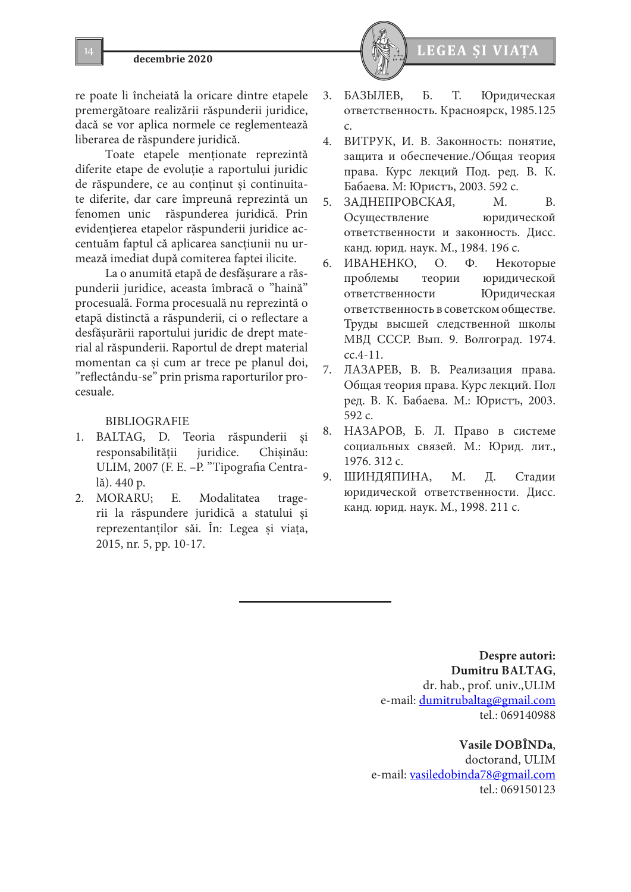

re poate li încheiată la oricare dintre etapele premergătoare realizării răspunderii juridice, dacă se vor aplica normele ce reglementează liberarea de răspundere juridică.

Toate etapele menționate reprezintă diferite etape de evoluție a raportului juridic de răspundere, ce au conținut și continuitate diferite, dar care împreună reprezintă un fenomen unic răspunderea juridică. Prin evidențierea etapelor răspunderii juridice accentuăm faptul că aplicarea sancțiunii nu urmează imediat după comiterea faptei ilicite.

La o anumită etapă de desfășurare a răspunderii juridice, aceasta îmbracă o "haină" procesuală. Forma procesuală nu reprezintă o etapă distinctă a răspunderii, ci o reflectare a desfășurării raportului juridic de drept material al răspunderii. Raportul de drept material momentan ca și cum ar trece pe planul doi, "reflectându-se" prin prisma raporturilor procesuale.

### BIBLIOGRAFIE

- 1. BALTAG, D. Teoria răspunderii responsabilității juridice. Chișinău: ULIM, 2007 (F. E. –P. "Tipografia Centrală). 440 p.
- 2. MORARU; E. Modalitatea tragerii la răspundere juridică a statului și reprezentanților săi. În: Legea și viața, 2015, nr. 5, pp. 10-17.



- 3. БАЗЫЛЕВ, Б. Т. Юридическая ответственность. Красноярск, 1985.125 c.
- 4. ВИТРУК, И. В. Законность: понятие, защита и обеспечение./Общая теория права. Курс лекций Под. ред. В. К. Бабаева. М: Юристъ, 2003. 592 с.
- 5. ЗАДНЕПРОВСКАЯ, М. В. Осуществление юридической ответственности и законность. Дисс. канд. юрид. наук. М., 1984. 196 c.
- 6. ИВАНЕНКО, О. Ф. Некоторые проблемы теории юридической ответственности Юридическая ответственность в советском обществе. Труды высшей следственной школы МВД СССР. Вып. 9. Волгоград. 1974. сс.4-11.
- 7. ЛАЗАРЕВ, В. В. Реализация права. Общая теория права. Курс лекций. Пол ред. В. К. Бабаева. М.: Юристъ, 2003. 592 с.
- 8. НАЗАРОВ, Б. Л. Право в системе социальных связей. М.: Юрид. лит., 1976. 312 c.
- 9. ШИНДЯПИНА, М. Д. Стадии юридической ответственности. Дисс. канд. юрид. наук. М., 1998. 211 с.

**Despre autori: Dumitru BALTAG**, dr. hab., prof. univ.,ULIM e-mail: dumitrubaltag@gmail.com tel.: 069140988

### **Vasile DOBÎNDa**,

doctorand, ULIM e-mail: vasiledobinda78@gmail.com tel.: 069150123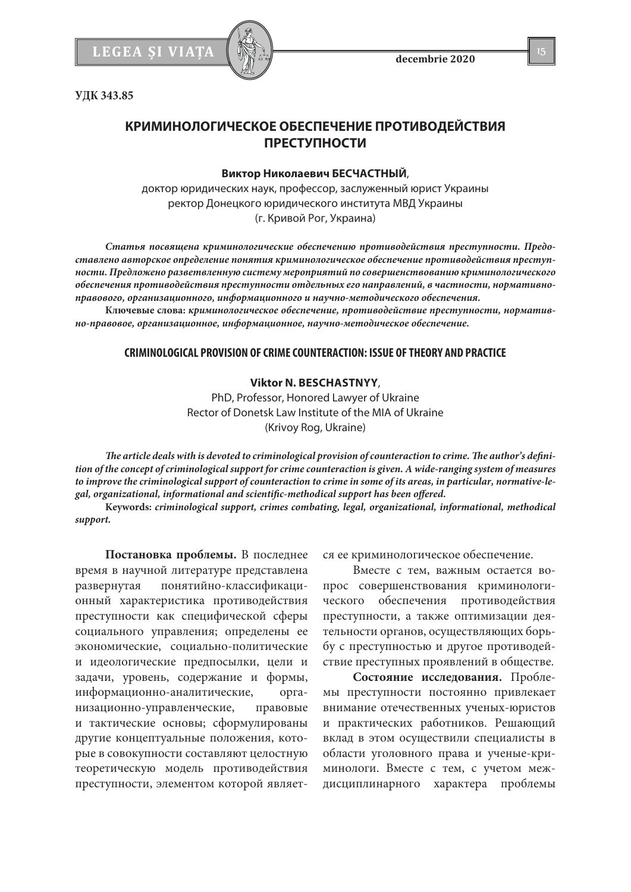**УДК 343.85**

# **КРИМИНОЛОГИЧЕСКОЕ ОБЕСПЕЧЕНИЕ ПРОТИВОДЕЙСТВИЯ ПРЕСТУПНОСТИ**

#### **Виктор Николаевич БЕСЧАСТНЫЙ**,

доктор юридических наук, профессор, заслуженный юрист Украины ректор Донецкого юридического института МВД Украины (г. Кривой Рог, Украина)

*Статья посвящена криминологические обеспечению противодействия преступности. Предоставлено авторское определение понятия криминологическое обеспечение противодействия преступности. Предложено разветвленную систему мероприятий по совершенствованию криминологического обеспечения противодействия преступности отдельных его направлений, в частности, нормативноправового, организационного, информационного и научно-методического обеспечения.*

**Ключевые слова:** *криминологическое обеспечение, противодействие преступности, нормативно-правовое, организационное, информационное, научно-методическое обеспечение.*

### **CRIMINOLOGICAL PROVISION OF CRIME COUNTERACTION: ISSUE OF THEORY AND PRACTICE**

#### **Viktor N. BESCHASTNYY**,

PhD, Professor, Honored Lawyer of Ukraine Rector of Donetsk Law Institute of the MIA of Ukraine (Krivoy Rog, Ukraine)

*The article deals with is devoted to criminological provision of counteraction to crime. The author's definition of the concept of criminological support for crime counteraction is given. A wide-ranging system of measures to improve the criminological support of counteraction to crime in some of its areas, in particular, normative-legal, organizational, informational and scientific-methodical support has been offered.*

**Keywords:** *criminological support, crimes combating, legal, organizational, informational, methodical support.*

**Постановка проблемы.** В последнее время в научной литературе представлена развернутая понятийно-классификационный характеристика противодействия преступности как специфической сферы социального управления; определены ее экономические, социально-политические и идеологические предпосылки, цели и задачи, уровень, содержание и формы, информационно-аналитические, организационно-управленческие, правовые и тактические основы; сформулированы другие концептуальные положения, которые в совокупности составляют целостную теоретическую модель противодействия преступности, элементом которой является ее криминологическое обеспечение.

Вместе с тем, важным остается вопрос совершенствования криминологического обеспечения противодействия преступности, а также оптимизации деятельности органов, осуществляющих борьбу с преступностью и другое противодействие преступных проявлений в обществе.

**Состояние исследования.** Проблемы преступности постоянно привлекает внимание отечественных ученых-юристов и практических работников. Решающий вклад в этом осуществили специалисты в области уголовного права и ученые-криминологи. Вместе с тем, с учетом междисциплинарного характера проблемы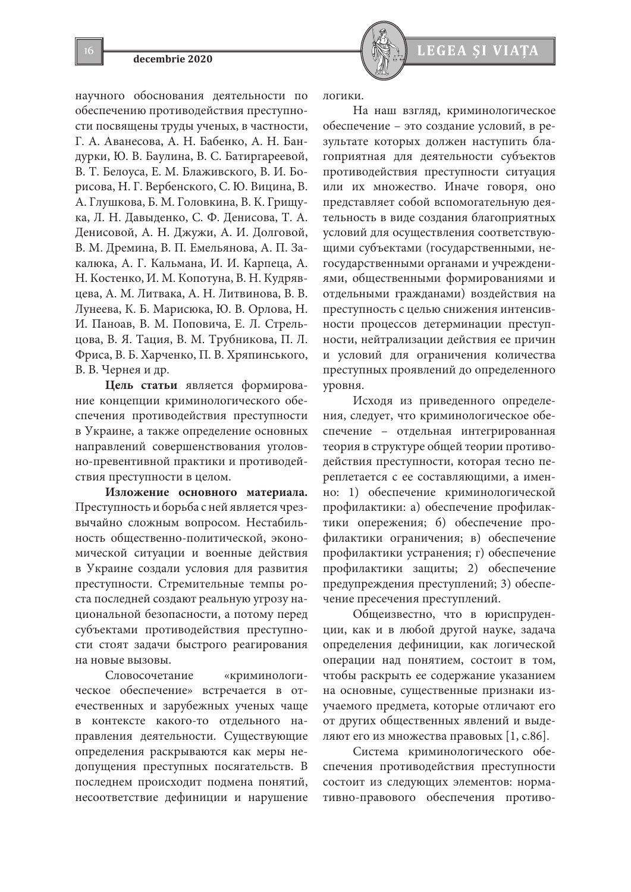# **16 decembrie 2020**<br>**16 decembrie 2020**<br>**16 decembrie 2020**

научного обоснования деятельности по обеспечению противодействия преступности посвящены труды ученых, в частности, Г. А. Аванесова, А. Н. Бабенко, А. Н. Бандурки, Ю. В. Баулина, В. С. Батиргареевой, В. Т. Белоуса, Е. М. Блаживского, В. И. Борисова, Н. Г. Вербенского, С. Ю. Вицина, В. А. Глушкова, Б. М. Головкина, В. К. Грищука, Л. Н. Давыденко, С. Ф. Денисова, Т. А. Денисовой, А. Н. Джужи, А. И. Долговой, В. М. Дремина, В. П. Емельянова, А. П. Закалюка, А. Г. Кальмана, И. И. Карпеца, А. Н. Костенко, И. М. Копотуна, В. Н. Кудрявцева, А. М. Литвака, А. Н. Литвинова, В. В. Лунеева, К. Б. Марисюка, Ю. В. Орлова, Н. И. Паноав, В. М. Поповича, Е. Л. Стрельцова, В. Я. Тация, В. М. Трубникова, П. Л. Фриса, В. Б. Харченко, П. В. Хряпинського, В. В. Чернея и др.

**Цель статьи** является формирование концепции криминологического обеспечения противодействия преступности в Украине, а также определение основных направлений совершенствования уголовно-превентивной практики и противодействия преступности в целом.

**Изложение основного материала.** Преступность и борьба с ней является чрезвычайно сложным вопросом. Нестабильность общественно-политической, экономической ситуации и военные действия в Украине создали условия для развития преступности. Стремительные темпы роста последней создают реальную угрозу национальной безопасности, а потому перед субъектами противодействия преступности стоят задачи быстрого реагирования на новые вызовы.

Словосочетание «криминологическое обеспечение» встречается в отечественных и зарубежных ученых чаще в контексте какого-то отдельного направления деятельности. Существующие определения раскрываются как меры недопущения преступных посягательств. В последнем происходит подмена понятий, несоответствие дефиниции и нарушение логики.

На наш взгляд, криминологическое обеспечение – это создание условий, в результате которых должен наступить благоприятная для деятельности субъектов противодействия преступности ситуация или их множество. Иначе говоря, оно представляет собой вспомогательную деятельность в виде создания благоприятных условий для осуществления соответствующими субъектами (государственными, негосударственными органами и учреждениями, общественными формированиями и отдельными гражданами) воздействия на преступность с целью снижения интенсивности процессов детерминации преступности, нейтрализации действия ее причин и условий для ограничения количества преступных проявлений до определенного уровня.

Исходя из приведенного определения, следует, что криминологическое обеспечение – отдельная интегрированная теория в структуре общей теории противодействия преступности, которая тесно переплетается с ее составляющими, а именно: 1) обеспечение криминологической профилактики: а) обеспечение профилактики опережения; б) обеспечение профилактики ограничения; в) обеспечение профилактики устранения; г) обеспечение профилактики защиты; 2) обеспечение предупреждения преступлений; 3) обеспечение пресечения преступлений.

Общеизвестно, что в юриспруденции, как и в любой другой науке, задача определения дефиниции, как логической операции над понятием, состоит в том, чтобы раскрыть ее содержание указанием на основные, существенные признаки изучаемого предмета, которые отличают его от других общественных явлений и выделяют его из множества правовых [1, c.86].

Система криминологического обеспечения противодействия преступности состоит из следующих элементов: нормативно-правового обеспечения противо-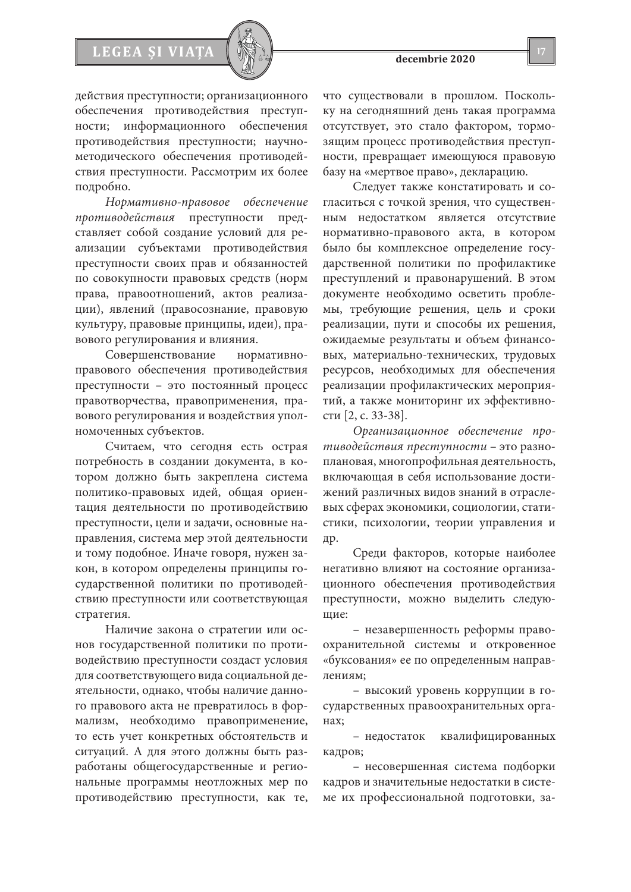# **LEGEA ȘI VI**

действия преступности; организационного обеспечения противодействия преступности; информационного обеспечения противодействия преступности; научнометодического обеспечения противодействия преступности. Рассмотрим их более подробно.

*Нормативно-правовое обеспечение противодействия* преступности представляет собой создание условий для реализации субъектами противодействия преступности своих прав и обязанностей по совокупности правовых средств (норм права, правоотношений, актов реализации), явлений (правосознание, правовую культуру, правовые принципы, идеи), правового регулирования и влияния.

Совершенствование нормативноправового обеспечения противодействия преступности – это постоянный процесс правотворчества, правоприменения, правового регулирования и воздействия уполномоченных субъектов.

Считаем, что сегодня есть острая потребность в создании документа, в котором должно быть закреплена система политико-правовых идей, общая ориентация деятельности по противодействию преступности, цели и задачи, основные направления, система мер этой деятельности и тому подобное. Иначе говоря, нужен закон, в котором определены принципы государственной политики по противодействию преступности или соответствующая стратегия.

Наличие закона о стратегии или основ государственной политики по противодействию преступности создаст условия для соответствующего вида социальной деятельности, однако, чтобы наличие данного правового акта не превратилось в формализм, необходимо правоприменение, то есть учет конкретных обстоятельств и ситуаций. А для этого должны быть разработаны общегосударственные и региональные программы неотложных мер по противодействию преступности, как те, что существовали в прошлом. Поскольку на сегодняшний день такая программа отсутствует, это стало фактором, тормозящим процесс противодействия преступности, превращает имеющуюся правовую базу на «мертвое право», декларацию.

Следует также констатировать и согласиться с точкой зрения, что существенным недостатком является отсутствие нормативно-правового акта, в котором было бы комплексное определение государственной политики по профилактике преступлений и правонарушений. В этом документе необходимо осветить проблемы, требующие решения, цель и сроки реализации, пути и способы их решения, ожидаемые результаты и объем финансовых, материально-технических, трудовых ресурсов, необходимых для обеспечения реализации профилактических мероприятий, а также мониторинг их эффективности [2, c. 33-38].

*Организационное обеспечение противодействия преступности* – это разноплановая, многопрофильная деятельность, включающая в себя использование достижений различных видов знаний в отраслевых сферах экономики, социологии, статистики, психологии, теории управления и др.

Среди факторов, которые наиболее негативно влияют на состояние организационного обеспечения противодействия преступности, можно выделить следующие:

– незавершенность реформы правоохранительной системы и откровенное «буксования» ее по определенным направлениям;

– высокий уровень коррупции в государственных правоохранительных органах;

– недостаток квалифицированных кадров;

– несовершенная система подборки кадров и значительные недостатки в системе их профессиональной подготовки, за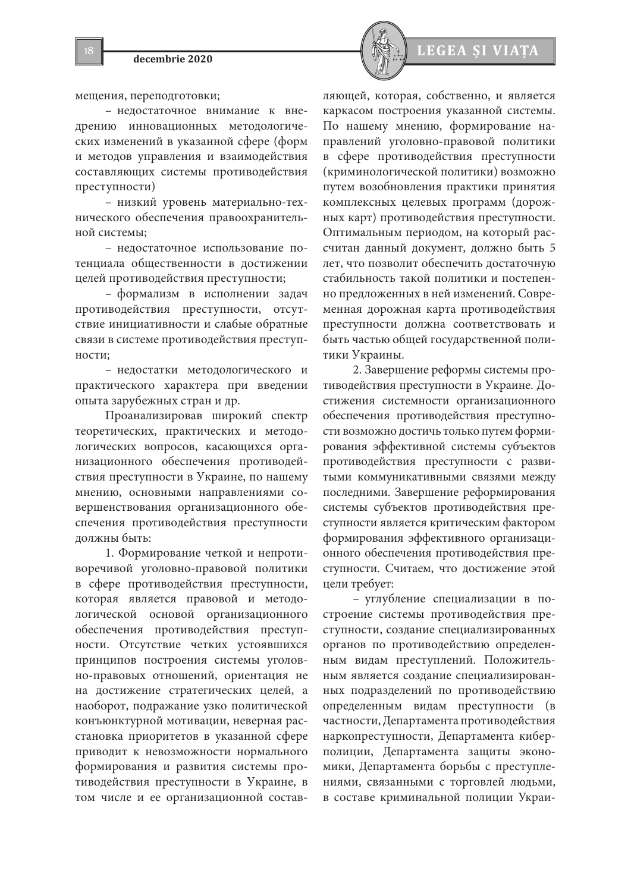мещения, переподготовки;

– недостаточное внимание к внедрению инновационных методологических изменений в указанной сфере (форм и методов управления и взаимодействия составляющих системы противодействия преступности)

– низкий уровень материально-технического обеспечения правоохранительной системы;

– недостаточное использование потенциала общественности в достижении целей противодействия преступности;

– формализм в исполнении задач противодействия преступности, отсутствие инициативности и слабые обратные связи в системе противодействия преступности;

– недостатки методологического и практического характера при введении опыта зарубежных стран и др.

Проанализировав широкий спектр теоретических, практических и методологических вопросов, касающихся организационного обеспечения противодействия преступности в Украине, по нашему мнению, основными направлениями совершенствования организационного обеспечения противодействия преступности должны быть:

1. Формирование четкой и непротиворечивой уголовно-правовой политики в сфере противодействия преступности, которая является правовой и методологической основой организационного обеспечения противодействия преступности. Отсутствие четких устоявшихся принципов построения системы уголовно-правовых отношений, ориентация не на достижение стратегических целей, а наоборот, подражание узко политической конъюнктурной мотивации, неверная расстановка приоритетов в указанной сфере приводит к невозможности нормального формирования и развития системы противодействия преступности в Украине, в том числе и ее организационной состав-



ляющей, которая, собственно, и является каркасом построения указанной системы. По нашему мнению, формирование направлений уголовно-правовой политики в сфере противодействия преступности (криминологической политики) возможно путем возобновления практики принятия комплексных целевых программ (дорожных карт) противодействия преступности. Оптимальным периодом, на который рассчитан данный документ, должно быть 5 лет, что позволит обеспечить достаточную стабильность такой политики и постепенно предложенных в ней изменений. Современная дорожная карта противодействия преступности должна соответствовать и быть частью общей государственной политики Украины.

2. Завершение реформы системы противодействия преступности в Украине. Достижения системности организационного обеспечения противодействия преступности возможно достичь только путем формирования эффективной системы субъектов противодействия преступности с развитыми коммуникативными связями между последними. Завершение реформирования системы субъектов противодействия преступности является критическим фактором формирования эффективного организационного обеспечения противодействия преступности. Считаем, что достижение этой цели требует:

– углубление специализации в построение системы противодействия преступности, создание специализированных органов по противодействию определенным видам преступлений. Положительным является создание специализированных подразделений по противодействию определенным видам преступности (в частности, Департамента противодействия наркопреступности, Департамента киберполиции, Департамента защиты экономики, Департамента борьбы с преступлениями, связанными с торговлей людьми, в составе криминальной полиции Украи-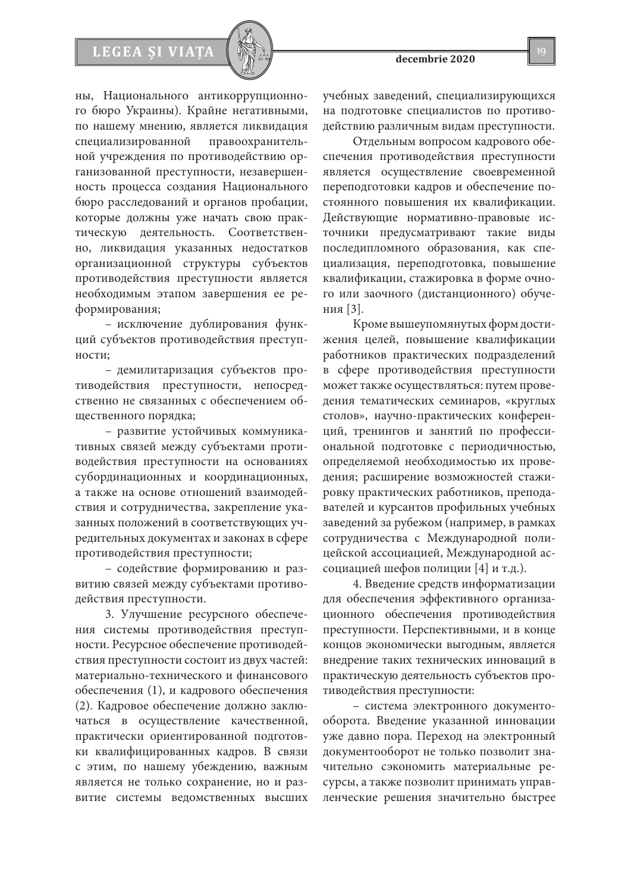# **LEGEA ȘI VI**

ны, Национального антикоррупционного бюро Украины). Крайне негативными, по нашему мнению, является ликвидация специализированной правоохранительной учреждения по противодействию организованной преступности, незавершенность процесса создания Национального бюро расследований и органов пробации, которые должны уже начать свою практическую деятельность. Соответственно, ликвидация указанных недостатков организационной структуры субъектов противодействия преступности является необходимым этапом завершения ее реформирования;

– исключение дублирования функций субъектов противодействия преступности;

– демилитаризация субъектов противодействия преступности, непосредственно не связанных с обеспечением общественного порядка;

– развитие устойчивых коммуникативных связей между субъектами противодействия преступности на основаниях субординационных и координационных, а также на основе отношений взаимодействия и сотрудничества, закрепление указанных положений в соответствующих учредительных документах и законах в сфере противодействия преступности;

– содействие формированию и развитию связей между субъектами противодействия преступности.

3. Улучшение ресурсного обеспечения системы противодействия преступности. Ресурсное обеспечение противодействия преступности состоит из двух частей: материально-технического и финансового обеспечения (1), и кадрового обеспечения (2). Кадровое обеспечение должно заключаться в осуществление качественной, практически ориентированной подготовки квалифицированных кадров. В связи с этим, по нашему убеждению, важным является не только сохранение, но и развитие системы ведомственных высших

учебных заведений, специализирующихся на подготовке специалистов по противодействию различным видам преступности.

Отдельным вопросом кадрового обеспечения противодействия преступности является осуществление своевременной переподготовки кадров и обеспечение постоянного повышения их квалификации. Действующие нормативно-правовые источники предусматривают такие виды последипломного образования, как специализация, переподготовка, повышение квалификации, стажировка в форме очного или заочного (дистанционного) обучения [3].

Кроме вышеупомянутых форм достижения целей, повышение квалификации работников практических подразделений в сфере противодействия преступности может также осуществляться: путем проведения тематических семинаров, «круглых столов», научно-практических конференций, тренингов и занятий по профессиональной подготовке с периодичностью, определяемой необходимостью их проведения; расширение возможностей стажировку практических работников, преподавателей и курсантов профильных учебных заведений за рубежом (например, в рамках сотрудничества с Международной полицейской ассоциацией, Международной ассоциацией шефов полиции [4] и т.д.).

4. Введение средств информатизации для обеспечения эффективного организационного обеспечения противодействия преступности. Перспективными, и в конце концов экономически выгодным, является внедрение таких технических инноваций в практическую деятельность субъектов противодействия преступности:

– система электронного документооборота. Введение указанной инновации уже давно пора. Переход на электронный документооборот не только позволит значительно сэкономить материальные ресурсы, а также позволит принимать управленческие решения значительно быстрее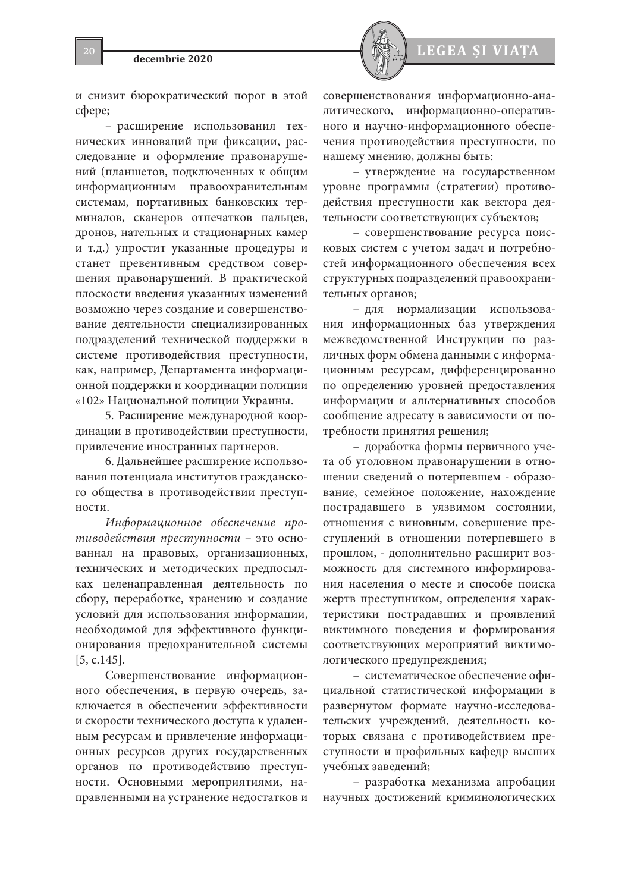

и снизит бюрократический порог в этой сфере;

– расширение использования технических инноваций при фиксации, расследование и оформление правонарушений (планшетов, подключенных к общим информационным правоохранительным системам, портативных банковских терминалов, сканеров отпечатков пальцев, дронов, нательных и стационарных камер и т.д.) упростит указанные процедуры и станет превентивным средством совершения правонарушений. В практической плоскости введения указанных изменений возможно через создание и совершенствование деятельности специализированных подразделений технической поддержки в системе противодействия преступности, как, например, Департамента информационной поддержки и координации полиции «102» Национальной полиции Украины.

5. Расширение международной координации в противодействии преступности, привлечение иностранных партнеров.

6. Дальнейшее расширение использования потенциала институтов гражданского общества в противодействии преступности.

*Информационное обеспечение противодействия преступности* – это основанная на правовых, организационных, технических и методических предпосылках целенаправленная деятельность по сбору, переработке, хранению и создание условий для использования информации, необходимой для эффективного функционирования предохранительной системы [5, c.145].

Совершенствование информационного обеспечения, в первую очередь, заключается в обеспечении эффективности и скорости технического доступа к удаленным ресурсам и привлечение информационных ресурсов других государственных органов по противодействию преступности. Основными мероприятиями, направленными на устранение недостатков и совершенствования информационно-аналитического, информационно-оперативного и научно-информационного обеспечения противодействия преступности, по нашему мнению, должны быть:

– утверждение на государственном уровне программы (стратегии) противодействия преступности как вектора деятельности соответствующих субъектов;

– совершенствование ресурса поисковых систем с учетом задач и потребностей информационного обеспечения всех структурных подразделений правоохранительных органов;

– для нормализации использования информационных баз утверждения межведомственной Инструкции по различных форм обмена данными с информационным ресурсам, дифференцированно по определению уровней предоставления информации и альтернативных способов сообщение адресату в зависимости от потребности принятия решения;

– доработка формы первичного учета об уголовном правонарушении в отношении сведений о потерпевшем - образование, семейное положение, нахождение пострадавшего в уязвимом состоянии, отношения с виновным, совершение преступлений в отношении потерпевшего в прошлом, - дополнительно расширит возможность для системного информирования населения о месте и способе поиска жертв преступником, определения характеристики пострадавших и проявлений виктимного поведения и формирования соответствующих мероприятий виктимологического предупреждения;

– систематическое обеспечение официальной статистической информации в развернутом формате научно-исследовательских учреждений, деятельность которых связана с противодействием преступности и профильных кафедр высших учебных заведений;

– разработка механизма апробации научных достижений криминологических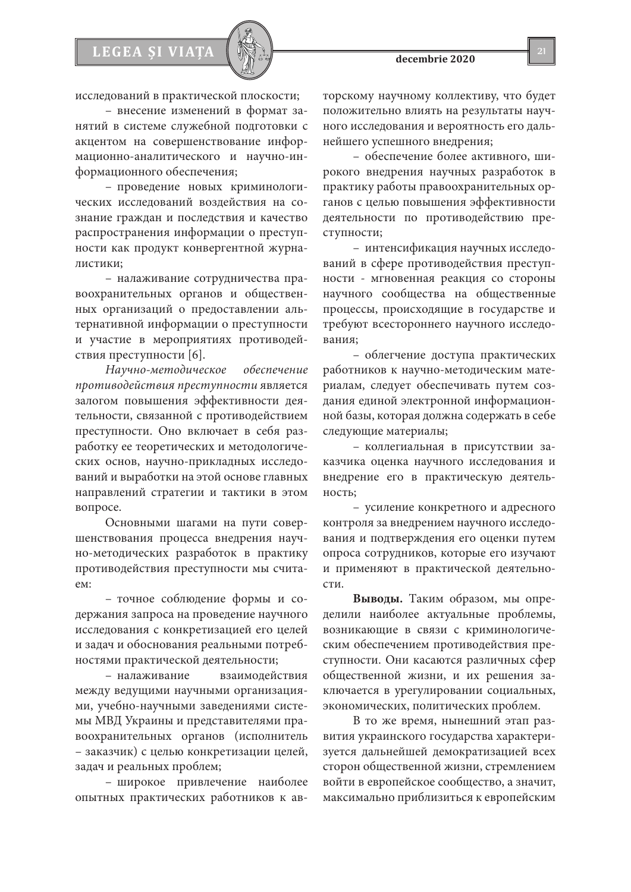

исследований в практической плоскости;

**LEGEA ȘI VI** 

– внесение изменений в формат занятий в системе служебной подготовки с акцентом на совершенствование информационно-аналитического и научно-информационного обеспечения;

– проведение новых криминологических исследований воздействия на сознание граждан и последствия и качество распространения информации о преступности как продукт конвергентной журналистики;

– налаживание сотрудничества правоохранительных органов и общественных организаций о предоставлении альтернативной информации о преступности и участие в мероприятиях противодействия преступности [6].

*Научно-методическое обеспечение противодействия преступности* является залогом повышения эффективности деятельности, связанной с противодействием преступности. Оно включает в себя разработку ее теоретических и методологических основ, научно-прикладных исследований и выработки на этой основе главных направлений стратегии и тактики в этом вопросе.

Основными шагами на пути совершенствования процесса внедрения научно-методических разработок в практику противодействия преступности мы считаем:

– точное соблюдение формы и содержания запроса на проведение научного исследования с конкретизацией его целей и задач и обоснования реальными потребностями практической деятельности;

– налаживание взаимодействия между ведущими научными организациями, учебно-научными заведениями системы МВД Украины и представителями правоохранительных органов (исполнитель – заказчик) с целью конкретизации целей, задач и реальных проблем;

– широкое привлечение наиболее опытных практических работников к авторскому научному коллективу, что будет положительно влиять на результаты научного исследования и вероятность его дальнейшего успешного внедрения;

– обеспечение более активного, широкого внедрения научных разработок в практику работы правоохранительных органов с целью повышения эффективности деятельности по противодействию преступности;

– интенсификация научных исследований в сфере противодействия преступности - мгновенная реакция со стороны научного сообщества на общественные процессы, происходящие в государстве и требуют всестороннего научного исследования;

– облегчение доступа практических работников к научно-методическим материалам, следует обеспечивать путем создания единой электронной информационной базы, которая должна содержать в себе следующие материалы;

– коллегиальная в присутствии заказчика оценка научного исследования и внедрение его в практическую деятельность;

– усиление конкретного и адресного контроля за внедрением научного исследования и подтверждения его оценки путем опроса сотрудников, которые его изучают и применяют в практической деятельности.

**Выводы.** Таким образом, мы определили наиболее актуальные проблемы, возникающие в связи с криминологическим обеспечением противодействия преступности. Они касаются различных сфер общественной жизни, и их решения заключается в урегулировании социальных, экономических, политических проблем.

В то же время, нынешний этап развития украинского государства характеризуется дальнейшей демократизацией всех сторон общественной жизни, стремлением войти в европейское сообщество, а значит, максимально приблизиться к европейским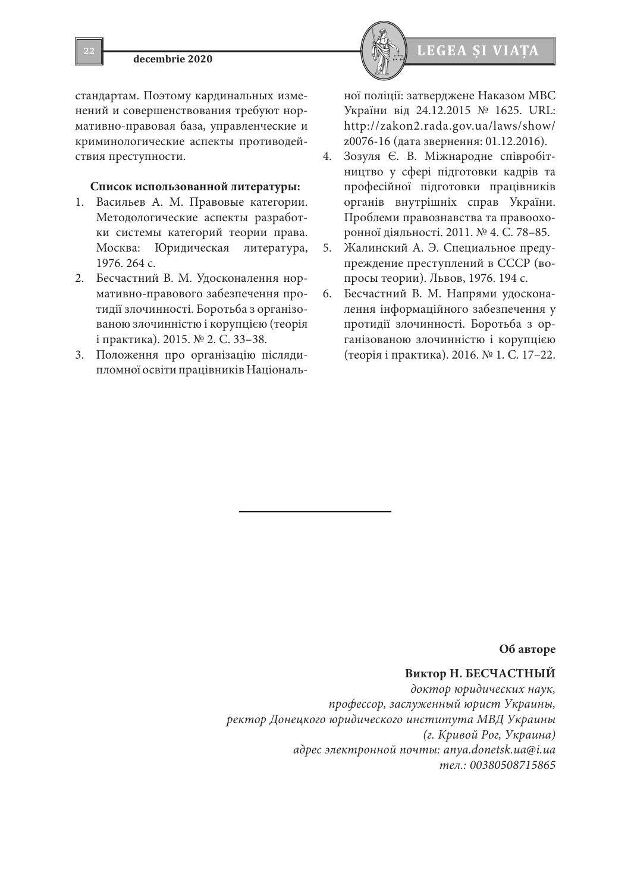стандартам. Поэтому кардинальных изменений и совершенствования требуют нормативно-правовая база, управленческие и криминологические аспекты противодействия преступности.

#### **Список использованной литературы:**

- 1. Васильев А. М. Правовые категории. Методологические аспекты разработки системы категорий теории права. Москва: Юридическая литература, 1976. 264 с.
- 2. Бесчастний В. М. Удосконалення нормативно-правового забезпечення протидії злочинності. Боротьба з організованою злочинністю і корупцією (теорія і практика). 2015. № 2. С. 33–38.
- 3. Положення про організацію післядипломної освіти працівників Національ-



ної поліції: затверджене Наказом МВС України від 24.12.2015 № 1625. URL: http://zakon2.rada.gov.ua/laws/show/ z0076-16 (дата звернення: 01.12.2016).

- 4. Зозуля Є. В. Міжнародне співробітництво у сфері підготовки кадрів та професійної підготовки працівників органів внутрішніх справ України. Проблеми правознавства та правоохоронної діяльності. 2011. № 4. С. 78–85.
- 5. Жалинский А. Э. Специальное предупреждение преступлений в СССР (вопросы теории). Львов, 1976. 194 с.
- 6. Бесчастний В. М. Напрями удосконалення інформаційного забезпечення у протидії злочинності. Боротьба з організованою злочинністю і корупцією (теорія і практика). 2016. № 1. С. 17–22.

# **Об авторе**

# **Виктор Н. БЕСЧАСТНЫЙ**

*доктор юридических наук, профессор, заслуженный юрист Украины, ректор Донецкого юридического института МВД Украины (г. Кривой Рог, Украина) адрес электронной почты: anya.donetsk.ua@i.ua тел.: 00380508715865*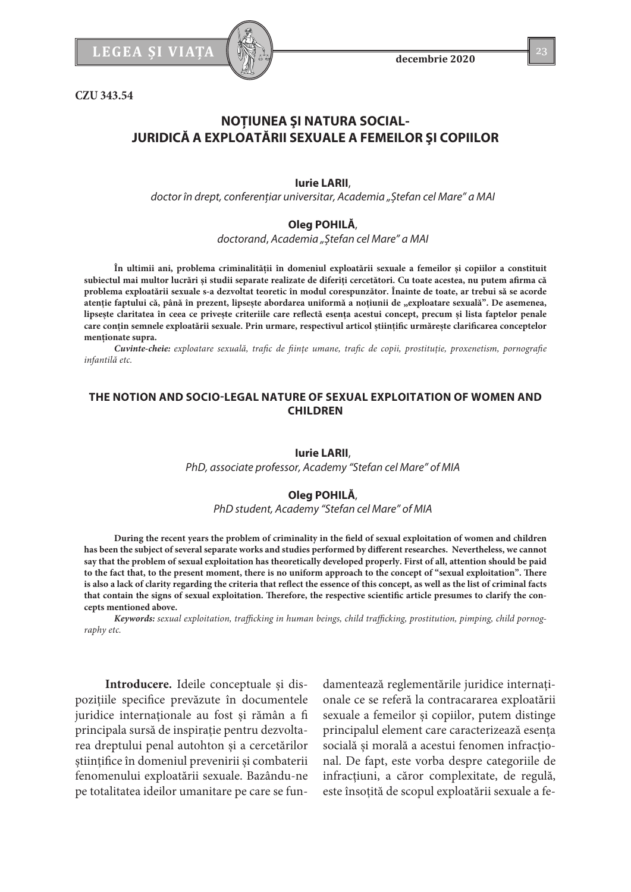LEGEA ȘI VIAȚA  $\left[\begin{array}{c} \sqrt{2} & 23 \end{array}\right]$ 

**CZU 343.54**

# **NOŢIUNEA ŞI NATURA SOCIAL-JURIDICĂ A EXPLOATĂRII SEXUALE A FEMEILOR ŞI COPIILOR**

### **Iurie LARII**,

*doctor în drept, conferenţiar universitar, Academia "Ștefan cel Mare" a MAI*

### **Oleg POHILĂ**,

*doctorand*, *Academia "Ștefan cel Mare" a MAI*

**În ultimii ani, problema criminalităţii în domeniul exploatării sexuale a femeilor şi copiilor a constituit subiectul mai multor lucrări şi studii separate realizate de diferiţi cercetători. Cu toate acestea, nu putem afirma că problema exploatării sexuale s-a dezvoltat teoretic în modul corespunzător. Înainte de toate, ar trebui să se acorde**  atenție faptului că, până în prezent, lipsește abordarea uniformă a noțiunii de "exploatare sexuală". De asemenea, **lipseşte claritatea în ceea ce priveşte criteriile care reflectă esenţa acestui concept, precum şi lista faptelor penale care conţin semnele exploatării sexuale. Prin urmare, respectivul articol științific urmărește clarificarea conceptelor menționate supra.**

*Cuvinte-cheie: exploatare sexuală, trafic de fiinţe umane, trafic de copii, prostituţie, proxenetism, pornografie infantilă etc.*

# **THE NOTION AND SOCIO-LEGAL NATURE OF SEXUAL EXPLOITATION OF WOMEN AND CHILDREN**

#### **Iurie LARII**,

*PhD, associate professor, Academy "Stefan cel Mare" of MIA*

# **Oleg POHILĂ**,

*PhD student, Academy "Stefan cel Mare" of MIA*

**During the recent years the problem of criminality in the field of sexual exploitation of women and children has been the subject of several separate works and studies performed by different researches. Nevertheless, we cannot say that the problem of sexual exploitation has theoretically developed properly. First of all, attention should be paid to the fact that, to the present moment, there is no uniform approach to the concept of "sexual exploitation". There is also a lack of clarity regarding the criteria that reflect the essence of this concept, as well as the list of criminal facts that contain the signs of sexual exploitation. Therefore, the respective scientific article presumes to clarify the concepts mentioned above.**

*Keywords: sexual exploitation, trafficking in human beings, child trafficking, prostitution, pimping, child pornography etc.*

**Introducere.** Ideile conceptuale şi dispoziţiile specifice prevăzute în documentele juridice internaţionale au fost şi rămân a fi principala sursă de inspiraţie pentru dezvoltarea dreptului penal autohton şi a cercetărilor ştiinţifice în domeniul prevenirii și combaterii fenomenului exploatării sexuale. Bazându-ne pe totalitatea ideilor umanitare pe care se fun-

damentează reglementările juridice internaţionale ce se referă la contracararea exploatării sexuale a femeilor şi copiilor, putem distinge principalul element care caracterizează esenţa socială şi morală a acestui fenomen infracţional. De fapt, este vorba despre categoriile de infracţiuni, a căror complexitate, de regulă, este însoţită de scopul exploatării sexuale a fe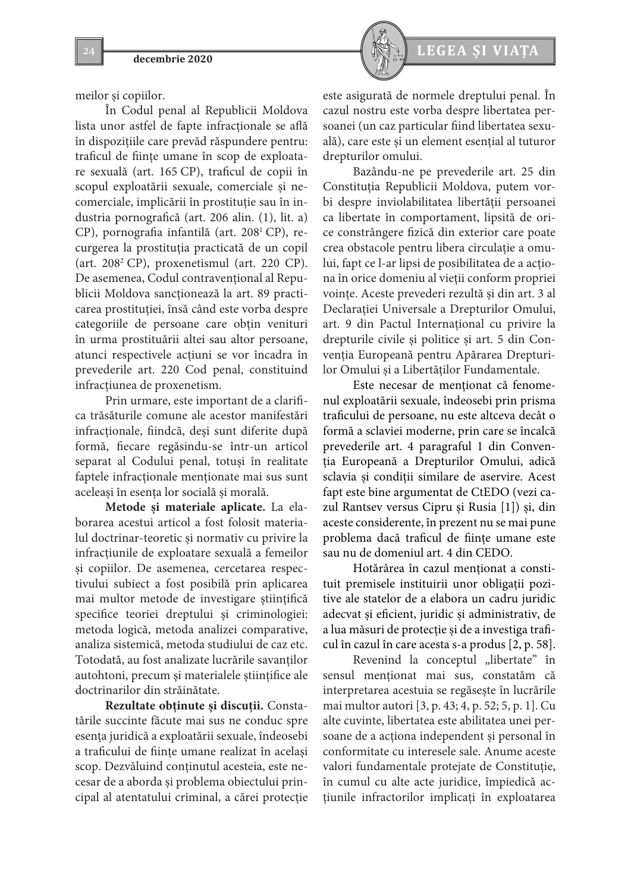meilor şi copiilor.

În Codul penal al Republicii Moldova lista unor astfel de fapte infracţionale se află în dispoziţiile care prevăd răspundere pentru: traficul de fiinţe umane în scop de exploatare sexuală (art. 165 CP), traficul de copii în scopul exploatării sexuale, comerciale şi necomerciale, implicării în prostituţie sau în industria pornografică (art. 206 alin. (1), lit. a) CP), pornografia infantilă (art. 2081 CP), recurgerea la prostituţia practicată de un copil (art.  $208^2$  CP), proxenetismul (art. 220 CP). De asemenea, Codul contravenţional al Republicii Moldova sancţionează la art. 89 practicarea prostituţiei, însă când este vorba despre categoriile de persoane care obţin venituri în urma prostituării altei sau altor persoane, atunci respectivele acţiuni se vor încadra în prevederile art. 220 Cod penal, constituind infracţiunea de proxenetism.

Prin urmare, este important de a clarifica trăsăturile comune ale acestor manifestări infracţionale, fiindcă, deşi sunt diferite după formă, fiecare regăsindu-se într-un articol separat al Codului penal, totuşi în realitate faptele infracţionale menţionate mai sus sunt aceleaşi în esenţa lor socială şi morală.

**Metode şi materiale aplicate.** La elaborarea acestui articol a fost folosit materialul doctrinar-teoretic şi normativ cu privire la infracţiunile de exploatare sexuală a femeilor şi copiilor. De asemenea, cercetarea respectivului subiect a fost posibilă prin aplicarea mai multor metode de investigare ştiinţifică specifice teoriei dreptului şi criminologiei: metoda logică, metoda analizei comparative, analiza sistemică, metoda studiului de caz etc. Totodată, au fost analizate lucrările savanţilor autohtoni, precum şi materialele ştiinţifice ale doctrinarilor din străinătate.

**Rezultate obţinute şi discuţii.** Constatările succinte făcute mai sus ne conduc spre esenţa juridică a exploatării sexuale, îndeosebi a traficului de fiinţe umane realizat în acelaşi scop. Dezvăluind conţinutul acesteia, este necesar de a aborda şi problema obiectului principal al atentatului criminal, a cărei protecţie



este asigurată de normele dreptului penal. În cazul nostru este vorba despre libertatea persoanei (un caz particular fiind libertatea sexuală), care este şi un element esenţial al tuturor drepturilor omului.

Bazându-ne pe prevederile art. 25 din Constituţia Republicii Moldova, putem vorbi despre inviolabilitatea libertăţii persoanei ca libertate în comportament, lipsită de orice constrângere fizică din exterior care poate crea obstacole pentru libera circulaţie a omului, fapt ce l-ar lipsi de posibilitatea de a acţiona în orice domeniu al vieţii conform propriei voinţe. Aceste prevederi rezultă și din art. 3 al Declaraţiei Universale a Drepturilor Omului, art. 9 din Pactul Internaţional cu privire la drepturile civile şi politice şi art. 5 din Convenția Europeană pentru Apărarea Drepturilor Omului şi a Libertăţilor Fundamentale.

Este necesar de menţionat că fenomenul exploatării sexuale, îndeosebi prin prisma traficului de persoane, nu este altceva decât o formă a sclaviei moderne, prin care se încalcă prevederile art. 4 paragraful 1 din Convenţia Europeană a Drepturilor Omului, adică sclavia şi condiţii similare de aservire. Acest fapt este bine argumentat de CtEDO (vezi cazul Rantsev versus Cipru şi Rusia [1]) şi, din aceste considerente, în prezent nu se mai pune problema dacă traficul de fiinţe umane este sau nu de domeniul art. 4 din CEDO.

Hotărârea în cazul menţionat a constituit premisele instituirii unor obligaţii pozitive ale statelor de a elabora un cadru juridic adecvat şi eficient, juridic şi administrativ, de a lua măsuri de protecţie şi de a investiga traficul în cazul în care acesta s-a produs [2, p. 58].

Revenind la conceptul "libertate" în sensul menţionat mai sus, constatăm că interpretarea acestuia se regăseşte în lucrările mai multor autori [3, p. 43; 4, p. 52; 5, p. 1]. Cu alte cuvinte, libertatea este abilitatea unei persoane de a acționa independent și personal în conformitate cu interesele sale. Anume aceste valori fundamentale protejate de Constituţie, în cumul cu alte acte juridice, împiedică acţiunile infractorilor implicaţi în exploatarea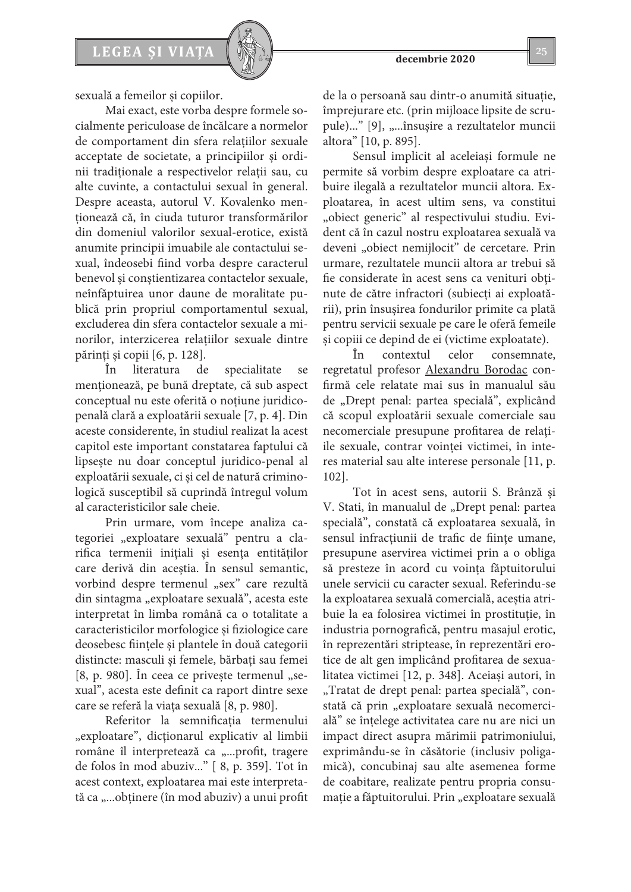

sexuală a femeilor şi copiilor.

Mai exact, este vorba despre formele socialmente periculoase de încălcare a normelor de comportament din sfera relaţiilor sexuale acceptate de societate, a principiilor şi ordinii tradiţionale a respectivelor relaţii sau, cu alte cuvinte, a contactului sexual în general. Despre aceasta, autorul V. Kovalenko menţionează că, în ciuda tuturor transformărilor din domeniul valorilor sexual-erotice, există anumite principii imuabile ale contactului sexual, îndeosebi fiind vorba despre caracterul benevol şi conştientizarea contactelor sexuale, neînfăptuirea unor daune de moralitate publică prin propriul comportamentul sexual, excluderea din sfera contactelor sexuale a minorilor, interzicerea relaţiilor sexuale dintre părinţi şi copii [6, p. 128].

În literatura de specialitate se menţionează, pe bună dreptate, că sub aspect conceptual nu este oferită o noţiune juridicopenală clară a exploatării sexuale [7, p. 4]. Din aceste considerente, în studiul realizat la acest capitol este important constatarea faptului că lipseşte nu doar conceptul juridico-penal al exploatării sexuale, ci şi cel de natură criminologică susceptibil să cuprindă întregul volum al caracteristicilor sale cheie.

Prin urmare, vom începe analiza categoriei "exploatare sexuală" pentru a clarifica termenii iniţiali şi esenţa entităţilor care derivă din aceştia. În sensul semantic, vorbind despre termenul "sex" care rezultă din sintagma "exploatare sexuală", acesta este interpretat în limba română ca o totalitate a caracteristicilor morfologice şi fiziologice care deosebesc fiinţele şi plantele în două categorii distincte: masculi şi femele, bărbaţi sau femei  $[8, p. 980]$ . În ceea ce privește termenul "sexual", acesta este definit ca raport dintre sexe care se referă la viaţa sexuală [8, p. 980].

Referitor la semnificaţia termenului "exploatare", dicționarul explicativ al limbii române îl interpretează ca "...profit, tragere de folos în mod abuziv..." [ 8, p. 359]. Tot în acest context, exploatarea mai este interpretată ca ,...obținere (în mod abuziv) a unui profit

de la o persoană sau dintr-o anumită situaţie, împrejurare etc. (prin mijloace lipsite de scrupule)..." [9], "...însușire a rezultatelor muncii altora" [10, p. 895].

Sensul implicit al aceleiaşi formule ne permite să vorbim despre exploatare ca atribuire ilegală a rezultatelor muncii altora. Exploatarea, în acest ultim sens, va constitui "obiect generic" al respectivului studiu. Evident că în cazul nostru exploatarea sexuală va deveni "obiect nemijlocit" de cercetare. Prin urmare, rezultatele muncii altora ar trebui să fie considerate în acest sens ca venituri obţinute de către infractori (subiecţi ai exploatării), prin însuşirea fondurilor primite ca plată pentru servicii sexuale pe care le oferă femeile și copiii ce depind de ei (victime exploatate).

În contextul celor consemnate, regretatul profesor Alexandru Borodac confirmă cele relatate mai sus în manualul său de "Drept penal: partea specială", explicând că scopul exploatării sexuale comerciale sau necomerciale presupune profitarea de relaţiile sexuale, contrar voinței victimei, în interes material sau alte interese personale [11, p. 102].

Tot în acest sens, autorii S. Brânză şi V. Stati, în manualul de "Drept penal: partea specială", constată că exploatarea sexuală, în sensul infracţiunii de trafic de fiinţe umane, presupune aservirea victimei prin a o obliga să presteze în acord cu voinţa făptuitorului unele servicii cu caracter sexual. Referindu-se la exploatarea sexuală comercială, aceştia atribuie la ea folosirea victimei în prostituţie, în industria pornografică, pentru masajul erotic, în reprezentări striptease, în reprezentări erotice de alt gen implicând profitarea de sexualitatea victimei [12, p. 348]. Aceiaşi autori, în "Tratat de drept penal: partea specială", constată că prin "exploatare sexuală necomercială" se înţelege activitatea care nu are nici un impact direct asupra mărimii patrimoniului, exprimându-se în căsătorie (inclusiv poligamică), concubinaj sau alte asemenea forme de coabitare, realizate pentru propria consumație a făptuitorului. Prin "exploatare sexuală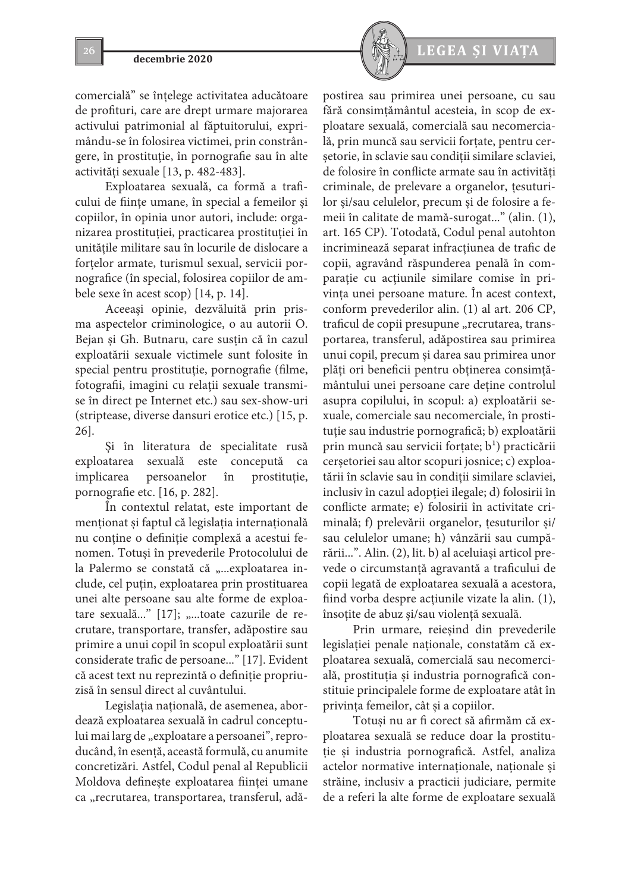comercială" se înţelege activitatea aducătoare de profituri, care are drept urmare majorarea activului patrimonial al făptuitorului, exprimându-se în folosirea victimei, prin constrângere, în prostituţie, în pornografie sau în alte activităţi sexuale [13, p. 482-483].

Exploatarea sexuală, ca formă a traficului de fiinţe umane, în special a femeilor şi copiilor, în opinia unor autori, include: organizarea prostituţiei, practicarea prostituţiei în unităţile militare sau în locurile de dislocare a fortelor armate, turismul sexual, servicii pornografice (în special, folosirea copiilor de ambele sexe în acest scop) [14, p. 14].

Aceeaşi opinie, dezvăluită prin prisma aspectelor criminologice, o au autorii O. Bejan şi Gh. Butnaru, care susţin că în cazul exploatării sexuale victimele sunt folosite în special pentru prostituție, pornografie (filme, fotografii, imagini cu relaţii sexuale transmise în direct pe Internet etc.) sau sex-show-uri (striptease, diverse dansuri erotice etc.) [15, p. 26].

Şi în literatura de specialitate rusă exploatarea sexuală este concepută ca implicarea persoanelor în prostituţie, pornografie etc. [16, p. 282].

În contextul relatat, este important de menţionat și faptul că legislaţia internaţională nu conţine o definiţie complexă a acestui fenomen. Totuşi în prevederile Protocolului de la Palermo se constată că "...exploatarea include, cel puţin, exploatarea prin prostituarea unei alte persoane sau alte forme de exploatare sexuală..." [17]; "...toate cazurile de recrutare, transportare, transfer, adăpostire sau primire a unui copil în scopul exploatării sunt considerate trafic de persoane..." [17]. Evident că acest text nu reprezintă o definiţie propriuzisă în sensul direct al cuvântului.

Legislația națională, de asemenea, abordează exploatarea sexuală în cadrul conceptului mai larg de "exploatare a persoanei", reproducând, în esenţă, această formulă, cu anumite concretizări. Astfel, Codul penal al Republicii Moldova defineşte exploatarea fiinţei umane ca "recrutarea, transportarea, transferul, adă-



postirea sau primirea unei persoane, cu sau fără consimţământul acesteia, în scop de exploatare sexuală, comercială sau necomercială, prin muncă sau servicii forţate, pentru cerşetorie, în sclavie sau condiţii similare sclaviei, de folosire în conflicte armate sau în activități criminale, de prelevare a organelor, ţesuturilor şi/sau celulelor, precum şi de folosire a femeii în calitate de mamă-surogat..." (alin. (1), art. 165 CP). Totodată, Codul penal autohton incriminează separat infracţiunea de trafic de copii, agravând răspunderea penală în comparaţie cu acţiunile similare comise în privinţa unei persoane mature. În acest context, conform prevederilor alin. (1) al art. 206 CP, traficul de copii presupune "recrutarea, transportarea, transferul, adăpostirea sau primirea unui copil, precum şi darea sau primirea unor plăţi ori beneficii pentru obţinerea consimţământului unei persoane care deţine controlul asupra copilului, în scopul: a) exploatării sexuale, comerciale sau necomerciale, în prostituţie sau industrie pornografică; b) exploatării prin muncă sau servicii forțate;  $b^1$ ) practicării cerşetoriei sau altor scopuri josnice; c) exploatării în sclavie sau în condiţii similare sclaviei, inclusiv în cazul adopţiei ilegale; d) folosirii în conflicte armate; e) folosirii în activitate criminală; f) prelevării organelor, ţesuturilor şi/ sau celulelor umane; h) vânzării sau cumpărării...". Alin. (2), lit. b) al aceluiaşi articol prevede o circumstanţă agravantă a traficului de copii legată de exploatarea sexuală a acestora, fiind vorba despre acţiunile vizate la alin. (1), însoţite de abuz şi/sau violenţă sexuală.

Prin urmare, reieşind din prevederile legislaţiei penale naţionale, constatăm că exploatarea sexuală, comercială sau necomercială, prostituţia şi industria pornografică constituie principalele forme de exploatare atât în privinţa femeilor, cât şi a copiilor.

Totuşi nu ar fi corect să afirmăm că exploatarea sexuală se reduce doar la prostituţie şi industria pornografică. Astfel, analiza actelor normative internaţionale, naţionale şi străine, inclusiv a practicii judiciare, permite de a referi la alte forme de exploatare sexuală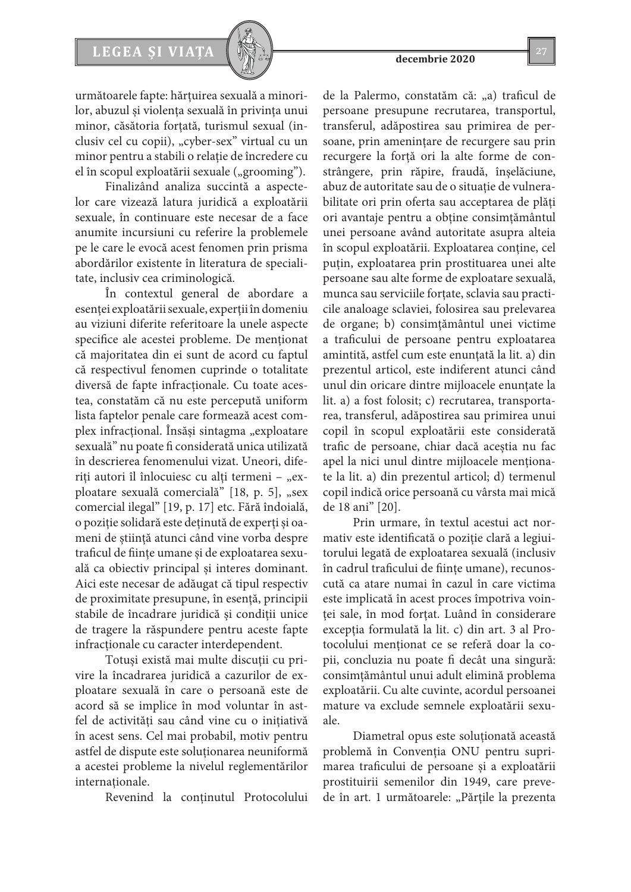# LEGEA ȘI VIAȚA  $\left[\begin{array}{c} \sqrt{2} & 27 \end{array}\right]$

următoarele fapte: hărţuirea sexuală a minorilor, abuzul şi violenţa sexuală în privinţa unui minor, căsătoria forțată, turismul sexual (inclusiv cel cu copii), "cyber-sex" virtual cu un minor pentru a stabili o relaţie de încredere cu el în scopul exploatării sexuale ("grooming").

Finalizând analiza succintă a aspectelor care vizează latura juridică a exploatării sexuale, în continuare este necesar de a face anumite incursiuni cu referire la problemele pe le care le evocă acest fenomen prin prisma abordărilor existente în literatura de specialitate, inclusiv cea criminologică.

În contextul general de abordare a esenţei exploatării sexuale, experţii în domeniu au viziuni diferite referitoare la unele aspecte specifice ale acestei probleme. De menţionat că majoritatea din ei sunt de acord cu faptul că respectivul fenomen cuprinde o totalitate diversă de fapte infracţionale. Cu toate acestea, constatăm că nu este percepută uniform lista faptelor penale care formează acest complex infracțional. Însăși sintagma "exploatare sexuală" nu poate fi considerată unica utilizată în descrierea fenomenului vizat. Uneori, diferiți autori îl înlocuiesc cu alți termeni - "exploatare sexuală comercială" [18, p. 5], "sex comercial ilegal" [19, p. 17] etc. Fără îndoială, o poziţie solidară este deţinută de experţi şi oameni de ştiinţă atunci când vine vorba despre traficul de fiinţe umane şi de exploatarea sexuală ca obiectiv principal şi interes dominant. Aici este necesar de adăugat că tipul respectiv de proximitate presupune, în esenţă, principii stabile de încadrare juridică şi condiţii unice de tragere la răspundere pentru aceste fapte infracţionale cu caracter interdependent.

Totuşi există mai multe discuţii cu privire la încadrarea juridică a cazurilor de exploatare sexuală în care o persoană este de acord să se implice în mod voluntar în astfel de activităţi sau când vine cu o iniţiativă în acest sens. Cel mai probabil, motiv pentru astfel de dispute este soluţionarea neuniformă a acestei probleme la nivelul reglementărilor internationale.

Revenind la conţinutul Protocolului

de la Palermo, constatăm că: "a) traficul de persoane presupune recrutarea, transportul, transferul, adăpostirea sau primirea de persoane, prin ameninţare de recurgere sau prin recurgere la forţă ori la alte forme de constrângere, prin răpire, fraudă, înşelăciune, abuz de autoritate sau de o situație de vulnerabilitate ori prin oferta sau acceptarea de plăţi ori avantaje pentru a obţine consimţământul unei persoane având autoritate asupra alteia în scopul exploatării. Exploatarea conţine, cel puțin, exploatarea prin prostituarea unei alte persoane sau alte forme de exploatare sexuală, munca sau serviciile forţate, sclavia sau practicile analoage sclaviei, folosirea sau prelevarea de organe; b) consimţământul unei victime a traficului de persoane pentru exploatarea amintită, astfel cum este enunțată la lit. a) din prezentul articol, este indiferent atunci când unul din oricare dintre mijloacele enunţate la lit. a) a fost folosit; c) recrutarea, transportarea, transferul, adăpostirea sau primirea unui copil în scopul exploatării este considerată trafic de persoane, chiar dacă aceştia nu fac apel la nici unul dintre mijloacele menţionate la lit. a) din prezentul articol; d) termenul copil indică orice persoană cu vârsta mai mică de 18 ani" [20].

Prin urmare, în textul acestui act normativ este identificată o poziţie clară a legiuitorului legată de exploatarea sexuală (inclusiv în cadrul traficului de fiinţe umane), recunoscută ca atare numai în cazul în care victima este implicată în acest proces împotriva voinţei sale, în mod forţat. Luând în considerare exceptia formulată la lit. c) din art. 3 al Protocolului menționat ce se referă doar la copii, concluzia nu poate fi decât una singură: consimţământul unui adult elimină problema exploatării. Cu alte cuvinte, acordul persoanei mature va exclude semnele exploatării sexuale.

Diametral opus este soluţionată această problemă în Convenţia ONU pentru suprimarea traficului de persoane şi a exploatării prostituirii semenilor din 1949, care prevede în art. 1 următoarele: "Părțile la prezenta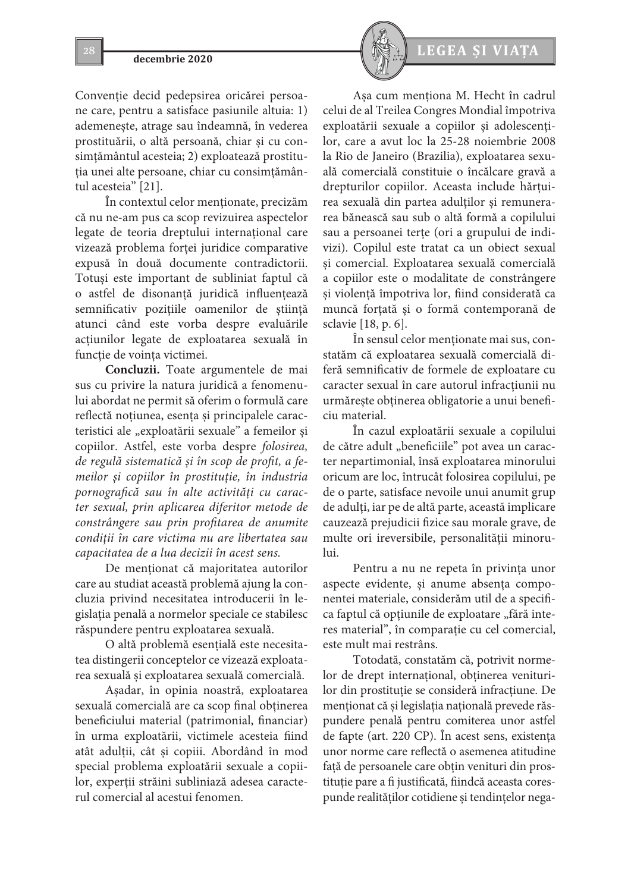Convenție decid pedepsirea oricărei persoane care, pentru a satisface pasiunile altuia: 1) ademeneşte, atrage sau îndeamnă, în vederea prostituării, o altă persoană, chiar şi cu consimţământul acesteia; 2) exploatează prostituţia unei alte persoane, chiar cu consimţământul acesteia" [21].

În contextul celor menţionate, precizăm că nu ne-am pus ca scop revizuirea aspectelor legate de teoria dreptului internaţional care vizează problema forţei juridice comparative expusă în două documente contradictorii. Totuşi este important de subliniat faptul că o astfel de disonanţă juridică influenţează semnificativ poziţiile oamenilor de ştiinţă atunci când este vorba despre evaluările acţiunilor legate de exploatarea sexuală în funcţie de voinţa victimei.

**Concluzii.** Toate argumentele de mai sus cu privire la natura juridică a fenomenului abordat ne permit să oferim o formulă care reflectă noțiunea, esenţa şi principalele caracteristici ale "exploatării sexuale" a femeilor și copiilor. Astfel, este vorba despre *folosirea, de regulă sistematică şi în scop de profit, a femeilor şi copiilor în prostituţie, în industria pornografică sau în alte activităţi cu caracter sexual, prin aplicarea diferitor metode de constrângere sau prin profitarea de anumite condiţii în care victima nu are libertatea sau capacitatea de a lua decizii în acest sens.*

De menţionat că majoritatea autorilor care au studiat această problemă ajung la concluzia privind necesitatea introducerii în legislaţia penală a normelor speciale ce stabilesc răspundere pentru exploatarea sexuală.

O altă problemă esenţială este necesitatea distingerii conceptelor ce vizează exploatarea sexuală şi exploatarea sexuală comercială.

Aşadar, în opinia noastră, exploatarea sexuală comercială are ca scop final obţinerea beneficiului material (patrimonial, financiar) în urma exploatării, victimele acesteia fiind atât adulţii, cât şi copiii. Abordând în mod special problema exploatării sexuale a copiilor, experţii străini subliniază adesea caracterul comercial al acestui fenomen.



Aşa cum menţiona M. Hecht în cadrul celui de al Treilea Congres Mondial împotriva exploatării sexuale a copiilor şi adolescenţilor, care a avut loc la 25-28 noiembrie 2008 la Rio de Janeiro (Brazilia), exploatarea sexuală comercială constituie o încălcare gravă a drepturilor copiilor. Aceasta include hărţuirea sexuală din partea adulților şi remunerarea bănească sau sub o altă formă a copilului sau a persoanei terţe (ori a grupului de indivizi). Copilul este tratat ca un obiect sexual şi comercial. Exploatarea sexuală comercială a copiilor este o modalitate de constrângere şi violenţă împotriva lor, fiind considerată ca muncă forţată şi o formă contemporană de sclavie [18, p. 6].

În sensul celor menţionate mai sus, constatăm că exploatarea sexuală comercială diferă semnificativ de formele de exploatare cu caracter sexual în care autorul infracţiunii nu urmăreşte obţinerea obligatorie a unui beneficiu material.

În cazul exploatării sexuale a copilului de către adult "beneficiile" pot avea un caracter nepartimonial, însă exploatarea minorului oricum are loc, întrucât folosirea copilului, pe de o parte, satisface nevoile unui anumit grup de adulţi, iar pe de altă parte, această implicare cauzează prejudicii fizice sau morale grave, de multe ori ireversibile, personalităţii minorului.

Pentru a nu ne repeta în privinţa unor aspecte evidente, şi anume absenţa componentei materiale, considerăm util de a specifica faptul că opțiunile de exploatare "fără interes material", în comparaţie cu cel comercial, este mult mai restrâns.

Totodată, constatăm că, potrivit normelor de drept internaţional, obţinerea veniturilor din prostituţie se consideră infracţiune. De menţionat că şi legislaţia naţională prevede răspundere penală pentru comiterea unor astfel de fapte (art. 220 CP). În acest sens, existenţa unor norme care reflectă o asemenea atitudine faţă de persoanele care obţin venituri din prostituție pare a fi justificată, fiindcă aceasta corespunde realităţilor cotidiene şi tendinţelor nega-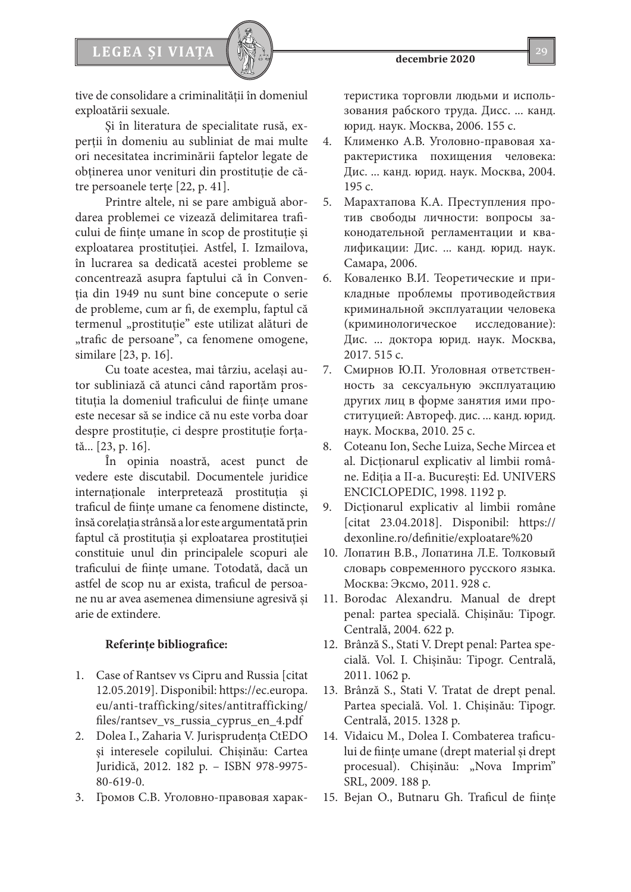

tive de consolidare a criminalităţii în domeniul

exploatării sexuale. Şi în literatura de specialitate rusă, experţii în domeniu au subliniat de mai multe ori necesitatea incriminării faptelor legate de obţinerea unor venituri din prostituţie de către persoanele terţe [22, p. 41].

Printre altele, ni se pare ambiguă abordarea problemei ce vizează delimitarea traficului de fiinţe umane în scop de prostituţie şi exploatarea prostituţiei. Astfel, I. Izmailova, în lucrarea sa dedicată acestei probleme se concentrează asupra faptului că în Convenţia din 1949 nu sunt bine concepute o serie de probleme, cum ar fi, de exemplu, faptul că termenul "prostituție" este utilizat alături de "trafic de persoane", ca fenomene omogene, similare [23, p. 16].

Cu toate acestea, mai târziu, acelaşi autor subliniază că atunci când raportăm prostituţia la domeniul traficului de fiinţe umane este necesar să se indice că nu este vorba doar despre prostituţie, ci despre prostituţie forţată... [23, p. 16].

În opinia noastră, acest punct de vedere este discutabil. Documentele juridice internaţionale interpretează prostituţia şi traficul de fiinţe umane ca fenomene distincte, însă corelaţia strânsă a lor este argumentată prin faptul că prostituţia şi exploatarea prostituţiei constituie unul din principalele scopuri ale traficului de fiinţe umane. Totodată, dacă un astfel de scop nu ar exista, traficul de persoane nu ar avea asemenea dimensiune agresivă şi arie de extindere.

# **Referințe bibliografice:**

- 1. Case of Rantsev vs Cipru and Russia [citat 12.05.2019]. Disponibil: https://ec.europa. eu/anti-trafficking/sites/antitrafficking/ files/rantsev\_vs\_russia\_cyprus\_en\_4.pdf
- 2. Dolea I., Zaharia V. Jurisprudenţa CtEDO şi interesele copilului. Chişinău: Cartea Juridică, 2012. 182 p. – ISBN 978-9975- 80-619-0.
- 3. Громов С.В. Уголовно-правовая харак-

теристика торговли людьми и использования рабского труда. Дисс. ... канд. юрид. наук. Москва, 2006. 155 c.

- 4. Клименко A.B. Уголовно-правовая характеристика похищения человека: Диc. ... канд. юрид. наук. Москва, 2004. 195 c.
- 5. Марахтапова К.А. Преступления против свободы личности: вопросы законодательной регламентации и квалификации: Дис. ... канд. юрид. наук. Самара, 2006.
- 6. Коваленко В.И. Теоретические и прикладные проблемы противодействия криминальной эксплуатации человека (криминологическое исследование): Дис. ... доктора юрид. наук. Москва, 2017. 515 с.
- 7. Смирнов Ю.П. Уголовная ответственность за сексуальную эксплуатацию других лиц в форме занятия ими проституцией: Автореф. дис. ... канд. юрид. наук. Москва, 2010. 25 c.
- 8. Coteanu Ion, Seche Luiza, Seche Mircea et al. Dicţionarul explicativ al limbii române. Ediţia a II-a. Bucureşti: Ed. UNIVERS ENCICLOPEDIC, 1998. 1192 p.
- 9. Dicţionarul explicativ al limbii române [citat 23.04.2018]. Disponibil: https:// dexonline.ro/definitie/exploatare%20
- 10. Лопатин В.В., Лопатина Л.Е. Толковый словарь современного русского языка. Москва: Эксмо, 2011. 928 c.
- 11. Borodac Alexandru. Manual de drept penal: partea specială. Chişinău: Tipogr. Centrală, 2004. 622 p.
- 12. Brânză S., Stati V. Drept penal: Partea specială. Vol. I. Chişinău: Tipogr. Centrală, 2011. 1062 p.
- 13. Brânză S., Stati V. Tratat de drept penal. Partea specială. Vol. 1. Chişinău: Tipogr. Centrală, 2015. 1328 p.
- 14. Vidaicu M., Dolea I. Combaterea traficului de fiinţe umane (drept material şi drept procesual). Chișinău: "Nova Imprim" SRL, 2009. 188 p.
- 15. Bejan O., Butnaru Gh. Traficul de fiinţe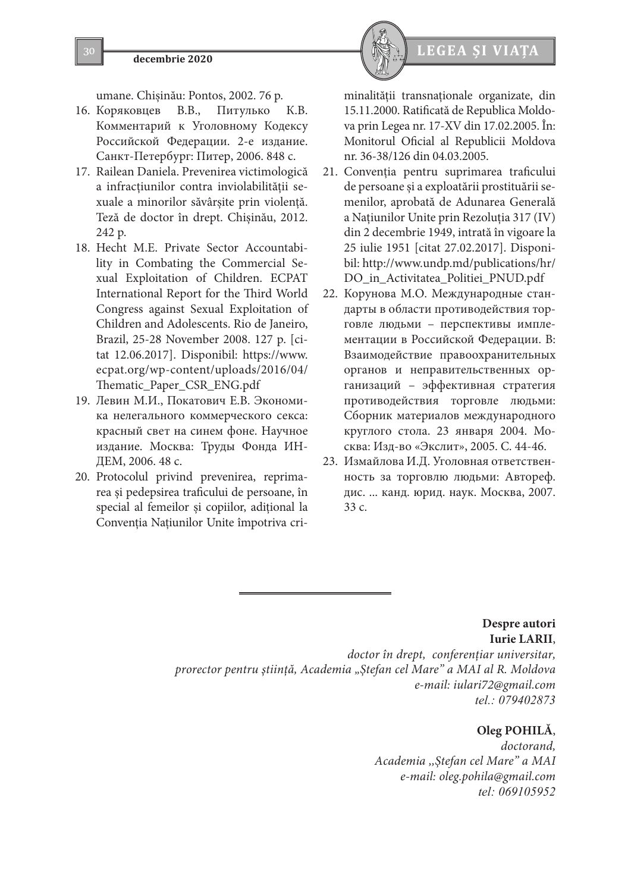# **decembrie 2020 LEGEA ȘI VIAȚA**

umane. Chişinău: Pontos, 2002. 76 p.

- 16. Коряковцев В.В., Питулько К.В. Комментарий к Уголовному Кодексу Российской Федерации. 2-е издание. Санкт-Петербург: Питер, 2006. 848 с.
- 17. Railean Daniela. Prevenirea victimologică a infracţiunilor contra inviolabilităţii sexuale a minorilor săvârşite prin violenţă. Teză de doctor în drept. Chişinău, 2012. 242 p.
- 18. Hecht M.E. Private Sector Accountability in Combating the Commercial Sexual Exploitation of Children. ECPAT International Report for the Third World Congress against Sexual Exploitation of Children and Adolescents. Rio de Janeiro, Brazil, 25-28 November 2008. 127 p. [citat 12.06.2017]. Disponibil: https://www. ecpat.org/wp-content/uploads/2016/04/ Thematic\_Paper\_CSR\_ENG.pdf
- 19. Левин М.И., Покатович Е.В. Экономика нелегального коммерческого секса: красный свет на синем фоне. Научное издание. Москва: Труды Фонда ИН-ДЕМ, 2006. 48 c.
- 20. Protocolul privind prevenirea, reprimarea şi pedepsirea traficului de persoane, în special al femeilor şi copiilor, adiţional la Convenţia Naţiunilor Unite împotriva cri-



- 21. Convenţia pentru suprimarea traficului de persoane şi a exploatării prostituării semenilor, aprobată de Adunarea Generală a Naţiunilor Unite prin Rezoluţia 317 (IV) din 2 decembrie 1949, intrată în vigoare la 25 iulie 1951 [citat 27.02.2017]. Disponibil: http://www.undp.md/publications/hr/ DO\_in\_Activitatea\_Politiei\_PNUD.pdf
- 22. Корунова М.О. Международные стандарты в области противодействия торговле людьми – перспективы имплементации в Российской Федерации. B: Взаимодействие правоохранительных органов и неправительственных организаций – эффективная стратегия противодействия торговле людьми: Сборник материалов международного круглого стола. 23 января 2004. Москва: Изд-во «Экслит», 2005. С. 44-46.
- 23. Измайлова И.Д. Уголовная ответственность за торговлю людьми: Автореф. дис. ... канд. юрид. наук. Москва, 2007. 33 c.

**Despre autori Iurie LARII**, *doctor în drept, conferenţiar universitar, prorector pentru ştiinţă, Academia "Ştefan cel Mare" a MAI al R. Moldova e-mail: iulari72@gmail.com tel.: 079402873*

# **Oleg POHILĂ**,

*doctorand, Academia ,,Ştefan cel Mare" a MAI e-mail: oleg.pohila@gmail.com tel: 069105952*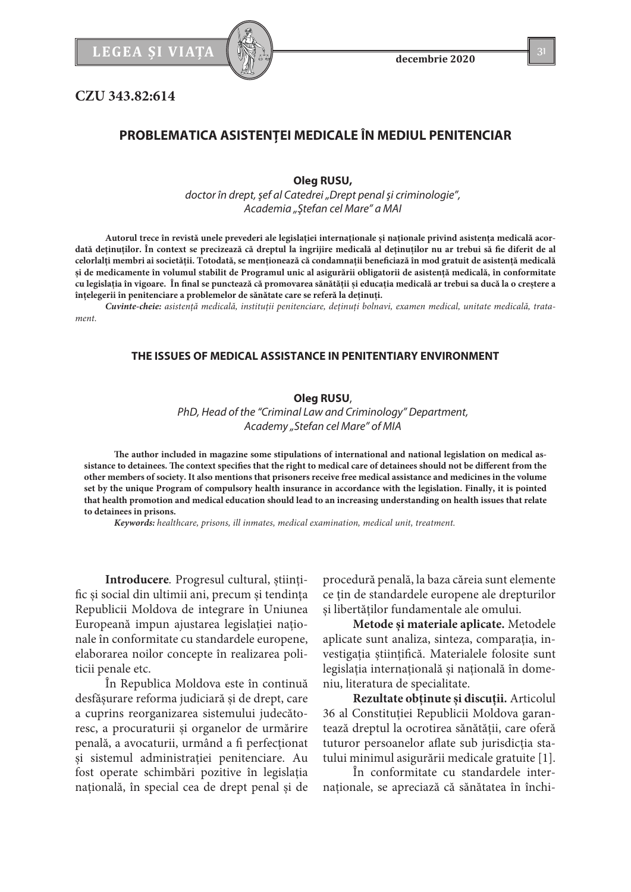

**CZU 343.82:614**

### **Oleg RUSU,**

*doctor în drept, şef al Catedrei "Drept penal şi criminologie", Academia "Ştefan cel Mare" a MAI*

Autorul trece în revistă unele prevederi ale legislației internaționale și naționale privind asistența medicală acor**dată deţinuţilor. În context se precizează că dreptul la îngrijire medicală al deţinuţilor nu ar trebui să fie diferit de al celorlalţi membri ai societăţii. Totodată, se menţionează că condamnaţii beneficiază în mod gratuit de asistenţă medicală şi de medicamente în volumul stabilit de Programul unic al asigurării obligatorii de asistenţă medicală, în conformitate cu legislaţia în vigoare. În final se punctează că promovarea sănătăţii şi educaţia medicală ar trebui sa ducă la o creştere a înţelegerii în penitenciare a problemelor de sănătate care se referă la deţinuţi.** 

*Cuvinte-cheie: asistenţă medicală, instituţii penitenciare, deţinuţi bolnavi, examen medical, unitate medicală, tratament.*

### **THE ISSUES OF MEDICAL ASSISTANCE IN PENITENTIARY ENVIRONMENT**

### **Oleg RUSU**,

*PhD, Head of the "Criminal Law and Criminology" Department, Academy "Stefan cel Mare" of MIA*

**The author included in magazine some stipulations of international and national legislation on medical assistance to detainees. The context specifies that the right to medical care of detainees should not be different from the other members of society. It also mentions that prisoners receive free medical assistance and medicines in the volume set by the unique Program of compulsory health insurance in accordance with the legislation. Finally, it is pointed that health promotion and medical education should lead to an increasing understanding on health issues that relate to detainees in prisons.**

*Keywords: healthcare, prisons, ill inmates, medical examination, medical unit, treatment.*

**Introducere***.* Progresul cultural, ştiinţific şi social din ultimii ani, precum şi tendinţa Republicii Moldova de integrare în Uniunea Europeană impun ajustarea legislaţiei naţionale în conformitate cu standardele europene, elaborarea noilor concepte în realizarea politicii penale etc.

În Republica Moldova este în continuă desfăşurare reforma judiciară şi de drept, care a cuprins reorganizarea sistemului judecătoresc, a procuraturii şi organelor de urmărire penală, a avocaturii, urmând a fi perfecţionat şi sistemul administraţiei penitenciare. Au fost operate schimbări pozitive în legislaţia națională, în special cea de drept penal și de procedură penală, la baza căreia sunt elemente ce ţin de standardele europene ale drepturilor şi libertăţilor fundamentale ale omului.

**Metode şi materiale aplicate.** Metodele aplicate sunt analiza, sinteza, comparaţia, investigaţia ştiinţifică. Materialele folosite sunt legislaţia internaţională şi naţională în domeniu, literatura de specialitate.

**Rezultate obţinute şi discuţii.** Articolul 36 al Constituţiei Republicii Moldova garantează dreptul la ocrotirea sănătăţii, care oferă tuturor persoanelor aflate sub jurisdicţia statului minimul asigurării medicale gratuite [1].

În conformitate cu standardele internaționale, se apreciază că sănătatea în închi-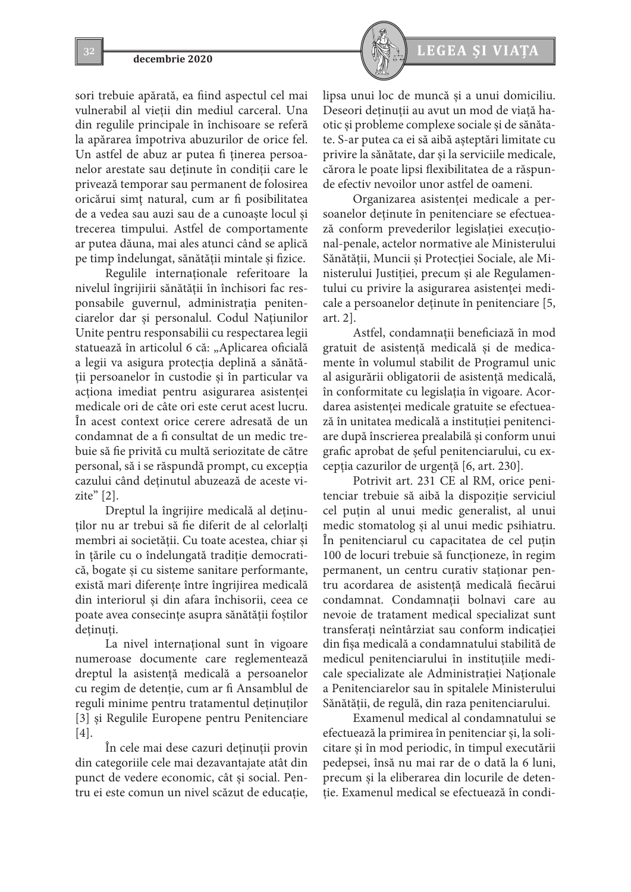sori trebuie apărată, ea fiind aspectul cel mai vulnerabil al vieţii din mediul carceral. Una din regulile principale în închisoare se referă la apărarea împotriva abuzurilor de orice fel. Un astfel de abuz ar putea fi ținerea persoanelor arestate sau deţinute în condiţii care le privează temporar sau permanent de folosirea oricărui simţ natural, cum ar fi posibilitatea de a vedea sau auzi sau de a cunoaşte locul şi trecerea timpului. Astfel de comportamente ar putea dăuna, mai ales atunci când se aplică pe timp îndelungat, sănătăţii mintale şi fizice.

Regulile internaţionale referitoare la nivelul îngrijirii sănătăţii în închisori fac responsabile guvernul, administraţia penitenciarelor dar şi personalul. Codul Naţiunilor Unite pentru responsabilii cu respectarea legii statuează în articolul 6 că: "Aplicarea oficială a legii va asigura protecţia deplină a sănătăţii persoanelor în custodie şi în particular va acţiona imediat pentru asigurarea asistenţei medicale ori de câte ori este cerut acest lucru. În acest context orice cerere adresată de un condamnat de a fi consultat de un medic trebuie să fie privită cu multă seriozitate de către personal, să i se răspundă prompt, cu excepţia cazului când deținutul abuzează de aceste vizite" [2].

Dreptul la îngrijire medicală al deţinuţilor nu ar trebui să fie diferit de al celorlalţi membri ai societății. Cu toate acestea, chiar și în ţările cu o îndelungată tradiţie democratică, bogate şi cu sisteme sanitare performante, există mari diferențe între îngrijirea medicală din interiorul şi din afara închisorii, ceea ce poate avea consecinţe asupra sănătăţii foştilor detinuti.

La nivel internațional sunt în vigoare numeroase documente care reglementează dreptul la asistenţă medicală a persoanelor cu regim de detenţie, cum ar fi Ansamblul de reguli minime pentru tratamentul deţinuţilor [3] şi Regulile Europene pentru Penitenciare [4].

În cele mai dese cazuri deţinuţii provin din categoriile cele mai dezavantajate atât din punct de vedere economic, cât şi social. Pentru ei este comun un nivel scăzut de educaţie,



lipsa unui loc de muncă şi a unui domiciliu. Deseori deţinuţii au avut un mod de viaţă haotic şi probleme complexe sociale şi de sănătate. S-ar putea ca ei să aibă aşteptări limitate cu privire la sănătate, dar şi la serviciile medicale, cărora le poate lipsi flexibilitatea de a răspunde efectiv nevoilor unor astfel de oameni.

Organizarea asistenţei medicale a persoanelor deţinute în penitenciare se efectuează conform prevederilor legislaţiei execuţional-penale, actelor normative ale Ministerului Sănătăţii, Muncii şi Protecţiei Sociale, ale Ministerului Justiției, precum și ale Regulamentului cu privire la asigurarea asistenţei medicale a persoanelor deţinute în penitenciare [5, art. 2].

Astfel, condamnaţii beneficiază în mod gratuit de asistenţă medicală şi de medicamente în volumul stabilit de Programul unic al asigurării obligatorii de asistenţă medicală, în conformitate cu legislaţia în vigoare. Acordarea asistenţei medicale gratuite se efectuează în unitatea medicală a instituţiei penitenciare după înscrierea prealabilă şi conform unui grafic aprobat de şeful penitenciarului, cu excepţia cazurilor de urgenţă [6, art. 230].

Potrivit art. 231 CE al RM, orice penitenciar trebuie să aibă la dispoziţie serviciul cel puţin al unui medic generalist, al unui medic stomatolog şi al unui medic psihiatru. În penitenciarul cu capacitatea de cel puţin 100 de locuri trebuie să funcţioneze, în regim permanent, un centru curativ staţionar pentru acordarea de asistenţă medicală fiecărui condamnat. Condamnatii bolnavi care au nevoie de tratament medical specializat sunt transferaţi neîntârziat sau conform indicaţiei din fişa medicală a condamnatului stabilită de medicul penitenciarului în instituţiile medicale specializate ale Administraţiei Naţionale a Penitenciarelor sau în spitalele Ministerului Sănătății, de regulă, din raza penitenciarului.

Examenul medical al condamnatului se efectuează la primirea în penitenciar şi, la solicitare şi în mod periodic, în timpul executării pedepsei, însă nu mai rar de o dată la 6 luni, precum şi la eliberarea din locurile de detenţie. Examenul medical se efectuează în condi-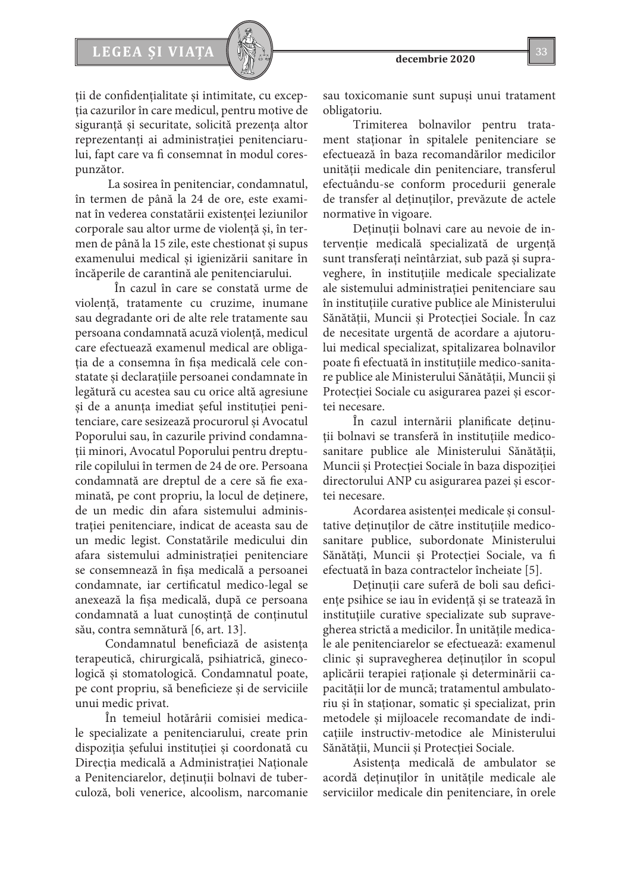# LEGEA ȘI VIAȚA  $\left[\begin{array}{c} \sqrt{2} & \sqrt{2} \\ \sqrt{2} & \sqrt{2} \end{array}\right]$  33

ţii de confidenţialitate şi intimitate, cu excepţia cazurilor în care medicul, pentru motive de siguranță și securitate, solicită prezența altor reprezentanți ai administrației penitenciarului, fapt care va fi consemnat în modul corespunzător.

 La sosirea în penitenciar, condamnatul, în termen de până la 24 de ore, este examinat în vederea constatării existenței leziunilor corporale sau altor urme de violenţă şi, în termen de până la 15 zile, este chestionat şi supus examenului medical şi igienizării sanitare în încăperile de carantină ale penitenciarului.

 În cazul în care se constată urme de violenţă, tratamente cu cruzime, inumane sau degradante ori de alte rele tratamente sau persoana condamnată acuză violenţă, medicul care efectuează examenul medical are obligaţia de a consemna în fişa medicală cele constatate şi declaraţiile persoanei condamnate în legătură cu acestea sau cu orice altă agresiune şi de a anunţa imediat şeful instituţiei penitenciare, care sesizează procurorul şi Avocatul Poporului sau, în cazurile privind condamnaţii minori, Avocatul Poporului pentru drepturile copilului în termen de 24 de ore. Persoana condamnată are dreptul de a cere să fie examinată, pe cont propriu, la locul de deținere, de un medic din afara sistemului administraţiei penitenciare, indicat de aceasta sau de un medic legist. Constatările medicului din afara sistemului administraţiei penitenciare se consemnează în fişa medicală a persoanei condamnate, iar certificatul medico-legal se anexează la fişa medicală, după ce persoana condamnată a luat cunoştinţă de conţinutul său, contra semnătură [6, art. 13].

Condamnatul beneficiază de asistența terapeutică, chirurgicală, psihiatrică, ginecologică şi stomatologică. Condamnatul poate, pe cont propriu, să beneficieze şi de serviciile unui medic privat.

În temeiul hotărârii comisiei medicale specializate a penitenciarului, create prin dispoziţia şefului instituţiei şi coordonată cu Direcția medicală a Administrației Naționale a Penitenciarelor, deţinuţii bolnavi de tuberculoză, boli venerice, alcoolism, narcomanie sau toxicomanie sunt supuşi unui tratament obligatoriu.

Trimiterea bolnavilor pentru tratament staţionar în spitalele penitenciare se efectuează în baza recomandărilor medicilor unităţii medicale din penitenciare, transferul efectuându-se conform procedurii generale de transfer al deţinuţilor, prevăzute de actele normative în vigoare.

Deţinuţii bolnavi care au nevoie de intervenţie medicală specializată de urgenţă sunt transferaţi neîntârziat, sub pază şi supraveghere, în instituţiile medicale specializate ale sistemului administraţiei penitenciare sau în instituţiile curative publice ale Ministerului Sănătăţii, Muncii şi Protecţiei Sociale. În caz de necesitate urgentă de acordare a ajutorului medical specializat, spitalizarea bolnavilor poate fi efectuată în instituţiile medico-sanitare publice ale Ministerului Sănătăţii, Muncii şi Protecţiei Sociale cu asigurarea pazei şi escortei necesare.

În cazul internării planificate deţinuţii bolnavi se transferă în instituţiile medicosanitare publice ale Ministerului Sănătăţii, Muncii şi Protecţiei Sociale în baza dispoziţiei directorului ANP cu asigurarea pazei şi escortei necesare.

Acordarea asistenţei medicale şi consultative deţinuţilor de către instituţiile medicosanitare publice, subordonate Ministerului Sănătăţi, Muncii şi Protecţiei Sociale, va fi efectuată în baza contractelor încheiate [5].

Deținuții care suferă de boli sau deficienţe psihice se iau în evidenţă şi se tratează în instituţiile curative specializate sub supravegherea strictă a medicilor. În unităţile medicale ale penitenciarelor se efectuează: examenul clinic şi supravegherea deţinuţilor în scopul aplicării terapiei raţionale şi determinării capacităţii lor de muncă; tratamentul ambulatoriu şi în staţionar, somatic şi specializat, prin metodele şi mijloacele recomandate de indicaţiile instructiv-metodice ale Ministerului Sănătății, Muncii și Protecției Sociale.

Asistenţa medicală de ambulator se acordă deţinuţilor în unităţile medicale ale serviciilor medicale din penitenciare, în orele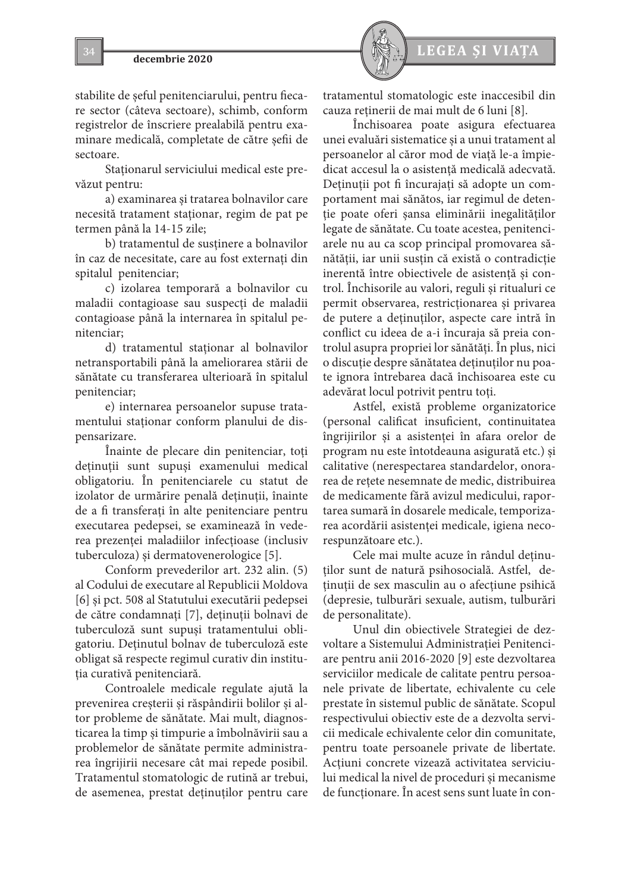stabilite de şeful penitenciarului, pentru fiecare sector (câteva sectoare), schimb, conform registrelor de înscriere prealabilă pentru examinare medicală, completate de către şefii de sectoare.

Staționarul serviciului medical este prevăzut pentru:

a) examinarea şi tratarea bolnavilor care necesită tratament staţionar, regim de pat pe termen până la 14-15 zile;

b) tratamentul de susţinere a bolnavilor în caz de necesitate, care au fost externaţi din spitalul penitenciar;

c) izolarea temporară a bolnavilor cu maladii contagioase sau suspecţi de maladii contagioase până la internarea în spitalul penitenciar;

d) tratamentul staţionar al bolnavilor netransportabili până la ameliorarea stării de sănătate cu transferarea ulterioară în spitalul penitenciar;

e) internarea persoanelor supuse tratamentului staţionar conform planului de dispensarizare.

Înainte de plecare din penitenciar, toţi deţinuţii sunt supuşi examenului medical obligatoriu. În penitenciarele cu statut de izolator de urmărire penală deţinuţii, înainte de a fi transferaţi în alte penitenciare pentru executarea pedepsei, se examinează în vederea prezentei maladiilor infectioase (inclusiv tuberculoza) şi dermatovenerologice [5].

Conform prevederilor art. 232 alin. (5) al Codului de executare al Republicii Moldova [6] şi pct. 508 al Statutului executării pedepsei de către condamnaţi [7], deţinuţii bolnavi de tuberculoză sunt supuşi tratamentului obligatoriu. Deţinutul bolnav de tuberculoză este obligat să respecte regimul curativ din instituţia curativă penitenciară.

Controalele medicale regulate ajută la prevenirea creşterii şi răspândirii bolilor şi altor probleme de sănătate. Mai mult, diagnosticarea la timp şi timpurie a îmbolnăvirii sau a problemelor de sănătate permite administrarea îngrijirii necesare cât mai repede posibil. Tratamentul stomatologic de rutină ar trebui, de asemenea, prestat deţinuţilor pentru care



tratamentul stomatologic este inaccesibil din cauza reţinerii de mai mult de 6 luni [8].

Închisoarea poate asigura efectuarea unei evaluări sistematice şi a unui tratament al persoanelor al căror mod de viaţă le-a împiedicat accesul la o asistenţă medicală adecvată. Deţinuţii pot fi încurajaţi să adopte un comportament mai sănătos, iar regimul de detenţie poate oferi şansa eliminării inegalităţilor legate de sănătate. Cu toate acestea, penitenciarele nu au ca scop principal promovarea sănătăţii, iar unii susţin că există o contradicţie inerentă între obiectivele de asistenţă şi control. Închisorile au valori, reguli şi ritualuri ce permit observarea, restricţionarea şi privarea de putere a deţinuţilor, aspecte care intră în conflict cu ideea de a-i încuraja să preia controlul asupra propriei lor sănătăţi. În plus, nici o discuţie despre sănătatea deţinuţilor nu poate ignora întrebarea dacă închisoarea este cu adevărat locul potrivit pentru toţi.

Astfel, există probleme organizatorice (personal calificat insuficient, continuitatea îngrijirilor şi a asistenţei în afara orelor de program nu este întotdeauna asigurată etc.) şi calitative (nerespectarea standardelor, onorarea de retete nesemnate de medic, distribuirea de medicamente fără avizul medicului, raportarea sumară în dosarele medicale, temporizarea acordării asistenţei medicale, igiena necorespunzătoare etc.).

Cele mai multe acuze în rândul deţinuţilor sunt de natură psihosocială. Astfel, detinuții de sex masculin au o afecțiune psihică (depresie, tulburări sexuale, autism, tulburări de personalitate).

Unul din obiectivele Strategiei de dezvoltare a Sistemului Administratiei Penitenciare pentru anii 2016-2020 [9] este dezvoltarea serviciilor medicale de calitate pentru persoanele private de libertate, echivalente cu cele prestate în sistemul public de sănătate. Scopul respectivului obiectiv este de a dezvolta servicii medicale echivalente celor din comunitate, pentru toate persoanele private de libertate. Actiuni concrete vizează activitatea serviciului medical la nivel de proceduri şi mecanisme de funcţionare. În acest sens sunt luate în con-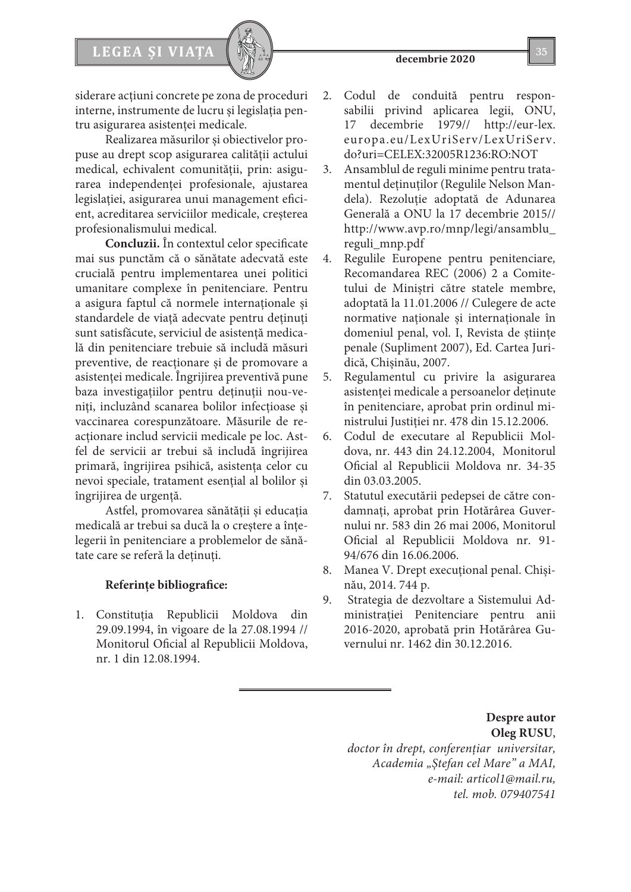

siderare acţiuni concrete pe zona de proceduri interne, instrumente de lucru şi legislaţia pentru asigurarea asistenței medicale.

Realizarea măsurilor şi obiectivelor propuse au drept scop asigurarea calităţii actului medical, echivalent comunităţii, prin: asigurarea independenţei profesionale, ajustarea legislației, asigurarea unui management eficient, acreditarea serviciilor medicale, creşterea profesionalismului medical.

**Concluzii.** În contextul celor specificate mai sus punctăm că o sănătate adecvată este crucială pentru implementarea unei politici umanitare complexe în penitenciare. Pentru a asigura faptul că normele internaţionale şi standardele de viaţă adecvate pentru deţinuţi sunt satisfăcute, serviciul de asistență medicală din penitenciare trebuie să includă măsuri preventive, de reacţionare şi de promovare a asistenţei medicale. Îngrijirea preventivă pune baza investigaţiilor pentru deţinuţii nou-veniți, incluzând scanarea bolilor infecțioase și vaccinarea corespunzătoare. Măsurile de reactionare includ servicii medicale pe loc. Astfel de servicii ar trebui să includă îngrijirea primară, îngrijirea psihică, asistenţa celor cu nevoi speciale, tratament esențial al bolilor și îngrijirea de urgență.

Astfel, promovarea sănătăţii şi educaţia medicală ar trebui sa ducă la o creştere a înţelegerii în penitenciare a problemelor de sănătate care se referă la deţinuţi.

# **Referinţe bibliografice:**

1. Constituţia Republicii Moldova din 29.09.1994, în vigoare de la 27.08.1994 // Monitorul Oficial al Republicii Moldova, nr. 1 din 12.08.1994.

- 2. Codul de conduită pentru responsabilii privind aplicarea legii, ONU, 17 decembrie 1979// http://eur-lex. europa.eu/LexUriServ/LexUriServ. do?uri=CELEX:32005R1236:RO:NOT
- 3. Ansamblul de reguli minime pentru tratamentul deţinuţilor (Regulile Nelson Mandela). Rezolutie adoptată de Adunarea Generală a ONU la 17 decembrie 2015// http://www.avp.ro/mnp/legi/ansamblu\_ reguli\_mnp.pdf
- 4. Regulile Europene pentru penitenciare*,* Recomandarea REC (2006) 2 a Comitetului de Miniştri către statele membre, adoptată la 11.01.2006 // Culegere de acte normative naţionale şi internaţionale în domeniul penal, vol. I, Revista de ştiinţe penale (Supliment 2007), Ed. Cartea Juridică, Chişinău, 2007.
- 5. Regulamentul cu privire la asigurarea asistenţei medicale a persoanelor deţinute în penitenciare, aprobat prin ordinul ministrului Justiţiei nr. 478 din 15.12.2006.
- 6. Codul de executare al Republicii Moldova, nr. 443 din 24.12.2004, Monitorul Oficial al Republicii Moldova nr. 34-35 din 03.03.2005.
- 7. Statutul executării pedepsei de către condamnați, aprobat prin Hotărârea Guvernului nr. 583 din 26 mai 2006, Monitorul Oficial al Republicii Moldova nr. 91- 94/676 din 16.06.2006.
- 8. Manea V. Drept execuţional penal. Chişinău, 2014. 744 p.
- 9. Strategia de dezvoltare a Sistemului Administraţiei Penitenciare pentru anii 2016-2020, aprobată prin Hotărârea Guvernului nr. 1462 din 30.12.2016.

**Despre autor Oleg RUSU**, *doctor în drept, conferenţiar universitar, Academia "Ştefan cel Mare" a MAI, e-mail: articol1@mail.ru, tel. mob. 079407541*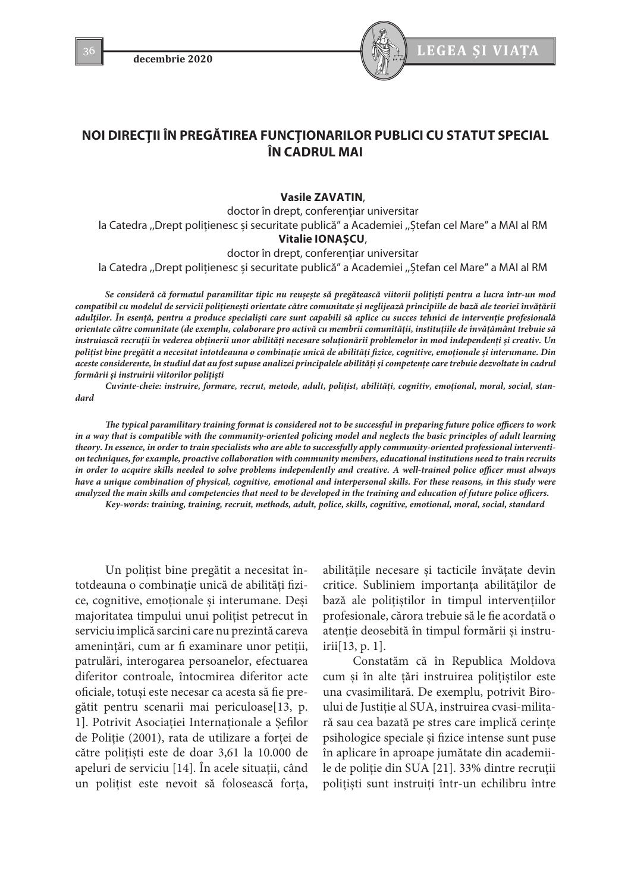

# **NOI DIRECŢII ÎN PREGĂTIREA FUNCŢIONARILOR PUBLICI CU STATUT SPECIAL ÎN CADRUL MAI**

**Vasile ZAVATIN**,

doctor în drept, conferențiar universitar la Catedra ,,Drept polițienesc și securitate publică" a Academiei ,,Ștefan cel Mare" a MAI al RM **Vitalie IONAȘCU**,

doctor în drept, conferențiar universitar

la Catedra ,,Drept polițienesc și securitate publică" a Academiei ,,Ștefan cel Mare" a MAI al RM

*Se consideră că formatul paramilitar tipic nu reușește să pregătească viitorii polițiști pentru a lucra într-un mod compatibil cu modelul de servicii polițienești orientate către comunitate și neglijează principiile de bază ale teoriei învățării adulților. În esență, pentru a produce specialiști care sunt capabili să aplice cu succes tehnici de intervenție profesională orientate către comunitate (de exemplu, colaborare pro activă cu membrii comunității, instituțiile de învățământ trebuie să instruiască recruții în vederea obținerii unor abilități necesare soluționării problemelor în mod independenți și creativ. Un polițist bine pregătit a necesitat întotdeauna o combinație unică de abilități fizice, cognitive, emoționale și interumane. Din aceste considerente, în studiul dat au fost supuse analizei principalele abilități și competențe care trebuie dezvoltate în cadrul formării și instruirii viitorilor polițiști*

*Cuvinte-cheie: instruire, formare, recrut, metode, adult, polițist, abilități, cognitiv, emoțional, moral, social, standard*

*The typical paramilitary training format is considered not to be successful in preparing future police officers to work in a way that is compatible with the community-oriented policing model and neglects the basic principles of adult learning theory. In essence, in order to train specialists who are able to successfully apply community-oriented professional intervention techniques, for example, proactive collaboration with community members, educational institutions need to train recruits in order to acquire skills needed to solve problems independently and creative. A well-trained police officer must always have a unique combination of physical, cognitive, emotional and interpersonal skills. For these reasons, in this study were analyzed the main skills and competencies that need to be developed in the training and education of future police officers.*

*Key-words: training, training, recruit, methods, adult, police, skills, cognitive, emotional, moral, social, standard*

Un polițist bine pregătit a necesitat întotdeauna o combinație unică de abilități fizice, cognitive, emoționale și interumane. Deși majoritatea timpului unui polițist petrecut în serviciu implică sarcini care nu prezintă careva amenințări, cum ar fi examinare unor petiții, patrulări, interogarea persoanelor, efectuarea diferitor controale, întocmirea diferitor acte oficiale, totuși este necesar ca acesta să fie pregătit pentru scenarii mai periculoase[13, p. 1]. Potrivit Asociației Internaționale a Șefilor de Poliție (2001), rata de utilizare a forței de către polițiști este de doar 3,61 la 10.000 de apeluri de serviciu [14]. În acele situații, când un polițist este nevoit să folosească forța,

abilitățile necesare și tacticile învățate devin critice. Subliniem importanța abilităților de bază ale polițiștilor în timpul intervențiilor profesionale, cărora trebuie să le fie acordată o atenție deosebită în timpul formării și instruirii[13, p. 1].

Constatăm că în Republica Moldova cum și în alte țări instruirea polițiștilor este una cvasimilitară. De exemplu, potrivit Biroului de Justiție al SUA, instruirea cvasi-militară sau cea bazată pe stres care implică cerințe psihologice speciale și fizice intense sunt puse în aplicare în aproape jumătate din academiile de poliție din SUA [21]. 33% dintre recruții polițiști sunt instruiți într-un echilibru între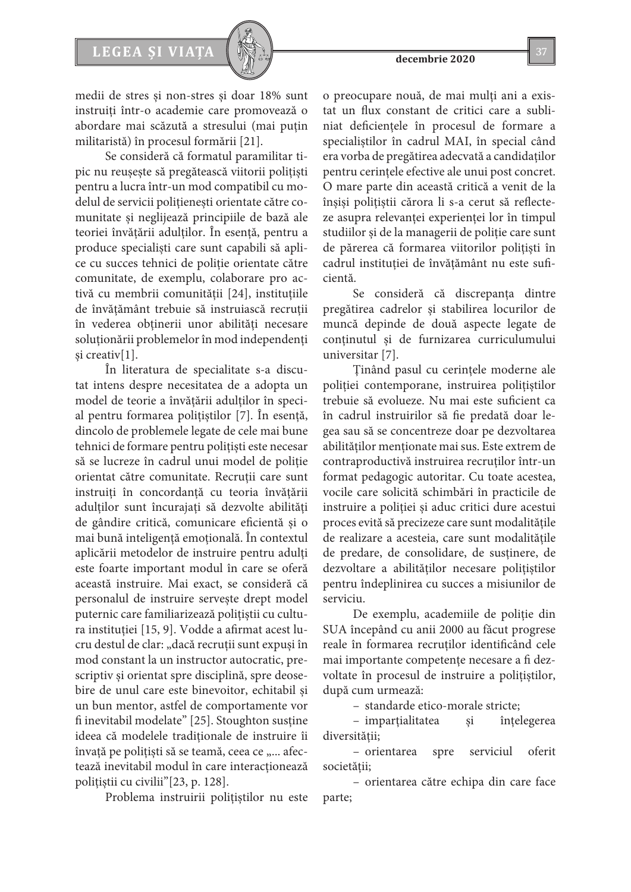

medii de stres și non-stres și doar 18% sunt instruiți într-o academie care promovează o abordare mai scăzută a stresului (mai puțin militaristă) în procesul formării [21].

Se consideră că formatul paramilitar tipic nu reușește să pregătească viitorii polițiști pentru a lucra într-un mod compatibil cu modelul de servicii polițienești orientate către comunitate și neglijează principiile de bază ale teoriei învățării adulților. În esență, pentru a produce specialiști care sunt capabili să aplice cu succes tehnici de poliție orientate către comunitate, de exemplu, colaborare pro activă cu membrii comunității [24], instituțiile de învățământ trebuie să instruiască recruții în vederea obținerii unor abilități necesare soluționării problemelor în mod independenți și creativ[1].

În literatura de specialitate s-a discutat intens despre necesitatea de a adopta un model de teorie a învățării adulților în special pentru formarea polițiștilor [7]. În esență, dincolo de problemele legate de cele mai bune tehnici de formare pentru polițiști este necesar să se lucreze în cadrul unui model de poliție orientat către comunitate. Recruții care sunt instruiți în concordanță cu teoria învățării adulților sunt încurajați să dezvolte abilități de gândire critică, comunicare eficientă și o mai bună inteligență emoțională. În contextul aplicării metodelor de instruire pentru adulți este foarte important modul în care se oferă această instruire. Mai exact, se consideră că personalul de instruire servește drept model puternic care familiarizează polițiștii cu cultura instituției [15, 9]. Vodde a afirmat acest lucru destul de clar: "dacă recruții sunt expuși în mod constant la un instructor autocratic, prescriptiv și orientat spre disciplină, spre deosebire de unul care este binevoitor, echitabil și un bun mentor, astfel de comportamente vor fi inevitabil modelate" [25]. Stoughton susține ideea că modelele tradiționale de instruire îi învață pe polițiști să se teamă, ceea ce "... afectează inevitabil modul în care interacționează polițiștii cu civilii"[23, p. 128].

Problema instruirii polițiștilor nu este

o preocupare nouă, de mai mulți ani a existat un flux constant de critici care a subliniat deficiențele în procesul de formare a specialiștilor în cadrul MAI, în special când era vorba de pregătirea adecvată a candidaților pentru cerințele efective ale unui post concret. O mare parte din această critică a venit de la înșiși polițiștii cărora li s-a cerut să reflecteze asupra relevanței experienței lor în timpul studiilor și de la managerii de poliție care sunt de părerea că formarea viitorilor polițiști în cadrul instituției de învățământ nu este suficientă.

Se consideră că discrepanța dintre pregătirea cadrelor și stabilirea locurilor de muncă depinde de două aspecte legate de conținutul și de furnizarea curriculumului universitar [7].

Ținând pasul cu cerințele moderne ale poliției contemporane, instruirea polițiștilor trebuie să evolueze. Nu mai este suficient ca în cadrul instruirilor să fie predată doar legea sau să se concentreze doar pe dezvoltarea abilităților menționate mai sus. Este extrem de contraproductivă instruirea recruților într-un format pedagogic autoritar. Cu toate acestea, vocile care solicită schimbări în practicile de instruire a poliției și aduc critici dure acestui proces evită să precizeze care sunt modalitățile de realizare a acesteia, care sunt modalitățile de predare, de consolidare, de susținere, de dezvoltare a abilităților necesare polițiștilor pentru îndeplinirea cu succes a misiunilor de serviciu.

De exemplu, academiile de poliție din SUA începând cu anii 2000 au făcut progrese reale în formarea recruților identificând cele mai importante competențe necesare a fi dezvoltate în procesul de instruire a polițiștilor, după cum urmează:

– standarde etico-morale stricte;

– imparțialitatea și înțelegerea diversității;

– orientarea spre serviciul oferit societății;

– orientarea către echipa din care face parte;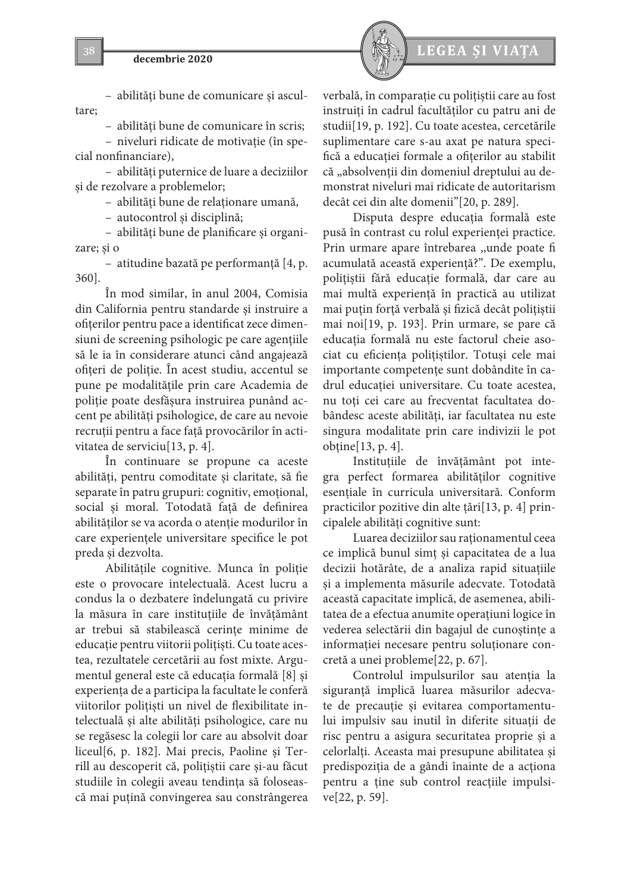

– abilități bune de comunicare și ascultare;

– abilități bune de comunicare în scris;

– niveluri ridicate de motivație (în special nonfinanciare),

– abilități puternice de luare a deciziilor și de rezolvare a problemelor;

– abilități bune de relaționare umană,

– autocontrol și disciplină;

– abilități bune de planificare și organizare; și o

– atitudine bazată pe performanță [4, p. 360].

În mod similar, în anul 2004, Comisia din California pentru standarde și instruire a ofițerilor pentru pace a identificat zece dimensiuni de screening psihologic pe care agențiile să le ia în considerare atunci când angajează ofițeri de poliție. În acest studiu, accentul se pune pe modalitățile prin care Academia de poliție poate desfășura instruirea punând accent pe abilități psihologice, de care au nevoie recruții pentru a face față provocărilor în activitatea de serviciu[13, p. 4].

În continuare se propune ca aceste abilități, pentru comoditate și claritate, să fie separate în patru grupuri: cognitiv, emoțional, social și moral. Totodată față de definirea abilităților se va acorda o atenție modurilor în care experiențele universitare specifice le pot preda și dezvolta.

Abilitățile cognitive. Munca în poliție este o provocare intelectuală. Acest lucru a condus la o dezbatere îndelungată cu privire la măsura în care instituțiile de învățământ ar trebui să stabilească cerințe minime de educație pentru viitorii polițiști. Cu toate acestea, rezultatele cercetării au fost mixte. Argumentul general este că educația formală [8] și experiența de a participa la facultate le conferă viitorilor polițiști un nivel de flexibilitate intelectuală și alte abilități psihologice, care nu se regăsesc la colegii lor care au absolvit doar liceul[6, p. 182]. Mai precis, Paoline și Terrill au descoperit că, polițiștii care și-au făcut studiile în colegii aveau tendința să folosească mai puțină convingerea sau constrângerea verbală, în comparație cu polițiștii care au fost instruiți în cadrul facultăților cu patru ani de studii[19, p. 192]. Cu toate acestea, cercetările suplimentare care s-au axat pe natura specifică a educației formale a ofițerilor au stabilit că "absolvenții din domeniul dreptului au demonstrat niveluri mai ridicate de autoritarism decât cei din alte domenii"[20, p. 289].

Disputa despre educația formală este pusă în contrast cu rolul experienței practice. Prin urmare apare întrebarea ,,unde poate fi acumulată această experiență?". De exemplu, polițiștii fără educație formală, dar care au mai multă experiență în practică au utilizat mai puțin forță verbală și fizică decât polițiștii mai noi[19, p. 193]. Prin urmare, se pare că educația formală nu este factorul cheie asociat cu eficiența polițiștilor. Totuși cele mai importante competențe sunt dobândite în cadrul educației universitare. Cu toate acestea, nu toți cei care au frecventat facultatea dobândesc aceste abilități, iar facultatea nu este singura modalitate prin care indivizii le pot obține[13, p. 4].

Instituțiile de învățământ pot integra perfect formarea abilităților cognitive esențiale în curricula universitară. Conform practicilor pozitive din alte țări[13, p. 4] principalele abilități cognitive sunt:

Luarea deciziilor sau raționamentul ceea ce implică bunul simț și capacitatea de a lua decizii hotărâte, de a analiza rapid situațiile şi a implementa măsurile adecvate. Totodată această capacitate implică, de asemenea, abilitatea de a efectua anumite operațiuni logice în vederea selectării din bagajul de cunoștințe a informației necesare pentru soluționare concretă a unei probleme[22, p. 67].

Controlul impulsurilor sau atenția la siguranță implică luarea măsurilor adecvate de precauție și evitarea comportamentului impulsiv sau inutil în diferite situații de risc pentru a asigura securitatea proprie și a celorlalți. Aceasta mai presupune abilitatea și predispoziția de a gândi înainte de a acționa pentru a ține sub control reacțiile impulsive[22, p. 59].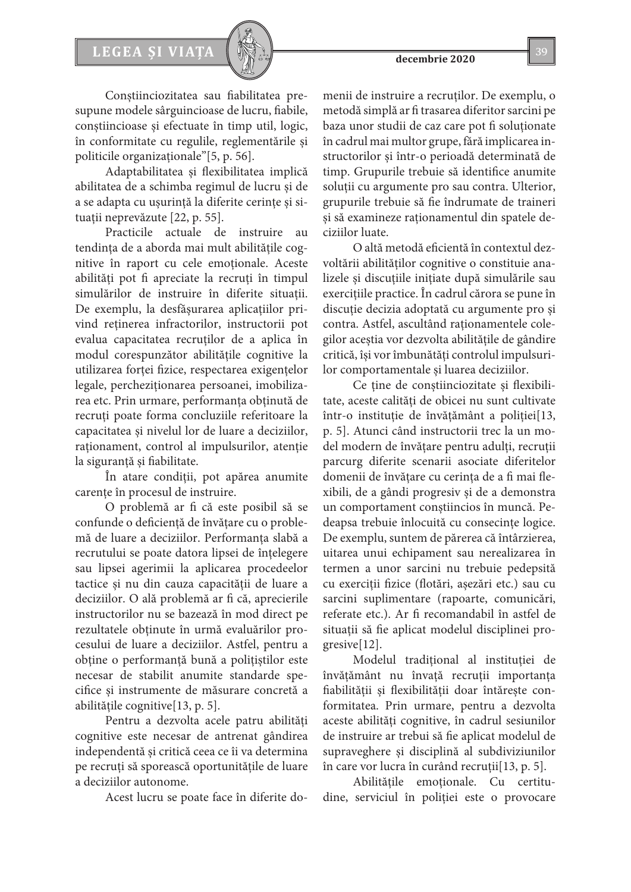

Conștiinciozitatea sau fiabilitatea presupune modele sârguincioase de lucru, fiabile, conștiincioase și efectuate în timp util, logic, în conformitate cu regulile, reglementările și politicile organizaționale"[5, p. 56].

Adaptabilitatea și flexibilitatea implică abilitatea de a schimba regimul de lucru și de a se adapta cu ușurință la diferite cerințe şi situații neprevăzute [22, p. 55].

Practicile actuale de instruire au tendința de a aborda mai mult abilitățile cognitive în raport cu cele emoționale. Aceste abilități pot fi apreciate la recruți în timpul simulărilor de instruire în diferite situații. De exemplu, la desfășurarea aplicațiilor privind reținerea infractorilor, instructorii pot evalua capacitatea recruților de a aplica în modul corespunzător abilitățile cognitive la utilizarea forței fizice, respectarea exigențelor legale, percheziționarea persoanei, imobilizarea etc. Prin urmare, performanța obținută de recruți poate forma concluziile referitoare la capacitatea și nivelul lor de luare a deciziilor, raționament, control al impulsurilor, atenție la siguranță și fiabilitate.

În atare condiții, pot apărea anumite carențe în procesul de instruire.

O problemă ar fi că este posibil să se confunde o deficiență de învățare cu o problemă de luare a deciziilor. Performanța slabă a recrutului se poate datora lipsei de înțelegere sau lipsei agerimii la aplicarea procedeelor tactice și nu din cauza capacității de luare a deciziilor. O ală problemă ar fi că, aprecierile instructorilor nu se bazează în mod direct pe rezultatele obținute în urmă evaluărilor procesului de luare a deciziilor. Astfel, pentru a obține o performanță bună a polițiștilor este necesar de stabilit anumite standarde specifice și instrumente de măsurare concretă a abilitățile cognitive[13, p. 5].

Pentru a dezvolta acele patru abilități cognitive este necesar de antrenat gândirea independentă și critică ceea ce îi va determina pe recruți să sporească oportunitățile de luare a deciziilor autonome.

Acest lucru se poate face în diferite do-

menii de instruire a recruților. De exemplu, o metodă simplă ar fi trasarea diferitor sarcini pe baza unor studii de caz care pot fi soluționate în cadrul mai multor grupe, fără implicarea instructorilor și într-o perioadă determinată de timp. Grupurile trebuie să identifice anumite soluții cu argumente pro sau contra. Ulterior, grupurile trebuie să fie îndrumate de traineri și să examineze raționamentul din spatele deciziilor luate.

O altă metodă eficientă în contextul dezvoltării abilităților cognitive o constituie analizele și discuțiile inițiate după simulările sau exercițiile practice. În cadrul cărora se pune în discuție decizia adoptată cu argumente pro și contra. Astfel, ascultând raționamentele colegilor aceștia vor dezvolta abilitățile de gândire critică, își vor îmbunătăți controlul impulsurilor comportamentale și luarea deciziilor.

Ce ține de conștiinciozitate și flexibilitate, aceste calități de obicei nu sunt cultivate într-o instituție de învățământ a poliției[13, p. 5]. Atunci când instructorii trec la un model modern de învățare pentru adulți, recruții parcurg diferite scenarii asociate diferitelor domenii de învățare cu cerința de a fi mai flexibili, de a gândi progresiv și de a demonstra un comportament conștiincios în muncă. Pedeapsa trebuie înlocuită cu consecințe logice. De exemplu, suntem de părerea că întârzierea, uitarea unui echipament sau nerealizarea în termen a unor sarcini nu trebuie pedepsită cu exerciții fizice (flotări, așezări etc.) sau cu sarcini suplimentare (rapoarte, comunicări, referate etc.). Ar fi recomandabil în astfel de situații să fie aplicat modelul disciplinei progresive[12].

Modelul tradițional al instituției de învățământ nu învață recruții importanța fiabilității și flexibilității doar întărește conformitatea. Prin urmare, pentru a dezvolta aceste abilități cognitive, în cadrul sesiunilor de instruire ar trebui să fie aplicat modelul de supraveghere și disciplină al subdiviziunilor în care vor lucra în curând recruții[13, p. 5].

Abilitățile emoționale. Cu certitudine, serviciul în poliției este o provocare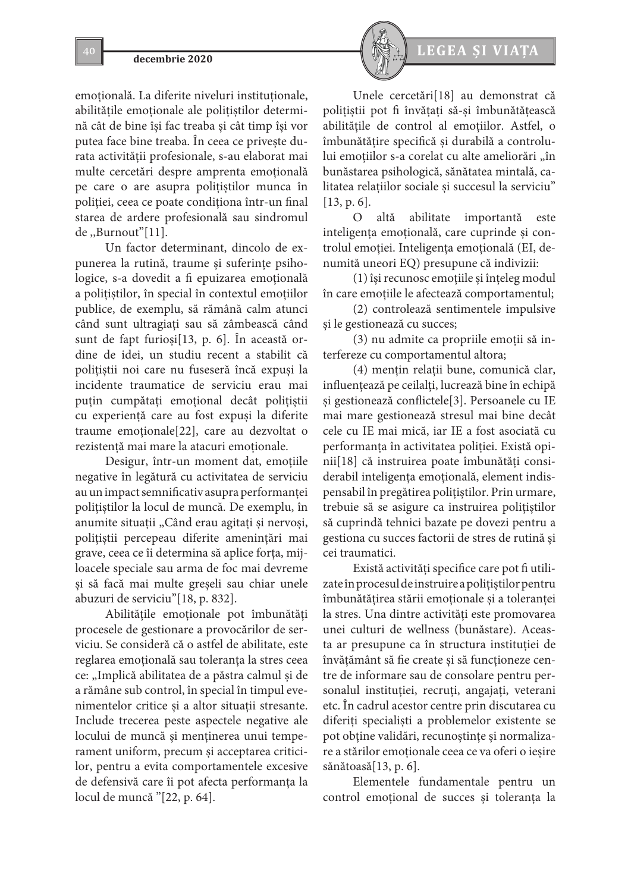emoțională. La diferite niveluri instituționale, abilitățile emoționale ale polițiștilor determină cât de bine își fac treaba și cât timp își vor putea face bine treaba. În ceea ce privește durata activității profesionale, s-au elaborat mai multe cercetări despre amprenta emoțională pe care o are asupra polițiștilor munca în poliției, ceea ce poate condiționa într-un final starea de ardere profesională sau sindromul de ,,Burnout"[11].

Un factor determinant, dincolo de expunerea la rutină, traume și suferințe psihologice, s-a dovedit a fi epuizarea emoțională a polițiștilor, în special în contextul emoțiilor publice, de exemplu, să rămână calm atunci când sunt ultragiați sau să zâmbească când sunt de fapt furioși[13, p. 6]. În această ordine de idei, un studiu recent a stabilit că polițiștii noi care nu fuseseră încă expuși la incidente traumatice de serviciu erau mai puțin cumpătați emoțional decât polițiștii cu experiență care au fost expuși la diferite traume emoționale[22], care au dezvoltat o rezistență mai mare la atacuri emoționale.

Desigur, într-un moment dat, emoțiile negative în legătură cu activitatea de serviciu au un impact semnificativ asupra performanței polițiștilor la locul de muncă. De exemplu, în anumite situații "Când erau agitați și nervoși, polițiștii percepeau diferite amenințări mai grave, ceea ce îi determina să aplice forța, mijloacele speciale sau arma de foc mai devreme și să facă mai multe greșeli sau chiar unele abuzuri de serviciu"[18, p. 832].

Abilitățile emoționale pot îmbunătăți procesele de gestionare a provocărilor de serviciu. Se consideră că o astfel de abilitate, este reglarea emoțională sau toleranța la stres ceea ce: "Implică abilitatea de a păstra calmul și de a rămâne sub control, în special în timpul evenimentelor critice şi a altor situații stresante. Include trecerea peste aspectele negative ale locului de muncă și menținerea unui temperament uniform, precum și acceptarea criticilor, pentru a evita comportamentele excesive de defensivă care îi pot afecta performanța la locul de muncă "[22, p. 64].



Unele cercetări[18] au demonstrat că polițiștii pot fi învățați să-și îmbunătățească abilitățile de control al emoțiilor. Astfel, o îmbunătățire specifică și durabilă a controlului emoțiilor s-a corelat cu alte ameliorări "în bunăstarea psihologică, sănătatea mintală, calitatea relațiilor sociale și succesul la serviciu" [13, p. 6].

O altă abilitate importantă este inteligența emoțională, care cuprinde și controlul emoției. Inteligența emoțională (EI, denumită uneori EQ) presupune că indivizii:

(1) își recunosc emoțiile și înțeleg modul în care emoțiile le afectează comportamentul;

(2) controlează sentimentele impulsive și le gestionează cu succes;

(3) nu admite ca propriile emoții să interfereze cu comportamentul altora;

(4) mențin relații bune, comunică clar, influențează pe ceilalți, lucrează bine în echipă și gestionează conflictele[3]. Persoanele cu IE mai mare gestionează stresul mai bine decât cele cu IE mai mică, iar IE a fost asociată cu performanța în activitatea poliției. Există opinii[18] că instruirea poate îmbunătăți considerabil inteligența emoțională, element indispensabil în pregătirea polițiștilor. Prin urmare, trebuie să se asigure ca instruirea polițiștilor să cuprindă tehnici bazate pe dovezi pentru a gestiona cu succes factorii de stres de rutină și cei traumatici.

Există activități specifice care pot fi utilizate în procesul de instruire a polițiștilor pentru îmbunătățirea stării emoționale și a toleranței la stres. Una dintre activități este promovarea unei culturi de wellness (bunăstare). Aceasta ar presupune ca în structura instituției de învățământ să fie create și să funcționeze centre de informare sau de consolare pentru personalul instituției, recruți, angajați, veterani etc. În cadrul acestor centre prin discutarea cu diferiți specialiști a problemelor existente se pot obține validări, recunoștințe și normalizare a stărilor emoționale ceea ce va oferi o ieșire sănătoasă[13, p. 6].

Elementele fundamentale pentru un control emoțional de succes și toleranța la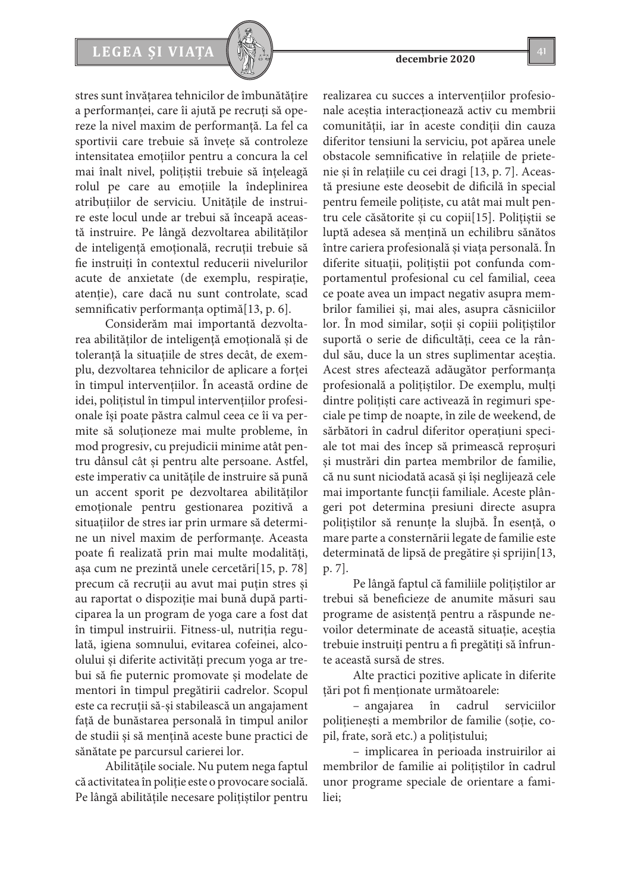# LEGEA ȘI VIAȚA  $\left[\begin{array}{c} \sqrt{2} & 41 \end{array}\right]$

stres sunt învățarea tehnicilor de îmbunătățire a performanței, care îi ajută pe recruți să opereze la nivel maxim de performanță. La fel ca sportivii care trebuie să învețe să controleze intensitatea emoțiilor pentru a concura la cel mai înalt nivel, polițiștii trebuie să înțeleagă rolul pe care au emoțiile la îndeplinirea atribuțiilor de serviciu. Unitățile de instruire este locul unde ar trebui să înceapă această instruire. Pe lângă dezvoltarea abilităților de inteligență emoțională, recruții trebuie să fie instruiți în contextul reducerii nivelurilor acute de anxietate (de exemplu, respirație, atenție), care dacă nu sunt controlate, scad semnificativ performanța optimă[13, p. 6].

Considerăm mai importantă dezvoltarea abilităților de inteligență emoțională și de toleranță la situațiile de stres decât, de exemplu, dezvoltarea tehnicilor de aplicare a forței în timpul intervențiilor. În această ordine de idei, polițistul în timpul intervențiilor profesionale își poate păstra calmul ceea ce îi va permite să soluționeze mai multe probleme, în mod progresiv, cu prejudicii minime atât pentru dânsul cât și pentru alte persoane. Astfel, este imperativ ca unitățile de instruire să pună un accent sporit pe dezvoltarea abilităților emoționale pentru gestionarea pozitivă a situațiilor de stres iar prin urmare să determine un nivel maxim de performanțe. Aceasta poate fi realizată prin mai multe modalități, așa cum ne prezintă unele cercetări[15, p. 78] precum că recruții au avut mai puțin stres și au raportat o dispoziție mai bună după participarea la un program de yoga care a fost dat în timpul instruirii. Fitness-ul, nutriția regulată, igiena somnului, evitarea cofeinei, alcoolului și diferite activități precum yoga ar trebui să fie puternic promovate și modelate de mentori în timpul pregătirii cadrelor. Scopul este ca recruții să-și stabilească un angajament față de bunăstarea personală în timpul anilor de studii și să mențină aceste bune practici de sănătate pe parcursul carierei lor.

Abilitățile sociale. Nu putem nega faptul că activitatea în poliție este o provocare socială. Pe lângă abilitățile necesare polițiștilor pentru

realizarea cu succes a intervențiilor profesionale aceștia interacționează activ cu membrii comunității, iar în aceste condiții din cauza diferitor tensiuni la serviciu, pot apărea unele obstacole semnificative în relațiile de prietenie și în relațiile cu cei dragi [13, p. 7]. Această presiune este deosebit de dificilă în special pentru femeile polițiste, cu atât mai mult pentru cele căsătorite și cu copii[15]. Polițiștii se luptă adesea să mențină un echilibru sănătos între cariera profesională și viața personală. În diferite situații, polițiștii pot confunda comportamentul profesional cu cel familial, ceea ce poate avea un impact negativ asupra membrilor familiei și, mai ales, asupra căsniciilor lor. În mod similar, soții și copiii polițiștilor suportă o serie de dificultăți, ceea ce la rândul său, duce la un stres suplimentar aceștia. Acest stres afectează adăugător performanța profesională a polițiștilor. De exemplu, mulți dintre polițiști care activează în regimuri speciale pe timp de noapte, în zile de weekend, de sărbători în cadrul diferitor operațiuni speciale tot mai des încep să primească reproșuri și mustrări din partea membrilor de familie, că nu sunt niciodată acasă și își neglijează cele mai importante funcții familiale. Aceste plângeri pot determina presiuni directe asupra polițiștilor să renunțe la slujbă. În esență, o mare parte a consternării legate de familie este determinată de lipsă de pregătire și sprijin[13, p. 7].

Pe lângă faptul că familiile polițiștilor ar trebui să beneficieze de anumite măsuri sau programe de asistență pentru a răspunde nevoilor determinate de această situație, aceștia trebuie instruiți pentru a fi pregătiți să înfrunte această sursă de stres.

Alte practici pozitive aplicate în diferite țări pot fi menționate următoarele:

– angajarea în cadrul serviciilor polițienești a membrilor de familie (soție, copil, frate, soră etc.) a polițistului;

– implicarea în perioada instruirilor ai membrilor de familie ai polițiștilor în cadrul unor programe speciale de orientare a familiei;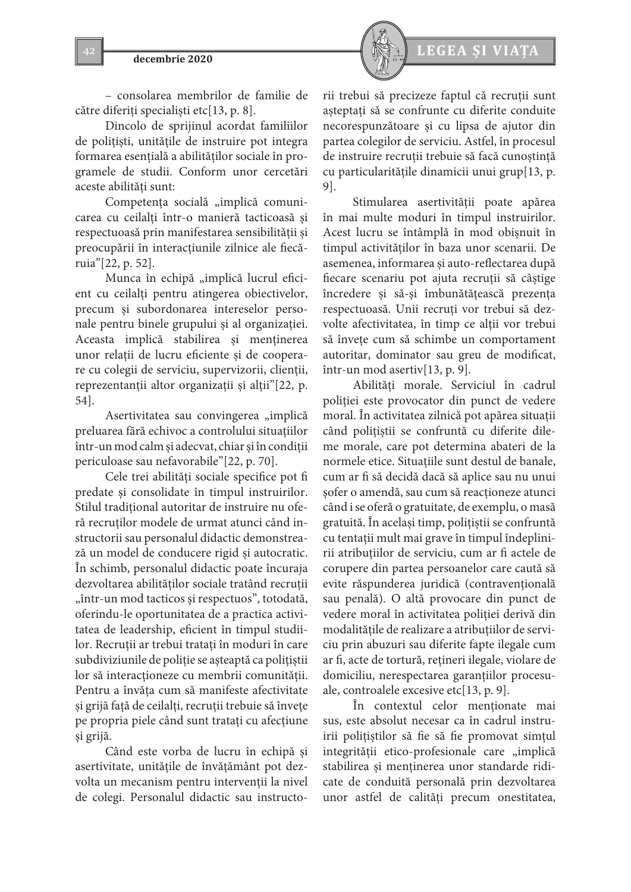

– consolarea membrilor de familie de către diferiți specialiști etc[13, p. 8].

Dincolo de sprijinul acordat familiilor de polițiști, unitățile de instruire pot integra formarea esențială a abilităților sociale în programele de studii. Conform unor cercetări aceste abilități sunt:

Competența socială "implică comunicarea cu ceilalți într-o manieră tacticoasă și respectuoasă prin manifestarea sensibilității și preocupării în interacțiunile zilnice ale fiecăruia"[22, p. 52].

Munca în echipă "implică lucrul eficient cu ceilalți pentru atingerea obiectivelor, precum și subordonarea intereselor personale pentru binele grupului și al organizației. Aceasta implică stabilirea și menținerea unor relații de lucru eficiente și de cooperare cu colegii de serviciu, supervizorii, clienții, reprezentanții altor organizații și alții"[22, p. 54].

Asertivitatea sau convingerea "implică preluarea fără echivoc a controlului situațiilor într-un mod calm și adecvat, chiar și în condiții periculoase sau nefavorabile"[22, p. 70].

Cele trei abilități sociale specifice pot fi predate și consolidate în timpul instruirilor. Stilul tradițional autoritar de instruire nu oferă recruților modele de urmat atunci când instructorii sau personalul didactic demonstrează un model de conducere rigid și autocratic. În schimb, personalul didactic poate încuraja dezvoltarea abilităților sociale tratând recruții "într-un mod tacticos și respectuos", totodată, oferindu-le oportunitatea de a practica activitatea de leadership, eficient în timpul studiilor. Recruții ar trebui tratați în moduri în care subdiviziunile de poliție se așteaptă ca polițiștii lor să interacționeze cu membrii comunității. Pentru a învăța cum să manifeste afectivitate și grijă față de ceilalți, recruții trebuie să învețe pe propria piele când sunt tratați cu afecțiune și grijă.

Când este vorba de lucru în echipă și asertivitate, unitățile de învățământ pot dezvolta un mecanism pentru intervenții la nivel de colegi. Personalul didactic sau instructorii trebui să precizeze faptul că recruții sunt așteptați să se confrunte cu diferite conduite necorespunzătoare și cu lipsa de ajutor din partea colegilor de serviciu. Astfel, în procesul de instruire recruții trebuie să facă cunoștință cu particularitățile dinamicii unui grup[13, p. 9].

Stimularea asertivității poate apărea în mai multe moduri în timpul instruirilor. Acest lucru se întâmplă în mod obișnuit în timpul activităților în baza unor scenarii. De asemenea, informarea și auto-reflectarea după fiecare scenariu pot ajuta recruții să câștige încredere și să-și îmbunătățească prezența respectuoasă. Unii recruți vor trebui să dezvolte afectivitatea, în timp ce alții vor trebui să învețe cum să schimbe un comportament autoritar, dominator sau greu de modificat, într-un mod asertiv[13, p. 9].

Abilități morale. Serviciul în cadrul poliției este provocator din punct de vedere moral. În activitatea zilnică pot apărea situații când polițiștii se confruntă cu diferite dileme morale, care pot determina abateri de la normele etice. Situațiile sunt destul de banale, cum ar fi să decidă dacă să aplice sau nu unui șofer o amendă, sau cum să reacționeze atunci când i se oferă o gratuitate, de exemplu, o masă gratuită. În același timp, polițiștii se confruntă cu tentații mult mai grave în timpul îndeplinirii atribuțiilor de serviciu, cum ar fi actele de corupere din partea persoanelor care caută să evite răspunderea juridică (contravențională sau penală). O altă provocare din punct de vedere moral în activitatea poliției derivă din modalitățile de realizare a atribuțiilor de serviciu prin abuzuri sau diferite fapte ilegale cum ar fi, acte de tortură, rețineri ilegale, violare de domiciliu, nerespectarea garanțiilor procesuale, controalele excesive etc[13, p. 9].

În contextul celor menționate mai sus, este absolut necesar ca în cadrul instruirii polițiștilor să fie să fie promovat simțul integrității etico-profesionale care "implică stabilirea și menținerea unor standarde ridicate de conduită personală prin dezvoltarea unor astfel de calități precum onestitatea,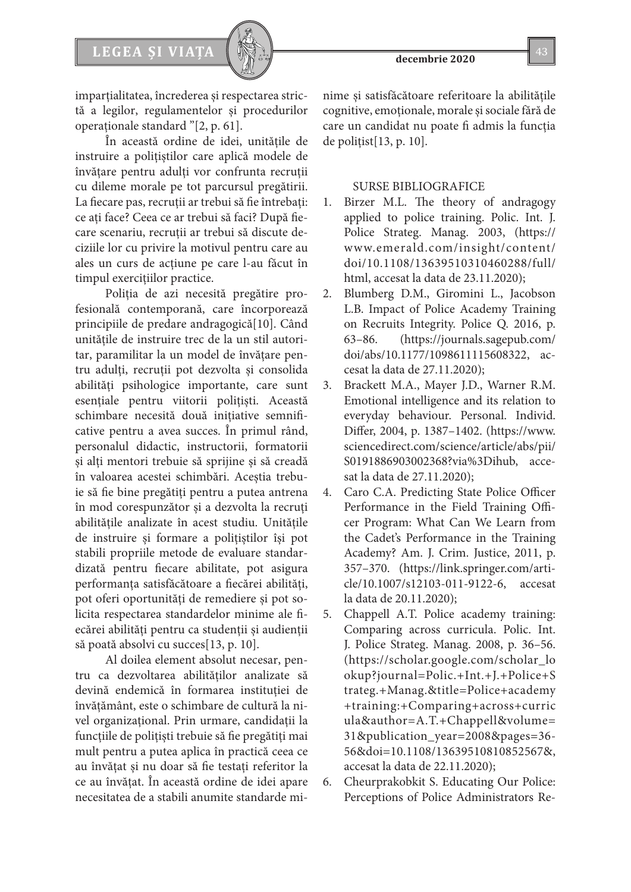imparțialitatea, încrederea și respectarea strictă a legilor, regulamentelor și procedurilor operaționale standard "[2, p. 61].

În această ordine de idei, unitățile de instruire a polițiștilor care aplică modele de învățare pentru adulți vor confrunta recruții cu dileme morale pe tot parcursul pregătirii. La fiecare pas, recruții ar trebui să fie întrebați: ce ați face? Ceea ce ar trebui să faci? După fiecare scenariu, recruții ar trebui să discute deciziile lor cu privire la motivul pentru care au ales un curs de acțiune pe care l-au făcut în timpul exercițiilor practice.

Poliția de azi necesită pregătire profesională contemporană, care încorporează principiile de predare andragogică[10]. Când unitățile de instruire trec de la un stil autoritar, paramilitar la un model de învățare pentru adulți, recruții pot dezvolta și consolida abilități psihologice importante, care sunt esențiale pentru viitorii polițiști. Această schimbare necesită două inițiative semnificative pentru a avea succes. În primul rând, personalul didactic, instructorii, formatorii și alți mentori trebuie să sprijine și să creadă în valoarea acestei schimbări. Aceștia trebuie să fie bine pregătiți pentru a putea antrena în mod corespunzător și a dezvolta la recruți abilitățile analizate în acest studiu. Unitățile de instruire și formare a polițiștilor își pot stabili propriile metode de evaluare standardizată pentru fiecare abilitate, pot asigura performanța satisfăcătoare a fiecărei abilități, pot oferi oportunități de remediere și pot solicita respectarea standardelor minime ale fiecărei abilități pentru ca studenții și audienții să poată absolvi cu succes[13, p. 10].

Al doilea element absolut necesar, pentru ca dezvoltarea abilităților analizate să devină endemică în formarea instituției de învățământ, este o schimbare de cultură la nivel organizațional. Prin urmare, candidații la funcțiile de polițiști trebuie să fie pregătiți mai mult pentru a putea aplica în practică ceea ce au învățat și nu doar să fie testați referitor la ce au învățat. În această ordine de idei apare necesitatea de a stabili anumite standarde minime şi satisfăcătoare referitoare la abilitățile cognitive, emoționale, morale și sociale fără de care un candidat nu poate fi admis la funcția de polițist[13, p. 10].

## SURSE BIBLIOGRAFICE

- 1. Birzer M.L. The theory of andragogy applied to police training. Polic. Int. J. Police Strateg. Manag. 2003, (https:// www.emerald.com/insight/content/ doi/10.1108/13639510310460288/full/ html, accesat la data de 23.11.2020);
- 2. Blumberg D.M., Giromini L., Jacobson L.B. Impact of Police Academy Training on Recruits Integrity. Police Q. 2016, p. 63–86. (https://journals.sagepub.com/ doi/abs/10.1177/1098611115608322, accesat la data de 27.11.2020);
- 3. Brackett M.A., Mayer J.D., Warner R.M. Emotional intelligence and its relation to everyday behaviour. Personal. Individ. Differ, 2004, p. 1387–1402. (https://www. sciencedirect.com/science/article/abs/pii/ S0191886903002368?via%3Dihub, accesat la data de 27.11.2020);
- 4. Caro C.A. Predicting State Police Officer Performance in the Field Training Officer Program: What Can We Learn from the Cadet's Performance in the Training Academy? Am. J. Crim. Justice, 2011, p. 357–370. (https://link.springer.com/article/10.1007/s12103-011-9122-6, accesat la data de 20.11.2020);
- 5. Chappell A.T. Police academy training: Comparing across curricula. Polic. Int. J. Police Strateg. Manag. 2008, p. 36–56. (https://scholar.google.com/scholar\_lo okup?journal=Polic.+Int.+J.+Police+S trateg.+Manag.&title=Police+academy +training:+Comparing+across+curric ula&author=A.T.+Chappell&volume= 31&publication\_year=2008&pages=36- 56&doi=10.1108/13639510810852567&, accesat la data de 22.11.2020);
- 6. Cheurprakobkit S. Educating Our Police: Perceptions of Police Administrators Re-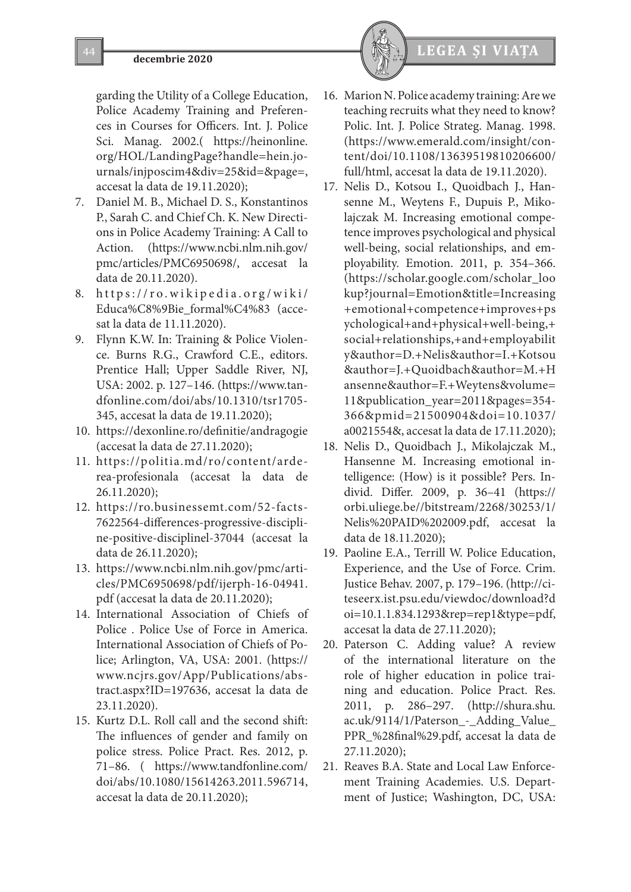garding the Utility of a College Education, Police Academy Training and Preferences in Courses for Officers. Int. J. Police Sci. Manag. 2002.( https://heinonline. org/HOL/LandingPage?handle=hein.journals/injposcim4&div=25&id=&page=, accesat la data de 19.11.2020);

- 7. Daniel M. B., Michael D. S., Konstantinos P., Sarah C. and Chief Ch. K. New Directions in Police Academy Training: A Call to Action. (https://www.ncbi.nlm.nih.gov/ pmc/articles/PMC6950698/, accesat la data de 20.11.2020).
- 8. https://ro.wikipedia.org/wiki/ Educa%C8%9Bie\_formal%C4%83 (accesat la data de 11.11.2020).
- 9. Flynn K.W. In: Training & Police Violence. Burns R.G., Crawford C.E., editors. Prentice Hall; Upper Saddle River, NJ, USA: 2002. p. 127–146. (https://www.tandfonline.com/doi/abs/10.1310/tsr1705- 345, accesat la data de 19.11.2020);
- 10. https://dexonline.ro/definitie/andragogie (accesat la data de 27.11.2020);
- 11. https://politia.md/ro/content/arderea-profesionala (accesat la data de 26.11.2020);
- 12. https://ro.businessemt.com/52-facts-7622564-differences-progressive-discipline-positive-disciplinel-37044 (accesat la data de 26.11.2020);
- 13. https://www.ncbi.nlm.nih.gov/pmc/articles/PMC6950698/pdf/ijerph-16-04941. pdf (accesat la data de 20.11.2020);
- 14. International Association of Chiefs of Police . Police Use of Force in America. International Association of Chiefs of Police; Arlington, VA, USA: 2001. (https:// www.ncjrs.gov/App/Publications/abstract.aspx?ID=197636, accesat la data de 23.11.2020).
- 15. Kurtz D.L. Roll call and the second shift: The influences of gender and family on police stress. Police Pract. Res. 2012, p. 71–86. ( https://www.tandfonline.com/ doi/abs/10.1080/15614263.2011.596714, accesat la data de 20.11.2020);



- 16. Marion N. Police academy training: Are we teaching recruits what they need to know? Polic. Int. J. Police Strateg. Manag. 1998. (https://www.emerald.com/insight/content/doi/10.1108/13639519810206600/ full/html, accesat la data de 19.11.2020).
- 17. Nelis D., Kotsou I., Quoidbach J., Hansenne M., Weytens F., Dupuis P., Mikolajczak M. Increasing emotional competence improves psychological and physical well-being, social relationships, and employability. Emotion. 2011, p. 354–366. (https://scholar.google.com/scholar\_loo kup?journal=Emotion&title=Increasing +emotional+competence+improves+ps ychological+and+physical+well-being,+ social+relationships,+and+employabilit y&author=D.+Nelis&author=I.+Kotsou &author=J.+Quoidbach&author=M.+H ansenne&author=F.+Weytens&volume= 11&publication\_year=2011&pages=354- 366&pmid=21500904&doi=10.1037/ a0021554&, accesat la data de 17.11.2020);
- 18. Nelis D., Quoidbach J., Mikolajczak M., Hansenne M. Increasing emotional intelligence: (How) is it possible? Pers. Individ. Differ. 2009, p. 36–41 (https:// orbi.uliege.be//bitstream/2268/30253/1/ Nelis%20PAID%202009.pdf, accesat la data de 18.11.2020);
- 19. Paoline E.A., Terrill W. Police Education, Experience, and the Use of Force. Crim. Justice Behav. 2007, p. 179–196. (http://citeseerx.ist.psu.edu/viewdoc/download?d oi=10.1.1.834.1293&rep=rep1&type=pdf, accesat la data de 27.11.2020);
- 20. Paterson C. Adding value? A review of the international literature on the role of higher education in police training and education. Police Pract. Res. 2011, p. 286–297. (http://shura.shu. ac.uk/9114/1/Paterson\_-\_Adding\_Value\_ PPR\_%28final%29.pdf, accesat la data de 27.11.2020);
- 21. Reaves B.A. State and Local Law Enforcement Training Academies. U.S. Department of Justice; Washington, DC, USA: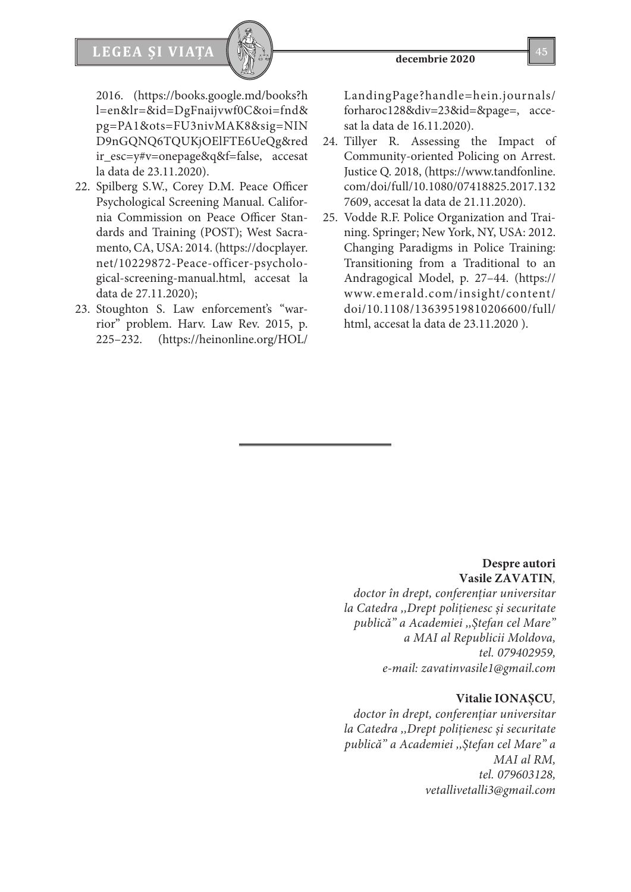

2016. (https://books.google.md/books?h l=en&lr=&id=DgFnaijvwf0C&oi=fnd& pg=PA1&ots=FU3nivMAK8&sig=NIN D9nGQNQ6TQUKjOElFTE6UeQg&red ir\_esc=y#v=onepage&q&f=false, accesat la data de 23.11.2020).

- 22. Spilberg S.W., Corey D.M. Peace Officer Psychological Screening Manual. California Commission on Peace Officer Standards and Training (POST); West Sacramento, CA, USA: 2014. (https://docplayer. net/10229872-Peace-officer-psychological-screening-manual.html, accesat la data de 27.11.2020);
- 23. Stoughton S. Law enforcement's "warrior" problem. Harv. Law Rev. 2015, p. 225–232. (https://heinonline.org/HOL/

LandingPage?handle=hein.journals/ forharoc128&div=23&id=&page=, accesat la data de 16.11.2020).

- 24. Tillyer R. Assessing the Impact of Community-oriented Policing on Arrest. Justice Q. 2018, (https://www.tandfonline. com/doi/full/10.1080/07418825.2017.132 7609, accesat la data de 21.11.2020).
- 25. Vodde R.F. Police Organization and Training. Springer; New York, NY, USA: 2012. Changing Paradigms in Police Training: Transitioning from a Traditional to an Andragogical Model, p. 27–44. (https:// www.emerald.com/insight/content/ doi/10.1108/13639519810206600/full/ html, accesat la data de 23.11.2020 ).

# **Despre autori Vasile ZAVATIN***,*

*doctor în drept, conferenţiar universitar la Catedra ,,Drept poliţienesc și securitate publică" a Academiei ,,Ștefan cel Mare" a MAI al Republicii Moldova, tel. 079402959, e-mail: zavatinvasile1@gmail.com*

# **Vitalie IONAȘCU***,*

*doctor în drept, conferenţiar universitar la Catedra ,,Drept poliţienesc și securitate publică" a Academiei ,,Ștefan cel Mare" a MAI al RM, tel. 079603128, vetallivetalli3@gmail.com*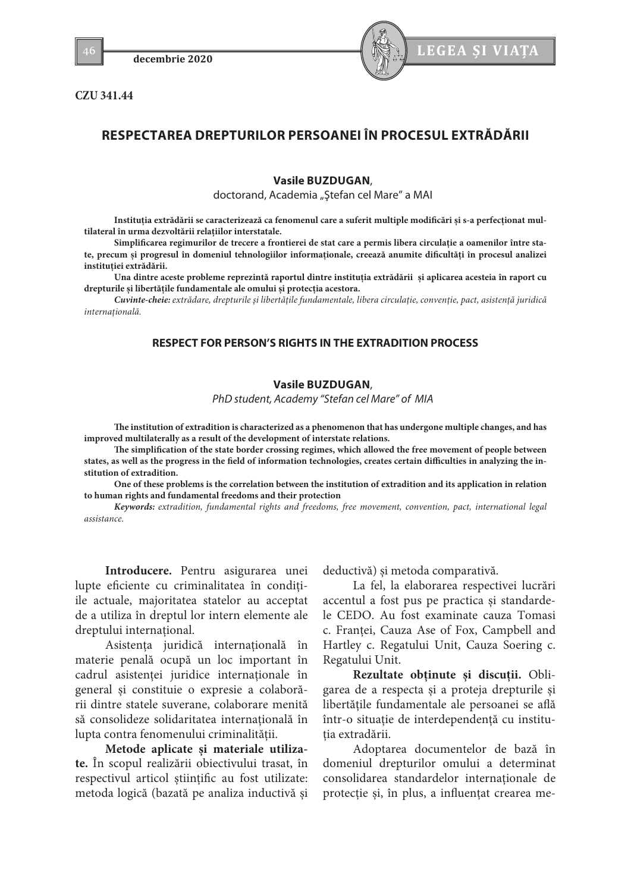**CZU 341.44**



# **RESPECTAREA DREPTURILOR PERSOANEI ÎN PROCESUL EXTRĂDĂRII**

### **Vasile BUZDUGAN**,

doctorand, Academia "Ștefan cel Mare" a MAI

**Instituția extrădării se caracterizează ca fenomenul care a suferit multiple modificări și s-a perfecționat multilateral în urma dezvoltării relațiilor interstatale.**

**Simplificarea regimurilor de trecere a frontierei de stat care a permis libera circulație a oamenilor între state, precum și progresul în domeniul tehnologiilor informaționale, creează anumite dificultăți în procesul analizei instituției extrădării.**

**Una dintre aceste probleme reprezintă raportul dintre instituția extrădării și aplicarea acesteia în raport cu drepturile și libertățile fundamentale ale omului și protecția acestora.**

*Cuvinte-cheie: extrădare, drepturile şi libertăţile fundamentale, libera circulaţie, convenţie, pact, asistenţă juridică internaţională.*

# **RESPECT FOR PERSON'S RIGHTS IN THE EXTRADITION PROCESS**

### **Vasile BUZDUGAN**,

*PhD student, Academy "Stefan cel Mare" of MIA*

**The institution of extradition is characterized as a phenomenon that has undergone multiple changes, and has improved multilaterally as a result of the development of interstate relations.**

**The simplification of the state border crossing regimes, which allowed the free movement of people between states, as well as the progress in the field of information technologies, creates certain difficulties in analyzing the institution of extradition.**

**One of these problems is the correlation between the institution of extradition and its application in relation to human rights and fundamental freedoms and their protection**

*Keywords: extradition, fundamental rights and freedoms, free movement, convention, pact, international legal assistance.*

**Introducere.** Pentru asigurarea unei lupte eficiente cu criminalitatea în conditiile actuale, majoritatea statelor au acceptat de a utiliza în dreptul lor intern elemente ale dreptului international.

Asistenţa juridică internaţională în materie penală ocupă un loc important în cadrul asistenței juridice internaționale în general şi constituie o expresie a colaborării dintre statele suverane, colaborare menită să consolideze solidaritatea internatională în lupta contra fenomenului criminalităţii.

**Metode aplicate şi materiale utilizate.** În scopul realizării obiectivului trasat, în respectivul articol ştiinţific au fost utilizate: metoda logică (bazată pe analiza inductivă şi

deductivă) şi metoda comparativă.

La fel, la elaborarea respectivei lucrări accentul a fost pus pe practica şi standardele CEDO. Au fost examinate cauza Tomasi c. Franței, Cauza Ase of Fox, Campbell and Hartley c. Regatului Unit, Cauza Soering c. Regatului Unit.

**Rezultate obţinute şi discuţii.** Obligarea de a respecta și a proteja drepturile și libertățile fundamentale ale persoanei se află într-o situație de interdependență cu institutia extradării.

Adoptarea documentelor de bază în domeniul drepturilor omului a determinat consolidarea standardelor internaționale de protecție și, în plus, a influențat crearea me-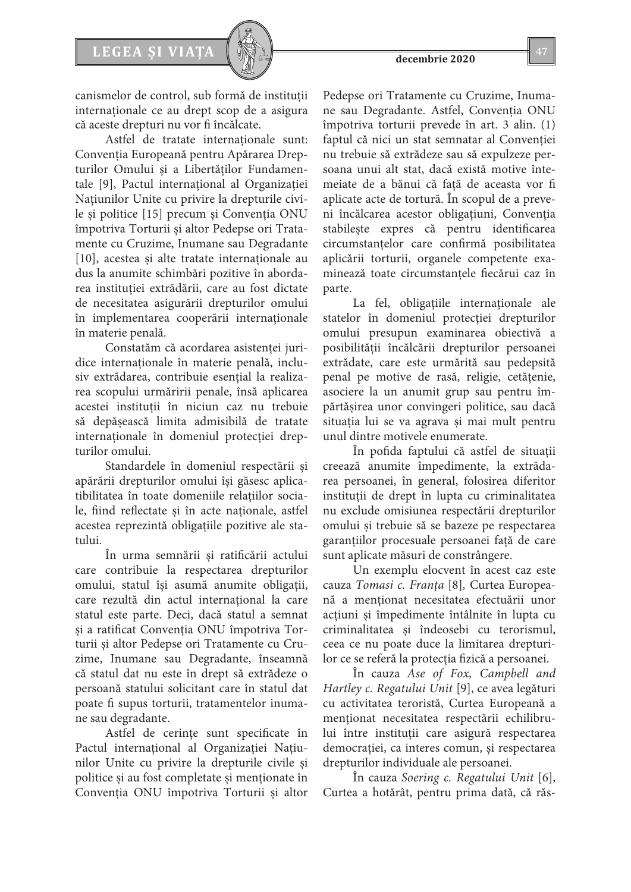

canismelor de control, sub formă de instituții internaționale ce au drept scop de a asigura că aceste drepturi nu vor fi încălcate.

Astfel de tratate internaționale sunt: Convenţia Europeană pentru Apărarea Drepturilor Omului şi a Libertăţilor Fundamentale [9], Pactul internaţional al Organizaţiei Naţiunilor Unite cu privire la drepturile civile şi politice [15] precum și Convenţia ONU împotriva Torturii şi altor Pedepse ori Tratamente cu Cruzime, Inumane sau Degradante [10], acestea și alte tratate internaționale au dus la anumite schimbări pozitive în abordarea instituției extrădării, care au fost dictate de necesitatea asigurării drepturilor omului în implementarea cooperării internaționale în materie penală.

Constatăm că acordarea asistenței juridice internaționale în materie penală, inclusiv extrădarea, contribuie esențial la realizarea scopului urmăririi penale, însă aplicarea acestei instituții în niciun caz nu trebuie să depășească limita admisibilă de tratate internaționale în domeniul protecției drepturilor omului.

Standardele în domeniul respectării și apărării drepturilor omului își găsesc aplicatibilitatea în toate domeniile relațiilor sociale, fiind reflectate și în acte naționale, astfel acestea reprezintă obligațiile pozitive ale statului.

În urma semnării și ratificării actului care contribuie la respectarea drepturilor omului, statul își asumă anumite obligații, care rezultă din actul internațional la care statul este parte. Deci, dacă statul a semnat și a ratificat Convenţia ONU împotriva Torturii şi altor Pedepse ori Tratamente cu Cruzime, Inumane sau Degradante, înseamnă că statul dat nu este în drept să extrădeze o persoană statului solicitant care în statul dat poate fi supus torturii, tratamentelor inumane sau degradante.

Astfel de cerințe sunt specificate în Pactul internaţional al Organizaţiei Naţiunilor Unite cu privire la drepturile civile şi politice și au fost completate și menționate în Convenţia ONU împotriva Torturii şi altor

Pedepse ori Tratamente cu Cruzime, Inumane sau Degradante. Astfel, Convenția ONU împotriva torturii prevede în art. 3 alin. (1) faptul că nici un stat semnatar al Convenției nu trebuie să extrădeze sau să expulzeze persoana unui alt stat, dacă există motive întemeiate de a bănui că față de aceasta vor fi aplicate acte de tortură. În scopul de a preveni încălcarea acestor obligațiuni, Convenția stabilește expres că pentru identificarea circumstanțelor care confirmă posibilitatea aplicării torturii, organele competente examinează toate circumstanțele fiecărui caz în parte.

La fel, obligațiile internaționale ale statelor în domeniul protecției drepturilor omului presupun examinarea obiectivă a posibilității încălcării drepturilor persoanei extrădate, care este urmărită sau pedepsită penal pe motive de rasă, religie, cetăţenie, asociere la un anumit grup sau pentru împărtăşirea unor convingeri politice, sau dacă situaţia lui se va agrava şi mai mult pentru unul dintre motivele enumerate.

În pofida faptului că astfel de situații creează anumite împedimente, la extrădarea persoanei, în general, folosirea diferitor instituții de drept în lupta cu criminalitatea nu exclude omisiunea respectării drepturilor omului și trebuie să se bazeze pe respectarea garanțiilor procesuale persoanei față de care sunt aplicate măsuri de constrângere.

Un exemplu elocvent în acest caz este cauza *Tomasi c. Franţa* [8]*,* Curtea Europeană a menționat necesitatea efectuării unor acțiuni și împedimente întâlnite în lupta cu criminalitatea și îndeosebi cu terorismul, ceea ce nu poate duce la limitarea drepturilor ce se referă la protecția fizică a persoanei.

În cauza *Ase of Fox, Campbell and Hartley c. Regatului Unit* [9], ce avea legături cu activitatea teroristă, Curtea Europeană a menționat necesitatea respectării echilibrului între instituții care asigură respectarea democrației, ca interes comun, și respectarea drepturilor individuale ale persoanei.

În cauza *Soering c. Regatului Unit* [6], Curtea a hotărât, pentru prima dată, că răs-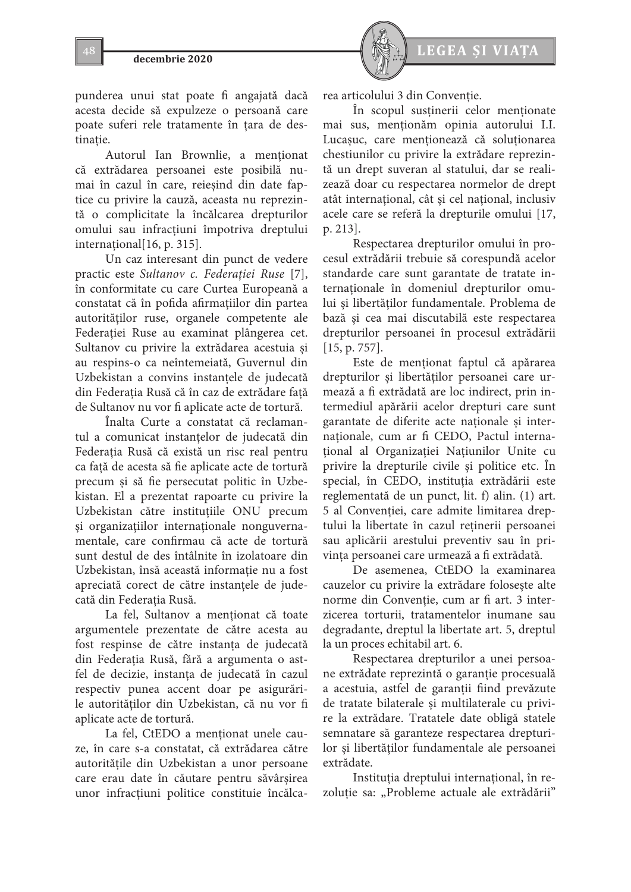



punderea unui stat poate fi angajată dacă acesta decide să expulzeze o persoană care poate suferi rele tratamente în tara de destinatie.

Autorul Ian Brownlie, a menționat că extrădarea persoanei este posibilă numai în cazul în care, reieșind din date faptice cu privire la cauză, aceasta nu reprezintă o complicitate la încălcarea drepturilor omului sau infracțiuni împotriva dreptului internațional[16, p. 315].

Un caz interesant din punct de vedere practic este *Sultanov c. Federaţiei Ruse* [7], în conformitate cu care Curtea Europeană a constatat că în pofida afirmațiilor din partea autorităților ruse, organele competente ale Federației Ruse au examinat plângerea cet. Sultanov cu privire la extrădarea acestuia și au respins-o ca neîntemeiată, Guvernul din Uzbekistan a convins instanțele de judecată din Federația Rusă că în caz de extrădare față de Sultanov nu vor fi aplicate acte de tortură.

Înalta Curte a constatat că reclamantul a comunicat instanțelor de judecată din Federația Rusă că există un risc real pentru ca față de acesta să fie aplicate acte de tortură precum și să fie persecutat politic în Uzbekistan. El a prezentat rapoarte cu privire la Uzbekistan către instituțiile ONU precum și organizațiilor internaționale nonguvernamentale, care confirmau că acte de tortură sunt destul de des întâlnite în izolatoare din Uzbekistan, însă această informație nu a fost apreciată corect de către instanțele de judecată din Federația Rusă.

La fel, Sultanov a menționat că toate argumentele prezentate de către acesta au fost respinse de către instanța de judecată din Federația Rusă, fără a argumenta o astfel de decizie, instanța de judecată în cazul respectiv punea accent doar pe asigurările autorităților din Uzbekistan, că nu vor fi aplicate acte de tortură.

La fel, CtEDO a menționat unele cauze, în care s-a constatat, că extrădarea către autoritățile din Uzbekistan a unor persoane care erau date în căutare pentru săvârșirea unor infracțiuni politice constituie încălcarea articolului 3 din Convenție.

În scopul susținerii celor menționate mai sus, menţionăm opinia autorului I.I. Lucașuc, care menționează că soluționarea chestiunilor cu privire la extrădare reprezintă un drept suveran al statului, dar se realizează doar cu respectarea normelor de drept atât internațional, cât și cel național, inclusiv acele care se referă la drepturile omului [17, p. 213].

Respectarea drepturilor omului în procesul extrădării trebuie să corespundă acelor standarde care sunt garantate de tratate internaţionale în domeniul drepturilor omului şi libertăţilor fundamentale. Problema de bază şi cea mai discutabilă este respectarea drepturilor persoanei în procesul extrădării [15, p. 757].

Este de menţionat faptul că apărarea drepturilor şi libertăţilor persoanei care urmează a fi extrădată are loc indirect, prin intermediul apărării acelor drepturi care sunt garantate de diferite acte naţionale şi internaţionale, cum ar fi CEDO, Pactul internaţional al Organizaţiei Naţiunilor Unite cu privire la drepturile civile şi politice etc. În special, în CEDO, instituţia extrădării este reglementată de un punct, lit. f) alin. (1) art. 5 al Convenţiei, care admite limitarea dreptului la libertate în cazul reţinerii persoanei sau aplicării arestului preventiv sau în privinţa persoanei care urmează a fi extrădată.

De asemenea, CtEDO la examinarea cauzelor cu privire la extrădare foloseşte alte norme din Conventie, cum ar fi art. 3 interzicerea torturii, tratamentelor inumane sau degradante, dreptul la libertate art. 5, dreptul la un proces echitabil art. 6.

Respectarea drepturilor a unei persoane extrădate reprezintă o garanţie procesuală a acestuia, astfel de garanţii fiind prevăzute de tratate bilaterale şi multilaterale cu privire la extrădare. Tratatele date obligă statele semnatare să garanteze respectarea drepturilor şi libertăţilor fundamentale ale persoanei extrădate.

Instituţia dreptului internaţional, în rezoluție sa: "Probleme actuale ale extrădării"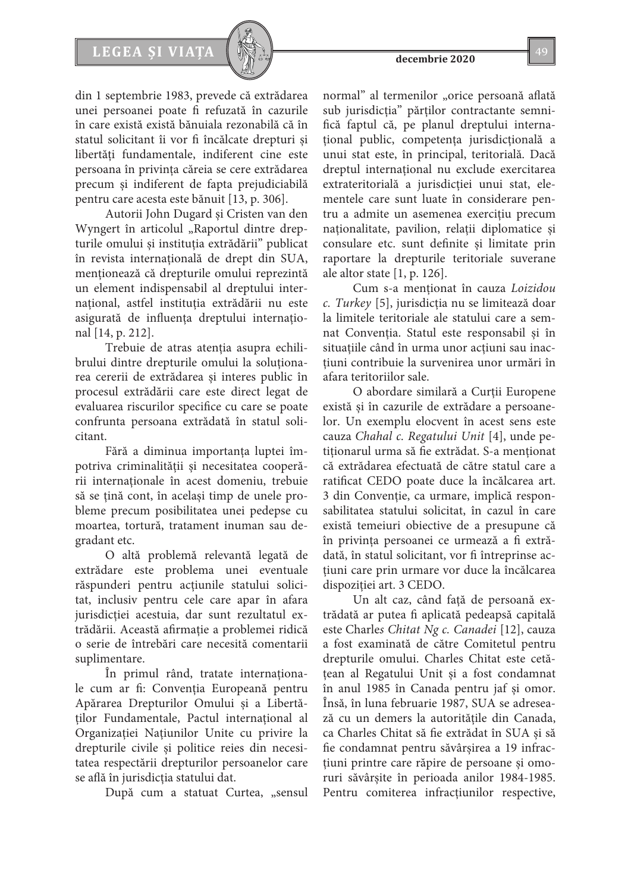# **LEGEA ȘI VIAȚA** 49

din 1 septembrie 1983, prevede că extrădarea unei persoanei poate fi refuzată în cazurile în care există există bănuiala rezonabilă că în statul solicitant îi vor fi încălcate drepturi şi libertăţi fundamentale, indiferent cine este persoana în privinţa căreia se cere extrădarea precum şi indiferent de fapta prejudiciabilă pentru care acesta este bănuit [13, p. 306].

Autorii John Dugard şi Cristen van den Wyngert în articolul "Raportul dintre drepturile omului şi instituţia extrădării" publicat în revista internațională de drept din SUA, menţionează că drepturile omului reprezintă un element indispensabil al dreptului internaţional, astfel instituţia extrădării nu este asigurată de influența dreptului internaţional [14, p. 212].

Trebuie de atras atenţia asupra echilibrului dintre drepturile omului la soluţionarea cererii de extrădarea şi interes public în procesul extrădării care este direct legat de evaluarea riscurilor specifice cu care se poate confrunta persoana extrădată în statul solicitant.

Fără a diminua importanța luptei împotriva criminalității și necesitatea cooperării internaționale în acest domeniu, trebuie să se țină cont, în același timp de unele probleme precum posibilitatea unei pedepse cu moartea, tortură, tratament inuman sau degradant etc.

O altă problemă relevantă legată de extrădare este problema unei eventuale răspunderi pentru acțiunile statului solicitat, inclusiv pentru cele care apar în afara jurisdicției acestuia, dar sunt rezultatul extrădării. Această afirmație a problemei ridică o serie de întrebări care necesită comentarii suplimentare.

În primul rând, tratate internaţionale cum ar fi: Convenţia Europeană pentru Apărarea Drepturilor Omului şi a Libertătilor Fundamentale, Pactul international al Organizaţiei Naţiunilor Unite cu privire la drepturile civile si politice reies din necesitatea respectării drepturilor persoanelor care se află în jurisdicția statului dat.

După cum a statuat Curtea, "sensul

normal" al termenilor "orice persoană aflată sub jurisdicţia" părţilor contractante semnifică faptul că, pe planul dreptului internaţional public, competenţa jurisdicţională a unui stat este, în principal, teritorială. Dacă dreptul internaţional nu exclude exercitarea extrateritorială a jurisdicţiei unui stat, elementele care sunt luate în considerare pentru a admite un asemenea exerciţiu precum naționalitate, pavilion, relații diplomatice și consulare etc. sunt definite şi limitate prin raportare la drepturile teritoriale suverane ale altor state  $[1, p. 126]$ .

Cum s-a menţionat în cauza *Loizidou c. Turkey* [5], jurisdicţia nu se limitează doar la limitele teritoriale ale statului care a semnat Convenţia. Statul este responsabil şi în situaţiile când în urma unor acţiuni sau inacţiuni contribuie la survenirea unor urmări în afara teritoriilor sale.

O abordare similară a Curţii Europene există şi în cazurile de extrădare a persoanelor. Un exemplu elocvent în acest sens este cauza *Chahal c. Regatului Unit* [4], unde petiționarul urma să fie extrădat. S-a menționat că extrădarea efectuată de către statul care a ratificat CEDO poate duce la încălcarea art. 3 din Conventie, ca urmare, implică responsabilitatea statului solicitat, în cazul în care există temeiuri obiective de a presupune că în privinţa persoanei ce urmează a fi extrădată, în statul solicitant, vor fi întreprinse acţiuni care prin urmare vor duce la încălcarea dispoziției art. 3 CEDO.

Un alt caz, când faţă de persoană extrădată ar putea fi aplicată pedeapsă capitală este Сharle*s Chitat Ng c. Canadei* [12], cauza a fost examinată de către Comitetul pentru drepturile omului. Сharles Chitat este cetăţean al Regatului Unit şi a fost condamnat în anul 1985 în Canada pentru jaf şi omor. Însă, în luna februarie 1987, SUA se adresează cu un demers la autorităţile din Canada, ca Сharles Chitat să fie extrădat în SUA şi să fie condamnat pentru săvârşirea a 19 infracţiuni printre care răpire de persoane şi omoruri săvârşite în perioada anilor 1984-1985. Pentru comiterea infracțiunilor respective,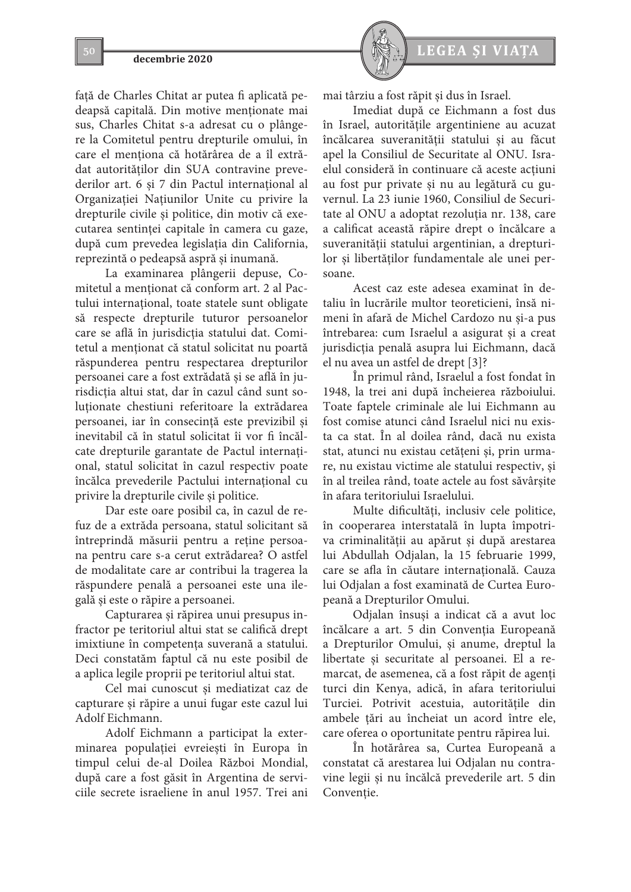faţă de Сharles Chitat ar putea fi aplicată pedeapsă capitală. Din motive menţionate mai sus, Charles Chitat s-a adresat cu o plângere la Comitetul pentru drepturile omului, în care el menţiona că hotărârea de a îl extrădat autorităţilor din SUA contravine prevederilor art. 6 şi 7 din Pactul internaţional al Organizaţiei Naţiunilor Unite cu privire la drepturile civile şi politice, din motiv că executarea sentinţei capitale în camera cu gaze, după cum prevedea legislaţia din California, reprezintă o pedeapsă aspră şi inumană.

La examinarea plângerii depuse, Comitetul a menționat că conform art. 2 al Pactului internaţional, toate statele sunt obligate să respecte drepturile tuturor persoanelor care se află în jurisdicţia statului dat. Comitetul a menţionat că statul solicitat nu poartă răspunderea pentru respectarea drepturilor persoanei care a fost extrădată şi se află în jurisdicţia altui stat, dar în cazul când sunt soluţionate chestiuni referitoare la extrădarea persoanei, iar în consecinţă este previzibil şi inevitabil că în statul solicitat îi vor fi încălcate drepturile garantate de Pactul internaţional, statul solicitat în cazul respectiv poate încălca prevederile Pactului internaţional cu privire la drepturile civile şi politice.

Dar este oare posibil ca, în cazul de refuz de a extrăda persoana, statul solicitant să întreprindă măsurii pentru a reţine persoana pentru care s-a cerut extrădarea? O astfel de modalitate care ar contribui la tragerea la răspundere penală a persoanei este una ilegală şi este o răpire a persoanei.

Capturarea şi răpirea unui presupus infractor pe teritoriul altui stat se califică drept imixtiune în competenţa suverană a statului. Deci constatăm faptul că nu este posibil de a aplica legile proprii pe teritoriul altui stat.

Cel mai cunoscut și mediatizat caz de capturare și răpire a unui fugar este cazul lui Adolf Eichmann.

Adolf Eichmann a participat la exterminarea populației evreiești în Europa în timpul celui de-al Doilea Război Mondial, după care a fost găsit în Argentina de serviciile secrete israeliene în anul 1957. Trei ani



mai târziu a fost răpit și dus în Israel.

Imediat după ce Eichmann a fost dus în Israel, autoritățile argentiniene au acuzat încălcarea suveranității statului și au făcut apel la Consiliul de Securitate al ONU. Israelul consideră în continuare că aceste acțiuni au fost pur private și nu au legătură cu guvernul. La 23 iunie 1960, Consiliul de Securitate al ONU a adoptat rezoluția nr. 138, care a calificat această răpire drept o încălcare a suveranității statului argentinian, a drepturilor și libertăților fundamentale ale unei persoane.

Acest caz este adesea examinat în detaliu în lucrările multor teoreticieni, însă nimeni în afară de Michel Cardozo nu şi-a pus întrebarea: cum Israelul a asigurat şi a creat jurisdicţia penală asupra lui Eichmann, dacă el nu avea un astfel de drept [3]?

În primul rând, Israelul a fost fondat în 1948, la trei ani după încheierea războiului. Toate faptele criminale ale lui Eichmann au fost comise atunci când Israelul nici nu exista ca stat. În al doilea rând, dacă nu exista stat, atunci nu existau cetățeni și, prin urmare, nu existau victime ale statului respectiv, şi în al treilea rând, toate actele au fost săvârșite în afara teritoriului Israelului.

Multe dificultăți, inclusiv cele politice, în cooperarea interstatală în lupta împotriva criminalității au apărut și după arestarea lui Abdullah Odjalan, la 15 februarie 1999, care se afla în căutare internațională. Cauza lui Odjalan a fost examinată de Curtea Europeană a Drepturilor Omului.

Odjalan însuși a indicat că a avut loc încălcare a art. 5 din Convenția Europeană a Drepturilor Omului, și anume, dreptul la libertate și securitate al persoanei. El a remarcat, de asemenea, că a fost răpit de agenți turci din Kenya, adică, în afara teritoriului Turciei. Potrivit acestuia, autoritățile din ambele țări au încheiat un acord între ele, care oferea o oportunitate pentru răpirea lui.

În hotărârea sa, Curtea Europeană a constatat că arestarea lui Odjalan nu contravine legii și nu încălcă prevederile art. 5 din Convenție.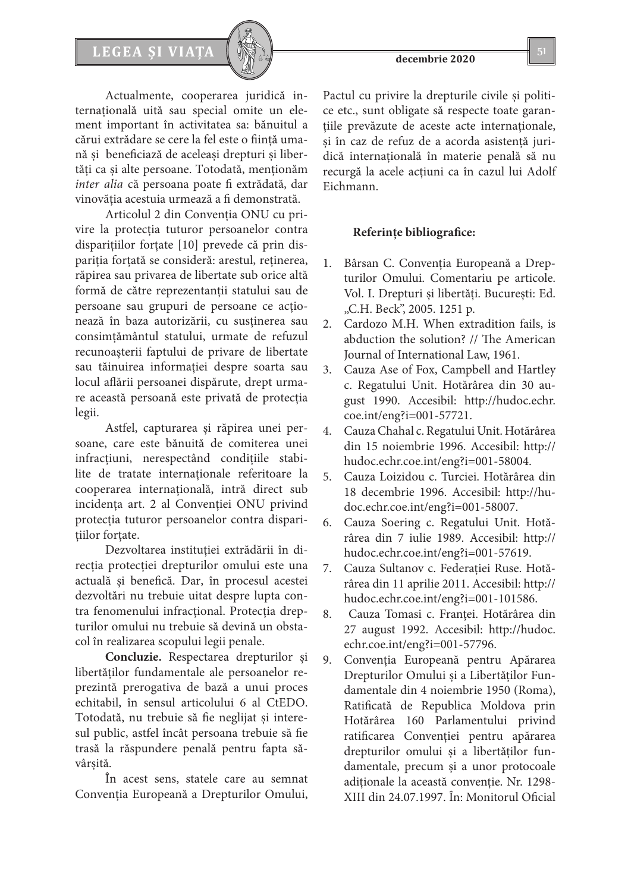# LEGEA ȘI VIAȚA  $\left[\begin{array}{c} \sqrt{2} & \sqrt{2} \\ \sqrt{2} & \sqrt{2} \end{array}\right]$  51



Actualmente, cooperarea juridică internaţională uită sau special omite un element important în activitatea sa: bănuitul a cărui extrădare se cere la fel este o fiinţă umană şi beneficiază de aceleaşi drepturi şi libertăţi ca şi alte persoane. Totodată, menţionăm *inter alia* că persoana poate fi extrădată, dar vinovăţia acestuia urmează a fi demonstrată.

Articolul 2 din Convenţia ONU cu privire la protecţia tuturor persoanelor contra dispariţiilor forţate [10] prevede că prin dispariţia forţată se consideră: arestul, reţinerea, răpirea sau privarea de libertate sub orice altă formă de către reprezentanţii statului sau de persoane sau grupuri de persoane ce acţionează în baza autorizării, cu susţinerea sau consimțământul statului, urmate de refuzul recunoaşterii faptului de privare de libertate sau tăinuirea informaţiei despre soarta sau locul aflării persoanei dispărute, drept urmare această persoană este privată de protecţia legii.

Astfel, capturarea şi răpirea unei persoane, care este bănuită de comiterea unei infracțiuni, nerespectând condițiile stabilite de tratate internaţionale referitoare la cooperarea internaţională, intră direct sub incidenţa art. 2 al Convenţiei ONU privind protecţia tuturor persoanelor contra disparitiilor fortate.

Dezvoltarea instituţiei extrădării în direcția protecției drepturilor omului este una actuală şi benefică. Dar, în procesul acestei dezvoltări nu trebuie uitat despre lupta contra fenomenului infracțional. Protecţia drepturilor omului nu trebuie să devină un obstacol în realizarea scopului legii penale.

**Concluzie.** Respectarea drepturilor şi libertăţilor fundamentale ale persoanelor reprezintă prerogativa de bază a unui proces echitabil, în sensul articolului 6 al CtEDO. Totodată, nu trebuie să fie neglijat şi interesul public, astfel încât persoana trebuie să fie trasă la răspundere penală pentru fapta săvârsită.

În acest sens, statele care au semnat Convenţia Europeană a Drepturilor Omului,

Pactul cu privire la drepturile civile şi politice etc., sunt obligate să respecte toate garantiile prevăzute de aceste acte internaționale, şi în caz de refuz de a acorda asistenţă juridică internaţională în materie penală să nu recurgă la acele acţiuni ca în cazul lui Adolf Eichmann.

# **Referințe bibliografice:**

- 1. Bârsan C. Convenția Europeană a Drepturilor Omului. Comentariu pe articole. Vol. I. Drepturi şi libertăţi. Bucureşti: Ed. "C.H. Beck", 2005. 1251 p.
- 2. Cardozo M.H. When extradition fails, is abduction the solution? // The American Journal of International Law, 1961.
- 3. Cauza Ase of Fox, Campbell and Hartley c. Regatului Unit. Hotărârea din 30 august 1990. Accesibil: http://hudoc.echr. coe.int/eng?i=001-57721.
- 4. Cauza Chahal c. Regatului Unit. Hotărârea din 15 noiembrie 1996. Accesibil: http:// hudoc.echr.coe.int/eng?i=001-58004.
- 5. Cauza Loizidou c. Turciei. Hotărârea din 18 decembrie 1996. Accesibil: http://hudoc.echr.coe.int/eng?i=001-58007.
- 6. Cauza Soering c. Regatului Unit. Hotărârea din 7 iulie 1989. Accesibil: http:// hudoc.echr.coe.int/eng?i=001-57619.
- 7. Cauza Sultanov c. Federației Ruse. Hotărârea din 11 aprilie 2011. Accesibil: http:// hudoc.echr.coe.int/eng?i=001-101586.
- 8. Cauza Tomasi c. Franței. Hotărârea din 27 august 1992. Accesibil: http://hudoc. echr.coe.int/eng?i=001-57796.
- 9. Convenția Europeană pentru Apărarea Drepturilor Omului şi a Libertăţilor Fundamentale din 4 noiembrie 1950 (Roma), Ratificată de Republica Moldova prin Hotărârea 160 Parlamentului privind ratificarea Convenţiei pentru apărarea drepturilor omului şi a libertăţilor fundamentale, precum şi a unor protocoale adiționale la această convenție. Nr. 1298-XIII din 24.07.1997. În: Monitorul Oficial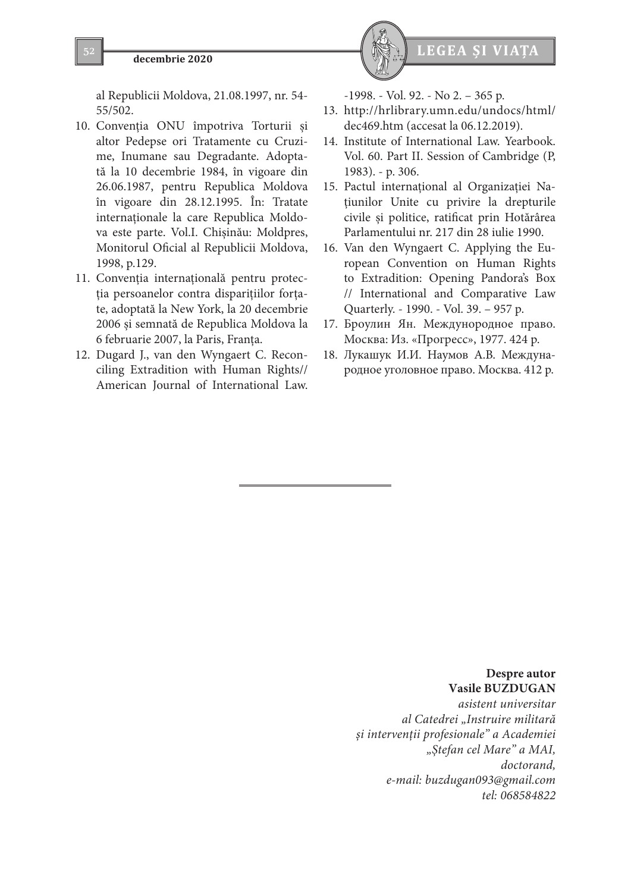al Republicii Moldova, 21.08.1997, nr. 54- 55/502.

- 10. Convenţia ONU împotriva Torturii şi altor Pedepse ori Tratamente cu Cruzime, Inumane sau Degradante. Adoptată la 10 decembrie 1984, în vigoare din 26.06.1987, pentru Republica Moldova în vigoare din 28.12.1995. În: Tratate internaţionale la care Republica Moldova este parte. Vol.I. Chișinău: Moldpres, Monitorul Oficial al Republicii Moldova, 1998, p.129.
- 11. Convenţia internaţională pentru protecţia persoanelor contra dispariţiilor forţate, adoptată la New York, la 20 decembrie 2006 şi semnată de Republica Moldova la 6 februarie 2007, la Paris, Franţa.
- 12. Dugard J., van den Wyngaert С. Reconciling Extradition with Human Rights// American Journal of International Law.



-1998. - Vol. 92. - No 2. – 365 p.

- 13. http://hrlibrary.umn.edu/undocs/html/ dec469.htm (accesat la 06.12.2019).
- 14. Institute of International Law. Yearbook. Vol. 60. Part II. Session of Cambridge (P, 1983). - p. 306.
- 15. Pactul internaţional al Organizaţiei Naţiunilor Unite cu privire la drepturile civile şi politice, ratificat prin Hotărârea Parlamentului nr. 217 din 28 iulie 1990.
- 16. Van den Wyngaert С. Applying the European Convention on Human Rights to Extradition: Opening Pandora's Box // International and Comparative Law Quarterly. - 1990. - Vol. 39. – 957 p.
- 17. Броулин Ян. Междунородное право. Москва: Из. «Прогресс», 1977. 424 p.
- 18. Лукашук И.И. Наумов A.B. Международное уголовное право. Москва. 412 p.

# **Despre autor Vasile BUZDUGAN**

*asistent universitar al Catedrei "Instruire militară și intervenţii profesionale" a Academiei "Ştefan cel Mare" a MAI, doctorand, e-mail: buzdugan093@gmail.com tel: 068584822*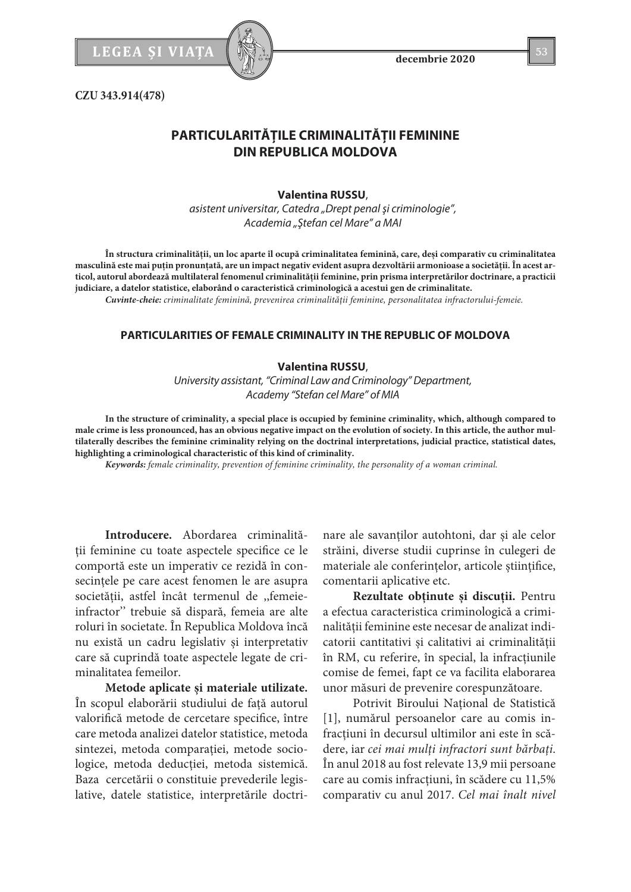

**CZU 343.914(478)**

# **PARTICULARITĂŢILE CRIMINALITĂŢII FEMININE DIN REPUBLICA MOLDOVA**

#### **Valentina RUSSU**,

*asistent universitar, Catedra "Drept penal şi criminologie", Academia "Ştefan cel Mare" a MAI*

**În structura criminalităţii, un loc aparte îl ocupă criminalitatea feminină, care, deşi comparativ cu criminalitatea masculină este mai puţin pronunţată, are un impact negativ evident asupra dezvoltării armonioase a societăţii. În acest articol, autorul abordează multilateral fenomenul criminalităţii feminine, prin prisma interpretărilor doctrinare, a practicii judiciare, a datelor statistice, elaborând o caracteristică criminologică a acestui gen de criminalitate.** 

*Cuvinte-cheie: criminalitate feminină, prevenirea criminalităţii feminine, personalitatea infractorului-femeie.*

# **PARTICULARITIES OF FEMALE CRIMINALITY IN THE REPUBLIC OF MOLDOVA**

## **Valentina RUSSU**,

*University assistant, "Criminal Law and Criminology" Department, Academy "Stefan cel Mare" of MIA*

**In the structure of criminality, a special place is occupied by feminine criminality, which, although compared to male crime is less pronounced, has an obvious negative impact on the evolution of society. In this article, the author multilaterally describes the feminine criminality relying on the doctrinal interpretations, judicial practice, statistical dates, highlighting a criminological characteristic of this kind of criminality.**

*Keywords: female criminality, prevention of feminine criminality, the personality of a woman criminal.*

**Introducere.** Abordarea criminalităţii feminine cu toate aspectele specifice ce le comportă este un imperativ ce rezidă în consecințele pe care acest fenomen le are asupra societăţii, astfel încât termenul de ,,femeieinfractor'' trebuie să dispară, femeia are alte roluri în societate. În Republica Moldova încă nu există un cadru legislativ şi interpretativ care să cuprindă toate aspectele legate de criminalitatea femeilor.

**Metode aplicate şi materiale utilizate.**  În scopul elaborării studiului de față autorul valorifică metode de cercetare specifice, între care metoda analizei datelor statistice, metoda sintezei, metoda comparației, metode sociologice, metoda deducţiei, metoda sistemică. Baza cercetării o constituie prevederile legislative, datele statistice, interpretările doctrinare ale savanţilor autohtoni, dar şi ale celor străini, diverse studii cuprinse în culegeri de materiale ale conferințelor, articole științifice, comentarii aplicative etc.

**Rezultate obţinute şi discuţii.** Pentru a efectua caracteristica criminologică a criminalității feminine este necesar de analizat indicatorii cantitativi şi calitativi ai criminalităţii în RM, cu referire, în special, la infracţiunile comise de femei, fapt ce va facilita elaborarea unor măsuri de prevenire corespunzătoare.

Potrivit Biroului Național de Statistică [1], numărul persoanelor care au comis infracţiuni în decursul ultimilor ani este în scădere, iar *cei mai mulţi infractori sunt bărbaţi*. În anul 2018 au fost relevate 13,9 mii persoane care au comis infracțiuni, în scădere cu 11,5% comparativ cu anul 2017. *Cel mai înalt nivel*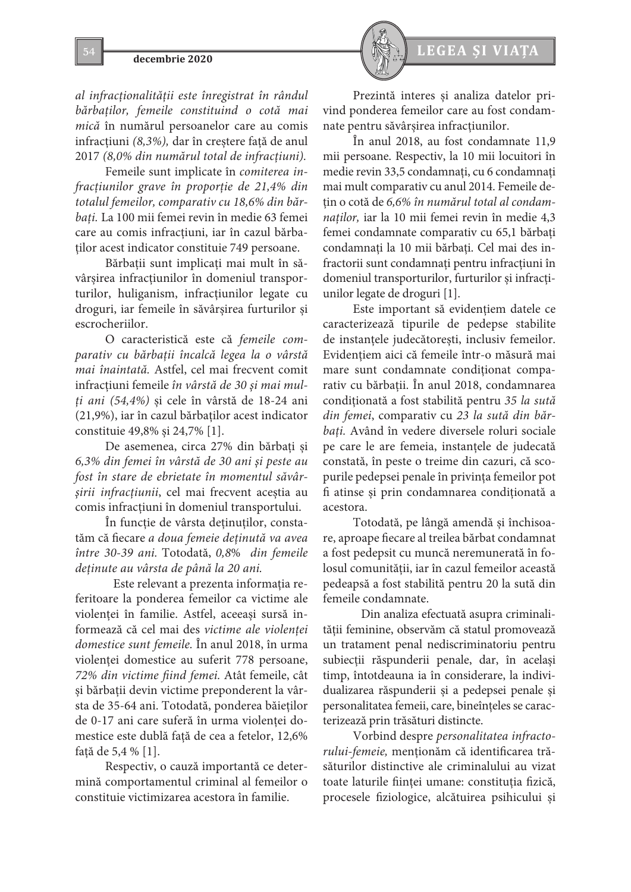*al infracţionalităţii este înregistrat în rândul bărbaţilor, femeile constituind o cotă mai mică* în numărul persoanelor care au comis infracţiuni *(8,3%),* dar în creştere faţă de anul 2017 *(8,0% din numărul total de infracţiuni).*

Femeile sunt implicate în *comiterea infracţiunilor grave în proporţie de 21,4% din totalul femeilor, comparativ cu 18,6% din bărbaţi.* La 100 mii femei revin în medie 63 femei care au comis infracţiuni, iar în cazul bărbaţilor acest indicator constituie 749 persoane.

Bărbații sunt implicați mai mult în săvârşirea infracţiunilor în domeniul transporturilor, huliganism, infracţiunilor legate cu droguri, iar femeile în săvârşirea furturilor şi escrocheriilor.

O caracteristică este că *femeile comparativ cu bărbaţii încalcă legea la o vârstă mai înaintată.* Astfel, cel mai frecvent comit infracţiuni femeile *în vârstă de 30 şi mai mulţi ani (54,4%)* şi cele în vârstă de 18-24 ani (21,9%), iar în cazul bărbaţilor acest indicator constituie 49,8% şi 24,7% [1].

De asemenea, circa 27% din bărbaţi şi *6,3% din femei în vârstă de 30 ani şi peste au fost în stare de ebrietate în momentul săvârşirii infracţiunii*, cel mai frecvent aceştia au comis infracţiuni în domeniul transportului.

În funcţie de vârsta deţinuţilor, constatăm că fiecare *a doua femeie deţinută va avea între 30-39 ani.* Totodată, *0,8*% *din femeile deţinute au vârsta de până la 20 ani.* 

Este relevant a prezenta informaţia referitoare la ponderea femeilor ca victime ale violenţei în familie. Astfel, aceeaşi sursă informează că cel mai des *victime ale violenţei domestice sunt femeile.* În anul 2018, în urma violenței domestice au suferit 778 persoane, *72% din victime fiind femei.* Atât femeile, cât şi bărbaţii devin victime preponderent la vârsta de 35-64 ani. Totodată, ponderea băieţilor de 0-17 ani care suferă în urma violenţei domestice este dublă fată de cea a fetelor, 12,6% faţă de 5,4 % [1].

Respectiv, o cauză importantă ce determină comportamentul criminal al femeilor o constituie victimizarea acestora în familie.



Prezintă interes şi analiza datelor privind ponderea femeilor care au fost condamnate pentru săvârșirea infracțiunilor.

În anul 2018, au fost condamnate 11,9 mii persoane. Respectiv, la 10 mii locuitori în medie revin 33,5 condamnaţi, cu 6 condamnaţi mai mult comparativ cu anul 2014. Femeile deţin o cotă de *6,6% în numărul total al condamnaţilor,* iar la 10 mii femei revin în medie 4,3 femei condamnate comparativ cu 65,1 bărbaţi condamnaţi la 10 mii bărbaţi. Cel mai des infractorii sunt condamnați pentru infracțiuni în domeniul transporturilor, furturilor şi infracţiunilor legate de droguri [1].

Este important să evidenţiem datele ce caracterizează tipurile de pedepse stabilite de instanţele judecătoreşti, inclusiv femeilor. Evidențiem aici că femeile într-o măsură mai mare sunt condamnate condiționat comparativ cu bărbaţii. În anul 2018, condamnarea condiţionată a fost stabilită pentru *35 la sută din femei*, comparativ cu *23 la sută din bărbaţi.* Având în vedere diversele roluri sociale pe care le are femeia, instantele de judecată constată, în peste o treime din cazuri, că scopurile pedepsei penale în privinţa femeilor pot fi atinse şi prin condamnarea condiţionată a acestora.

Totodată, pe lângă amendă şi închisoare, aproape fiecare al treilea bărbat condamnat a fost pedepsit cu muncă neremunerată în folosul comunităţii, iar în cazul femeilor această pedeapsă a fost stabilită pentru 20 la sută din femeile condamnate.

Din analiza efectuată asupra criminalităţii feminine, observăm că statul promovează un tratament penal nediscriminatoriu pentru subiecții răspunderii penale, dar, în același timp, întotdeauna ia în considerare, la individualizarea răspunderii şi a pedepsei penale şi personalitatea femeii, care, bineînțeles se caracterizează prin trăsături distincte.

Vorbind despre *personalitatea infractorului-femeie*, mentionăm că identificarea trăsăturilor distinctive ale criminalului au vizat toate laturile ființei umane: constituția fizică, procesele fiziologice, alcătuirea psihicului şi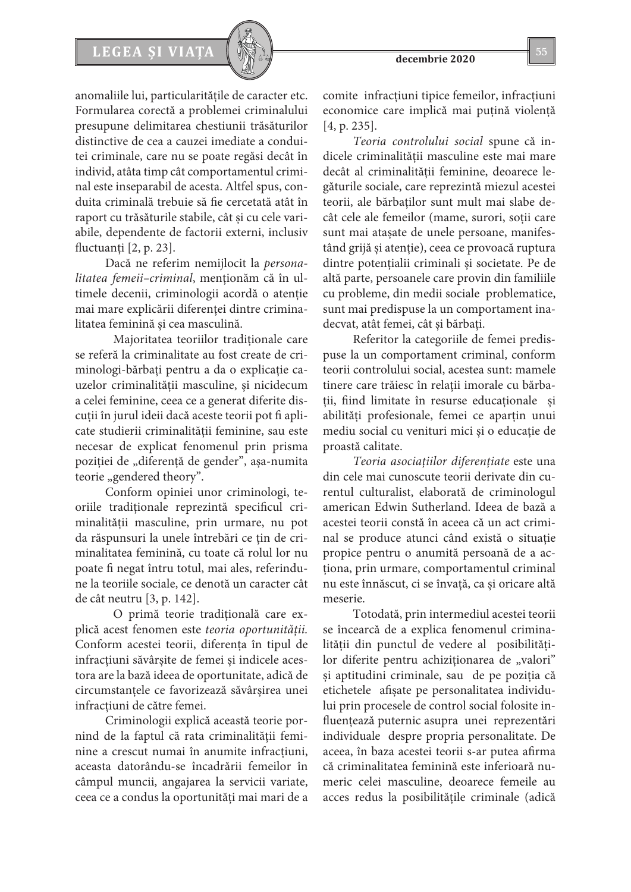# LEGEA ȘI VIAȚA  $\left[\begin{array}{c} \sqrt{2} & \sqrt{2} \\ \sqrt{2} & \sqrt{2} \end{array}\right]$  55



Dacă ne referim nemijlocit la *personalitatea femeii–criminal*, menţionăm că în ultimele decenii, criminologii acordă o atenţie mai mare explicării diferenţei dintre criminalitatea feminină şi cea masculină.

Majoritatea teoriilor tradiționale care se referă la criminalitate au fost create de criminologi-bărbaţi pentru a da o explicaţie cauzelor criminalităţii masculine, şi nicidecum a celei feminine, ceea ce a generat diferite discuții în jurul ideii dacă aceste teorii pot fi aplicate studierii criminalităţii feminine, sau este necesar de explicat fenomenul prin prisma poziției de "diferență de gender", așa-numita teorie "gendered theory".

Conform opiniei unor criminologi, teoriile tradiţionale reprezintă specificul criminalităţii masculine, prin urmare, nu pot da răspunsuri la unele întrebări ce ţin de criminalitatea feminină, cu toate că rolul lor nu poate fi negat întru totul, mai ales, referindune la teoriile sociale, ce denotă un caracter cât de cât neutru [3, p. 142].

O primă teorie tradiţională care explică acest fenomen este *teoria oportunităţii.* Conform acestei teorii, diferenţa în tipul de infracţiuni săvârşite de femei şi indicele acestora are la bază ideea de oportunitate, adică de circumstanţele ce favorizează săvârşirea unei infractiuni de către femei.

Criminologii explică această teorie pornind de la faptul că rata criminalităţii feminine a crescut numai în anumite infractiuni, aceasta datorându-se încadrării femeilor în câmpul muncii, angajarea la servicii variate, ceea ce a condus la oportunităţi mai mari de a comite infracţiuni tipice femeilor, infracţiuni economice care implică mai puțină violență [4, p. 235].

*Teoria controlului social* spune că indicele criminalităţii masculine este mai mare decât al criminalităţii feminine, deoarece legăturile sociale, care reprezintă miezul acestei teorii, ale bărbaţilor sunt mult mai slabe decât cele ale femeilor (mame, surori, soții care sunt mai ataşate de unele persoane, manifestând grijă şi atenţie), ceea ce provoacă ruptura dintre potențialii criminali și societate. Pe de altă parte, persoanele care provin din familiile cu probleme, din medii sociale problematice, sunt mai predispuse la un comportament inadecvat, atât femei, cât şi bărbaţi.

Referitor la categoriile de femei predispuse la un comportament criminal, conform teorii controlului social, acestea sunt: mamele tinere care trăiesc în relatii imorale cu bărbaţii, fiind limitate în resurse educaţionale şi abilităţi profesionale, femei ce aparţin unui mediu social cu venituri mici şi o educaţie de proastă calitate.

*Teoria asociaţiilor diferenţiate* este una din cele mai cunoscute teorii derivate din curentul culturalist, elaborată de criminologul american Edwin Sutherland. Ideea de bază a acestei teorii constă în aceea că un act criminal se produce atunci când există o situaţie propice pentru o anumită persoană de a acţiona, prin urmare, comportamentul criminal nu este înnăscut, ci se învaţă, ca şi oricare altă meserie.

Totodată, prin intermediul acestei teorii se încearcă de a explica fenomenul criminalităţii din punctul de vedere al posibilităţilor diferite pentru achiziționarea de "valori" şi aptitudini criminale, sau de pe poziţia că etichetele afişate pe personalitatea individului prin procesele de control social folosite influenţează puternic asupra unei reprezentări individuale despre propria personalitate. De aceea, în baza acestei teorii s-ar putea afirma că criminalitatea feminină este inferioară numeric celei masculine, deoarece femeile au acces redus la posibilităţile criminale (adică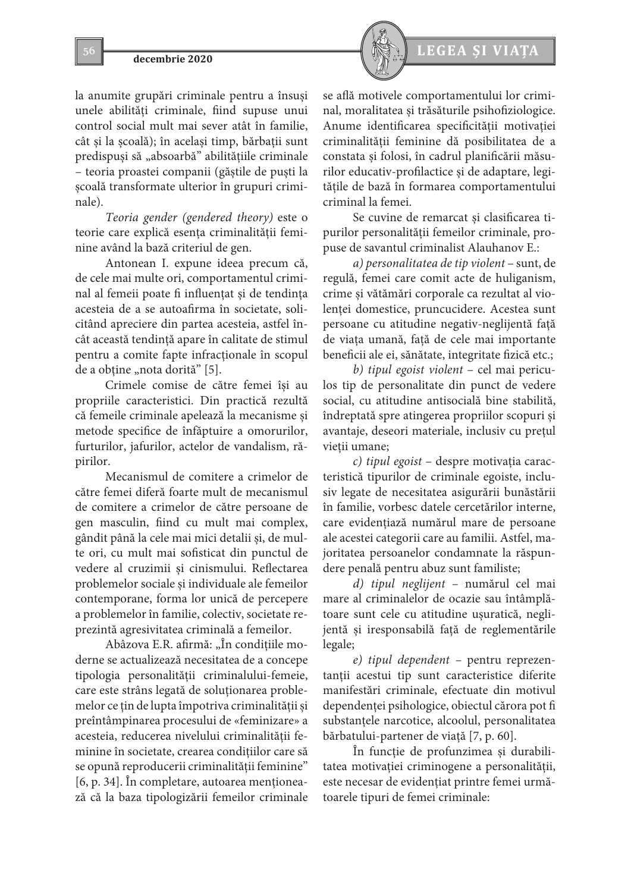la anumite grupări criminale pentru a însuşi unele abilități criminale, fiind supuse unui control social mult mai sever atât în familie, cât şi la şcoală); în acelaşi timp, bărbaţii sunt predispuși să "absoarbă" abilitățiile criminale – teoria proastei companii (găştile de puşti la şcoală transformate ulterior în grupuri criminale).

*Teoria gender (gendered theory)* este o teorie care explică esenţa criminalităţii feminine având la bază criteriul de gen.

Antonean I. expune ideea precum că, de cele mai multe ori, comportamentul criminal al femeii poate fi influenţat şi de tendinţa acesteia de a se autoafirma în societate, solicitând apreciere din partea acesteia, astfel încât această tendinţă apare în calitate de stimul pentru a comite fapte infracţionale în scopul de a obține "nota dorită" [5].

Crimele comise de către femei îşi au propriile caracteristici. Din practică rezultă că femeile criminale apelează la mecanisme şi metode specifice de înfăptuire a omorurilor, furturilor, jafurilor, actelor de vandalism, răpirilor.

Mecanismul de comitere a crimelor de către femei diferă foarte mult de mecanismul de comitere a crimelor de către persoane de gen masculin, fiind cu mult mai complex, gândit până la cele mai mici detalii şi, de multe ori, cu mult mai sofisticat din punctul de vedere al cruzimii şi cinismului. Reflectarea problemelor sociale şi individuale ale femeilor contemporane, forma lor unică de percepere a problemelor în familie, colectiv, societate reprezintă agresivitatea criminală a femeilor.

Abâzova E.R. afirmă: "În condițiile moderne se actualizează necesitatea de a concepe tipologia personalităţii criminalului-femeie, care este strâns legată de soluţionarea problemelor ce ţin de lupta împotriva criminalităţii şi preîntâmpinarea procesului de «feminizare» a acesteia, reducerea nivelului criminalității feminine în societate, crearea condiţiilor care să se opună reproducerii criminalităţii feminine" [6, p. 34]. În completare, autoarea menţionează că la baza tipologizării femeilor criminale



se află motivele comportamentului lor criminal, moralitatea şi trăsăturile psihofiziologice. Anume identificarea specificităţii motivaţiei criminalităţii feminine dă posibilitatea de a constata şi folosi, în cadrul planificării măsurilor educativ-profilactice şi de adaptare, legitățile de bază în formarea comportamentului criminal la femei.

Se cuvine de remarcat şi clasificarea tipurilor personalităţii femeilor criminale, propuse de savantul criminalist Alauhanov E.:

*a) personalitatea de tip violent* – sunt, de regulă, femei care comit acte de huliganism, crime şi vătămări corporale ca rezultat al violenței domestice, pruncucidere. Acestea sunt persoane cu atitudine negativ-neglijentă faţă de viaţa umană, faţă de cele mai importante beneficii ale ei, sănătate, integritate fizică etc.;

*b) tipul egoist violent* – cel mai periculos tip de personalitate din punct de vedere social, cu atitudine antisocială bine stabilită, îndreptată spre atingerea propriilor scopuri şi avantaje, deseori materiale, inclusiv cu preţul vieții umane;

*c) tipul egoist* – despre motivaţia caracteristică tipurilor de criminale egoiste, inclusiv legate de necesitatea asigurării bunăstării în familie, vorbesc datele cercetărilor interne, care evidenţiază numărul mare de persoane ale acestei categorii care au familii. Astfel, majoritatea persoanelor condamnate la răspundere penală pentru abuz sunt familiste;

*d) tipul neglijent* – numărul cel mai mare al criminalelor de ocazie sau întâmplătoare sunt cele cu atitudine uşuratică, neglijentă şi iresponsabilă faţă de reglementările legale;

*e) tipul dependent* – pentru reprezentanții acestui tip sunt caracteristice diferite manifestări criminale, efectuate din motivul dependenței psihologice, obiectul cărora pot fi substanţele narcotice, alcoolul, personalitatea bărbatului-partener de viaţă [7, p. 60].

În funcție de profunzimea și durabilitatea motivaţiei criminogene a personalităţii, este necesar de evidențiat printre femei următoarele tipuri de femei criminale: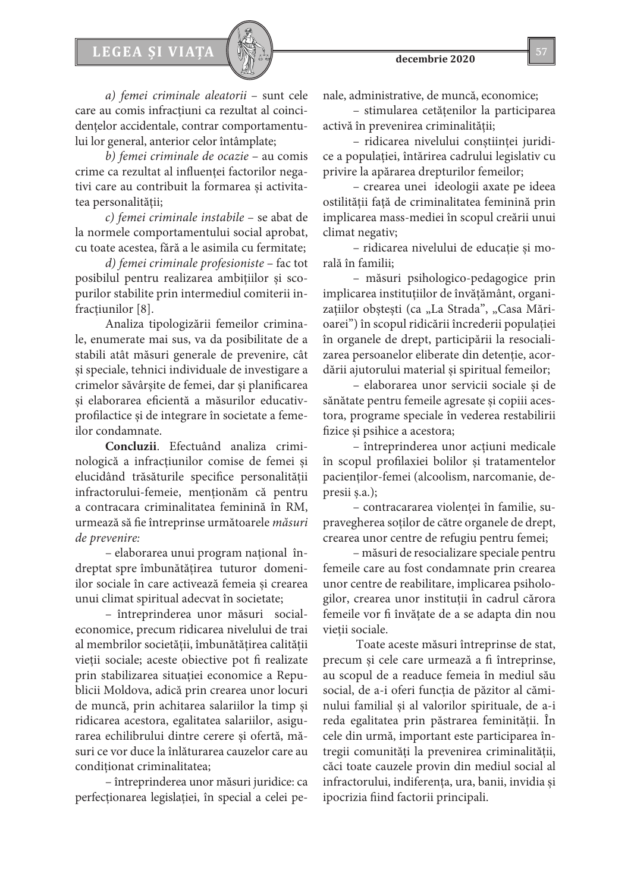# LEGEA ȘI VIAȚA  $\left[\begin{array}{c} \sqrt{2} & \sqrt{2} \\ \sqrt{2} & \sqrt{2} \end{array}\right]$  57

*a) femei criminale aleatorii* – sunt cele care au comis infractiuni ca rezultat al coincidentelor accidentale, contrar comportamentului lor general, anterior celor întâmplate;

*b) femei criminale de ocazie* – au comis crime ca rezultat al influenţei factorilor negativi care au contribuit la formarea şi activitatea personalităţii;

*c) femei criminale instabile* – se abat de la normele comportamentului social aprobat, cu toate acestea, fără a le asimila cu fermitate;

*d) femei criminale profesioniste* – fac tot posibilul pentru realizarea ambiţiilor şi scopurilor stabilite prin intermediul comiterii infracțiunilor [8].

Analiza tipologizării femeilor criminale, enumerate mai sus, va da posibilitate de a stabili atât măsuri generale de prevenire, cât şi speciale, tehnici individuale de investigare a crimelor săvârşite de femei, dar şi planificarea şi elaborarea eficientă a măsurilor educativprofilactice şi de integrare în societate a femeilor condamnate.

**Concluzii**. Efectuând analiza criminologică a infracţiunilor comise de femei şi elucidând trăsăturile specifice personalităţii infractorului-femeie, menţionăm că pentru a contracara criminalitatea feminină în RM, urmează să fie întreprinse următoarele *măsuri de prevenire:* 

– elaborarea unui program naţional îndreptat spre îmbunătăţirea tuturor domeniilor sociale în care activează femeia şi crearea unui climat spiritual adecvat în societate;

– întreprinderea unor măsuri socialeconomice, precum ridicarea nivelului de trai al membrilor societăţii, îmbunătăţirea calităţii vieţii sociale; aceste obiective pot fi realizate prin stabilizarea situaţiei economice a Republicii Moldova, adică prin crearea unor locuri de muncă, prin achitarea salariilor la timp şi ridicarea acestora, egalitatea salariilor, asigurarea echilibrului dintre cerere şi ofertă, măsuri ce vor duce la înlăturarea cauzelor care au conditionat criminalitatea;

– întreprinderea unor măsuri juridice: ca perfecţionarea legislaţiei, în special a celei penale, administrative, de muncă, economice;

– stimularea cetăţenilor la participarea activă în prevenirea criminalității;

– ridicarea nivelului conştiinţei juridice a populaţiei, întărirea cadrului legislativ cu privire la apărarea drepturilor femeilor;

– crearea unei ideologii axate pe ideea ostilităţii faţă de criminalitatea feminină prin implicarea mass-mediei în scopul creării unui climat negativ;

– ridicarea nivelului de educaţie şi morală în familii;

– măsuri psihologico-pedagogice prin implicarea instituţiilor de învăţământ, organizațiilor obștești (ca "La Strada", "Casa Mărioarei") în scopul ridicării încrederii populaţiei în organele de drept, participării la resocializarea persoanelor eliberate din detenție, acordării ajutorului material şi spiritual femeilor;

– elaborarea unor servicii sociale şi de sănătate pentru femeile agresate şi copiii acestora, programe speciale în vederea restabilirii fizice şi psihice a acestora;

– întreprinderea unor acţiuni medicale în scopul profilaxiei bolilor şi tratamentelor pacienţilor-femei (alcoolism, narcomanie, depresii ş.a.);

– contracararea violenţei în familie, supravegherea soţilor de către organele de drept, crearea unor centre de refugiu pentru femei;

– măsuri de resocializare speciale pentru femeile care au fost condamnate prin crearea unor centre de reabilitare, implicarea psihologilor, crearea unor instituţii în cadrul cărora femeile vor fi învăţate de a se adapta din nou vietii sociale.

 Toate aceste măsuri întreprinse de stat, precum şi cele care urmează a fi întreprinse, au scopul de a readuce femeia în mediul său social, de a-i oferi funcţia de păzitor al căminului familial şi al valorilor spirituale, de a-i reda egalitatea prin păstrarea feminităţii. În cele din urmă, important este participarea întregii comunităţi la prevenirea criminalităţii, căci toate cauzele provin din mediul social al infractorului, indiferența, ura, banii, invidia și ipocrizia fiind factorii principali.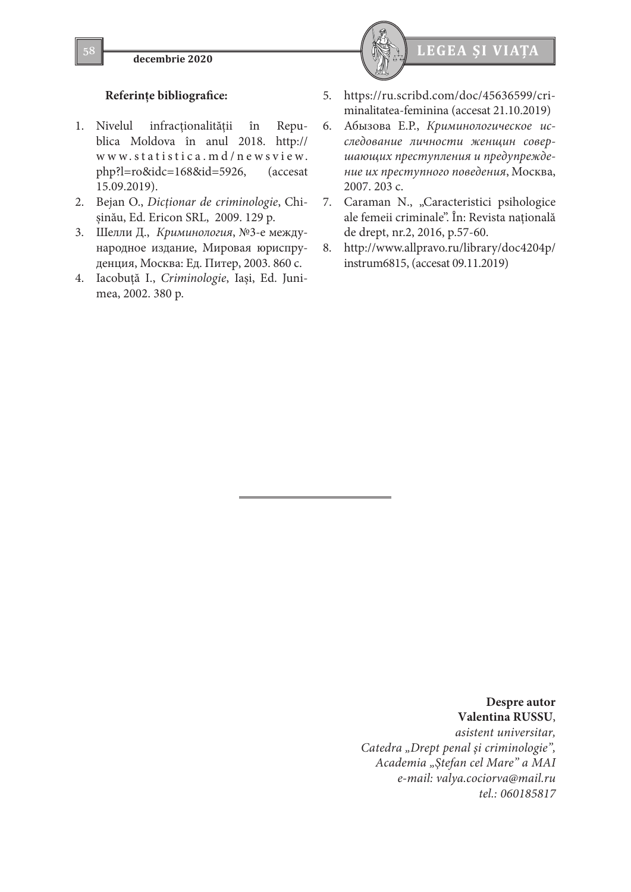

# **Referinţe bibliografice:**

- 1. Nivelul infracţionalităţii în Republica Moldova în anul 2018. http:// www.statistica.md/newsview. php?l=ro&idc=168&id=5926, (accesat 15.09.2019).
- 2. Bejan O., *Dicţionar de criminologie*, Chişinău, Ed. Ericon SRL, 2009. 129 p.
- 3. Шелли Д., *Криминология*, №3-е международное издание, Мировая юриспруденция, Москва: Ед. Питер, 2003. 860 c.
- 4. Iacobuţă I., *Criminologie*, Iaşi, Ed. Junimea, 2002. 380 p.



- 5. https://ru.scribd.com/doc/45636599/criminalitatea-feminina (accesat 21.10.2019)
- 6. Абызова Е.Р., *Криминологическое исследование личности женщин совершающих преступления и предупреждение их преступного поведения*, Москва, 2007. 203 c.
- 7. Caraman N., "Caracteristici psihologice ale femeii criminale". În: Revista naţională de drept, nr.2, 2016, p.57-60.
- 8. http://www.allpravo.ru/library/doc4204p/ instrum6815, (accesat 09.11.2019)

**Despre autor Valentina RUSSU**, *asistent universitar, Catedra "Drept penal şi criminologie", Academia "Ştefan cel Mare" a MAI e-mail: valya.cociorva@mail.ru tel.: 060185817*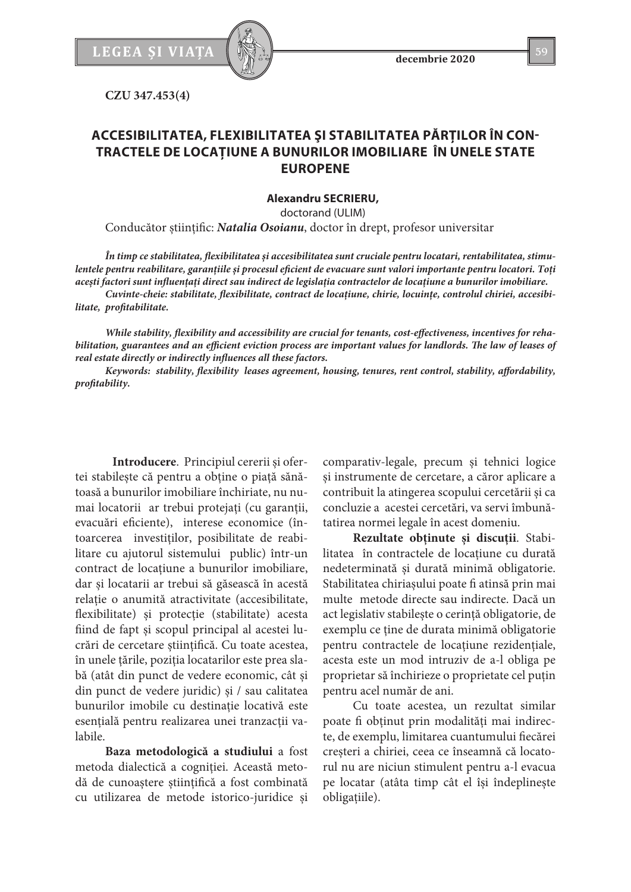

**CZU 347.453(4)**

# **ACCESIBILITATEA, FLEXIBILITATEA ŞI STABILITATEA PĂRŢILOR ÎN CON-TRACTELE DE LOCAŢIUNE A BUNURILOR IMOBILIARE ÎN UNELE STATE EUROPENE**

**Alexandru SECRIERU,**

doctorand (ULIM)

Conducător știinţific: *Natalia Osoianu*, doctor în drept, profesor universitar

*În timp ce stabilitatea, flexibilitatea și accesibilitatea sunt cruciale pentru locatari, rentabilitatea, stimulentele pentru reabilitare, garanțiile și procesul eficient de evacuare sunt valori importante pentru locatori. Toți acești factori sunt influențaţi direct sau indirect de legislaţia contractelor de locațiune a bunurilor imobiliare.*

*Cuvinte-cheie: stabilitate, flexibilitate, contract de locațiune, chirie, locuințe, controlul chiriei, accesibilitate, profitabilitate.* 

*While stability, flexibility and accessibility are crucial for tenants, cost-effectiveness, incentives for rehabilitation, guarantees and an efficient eviction process are important values for landlords. The law of leases of real estate directly or indirectly influences all these factors.*

*Keywords: stability, flexibility leases agreement, housing, tenures, rent control, stability, affordability, profitability.*

 **Introducere**. Principiul cererii și ofertei stabilește că pentru a obține o piață sănătoasă a bunurilor imobiliare închiriate, nu numai locatorii ar trebui protejați (cu garanții, evacuări eficiente), interese economice (întoarcerea investiţilor, posibilitate de reabilitare cu ajutorul sistemului public) într-un contract de locaţiune a bunurilor imobiliare, dar și locatarii ar trebui să găsească în acestă relaţie o anumită atractivitate (accesibilitate, flexibilitate) și protecție (stabilitate) acesta fiind de fapt şi scopul principal al acestei lucrări de cercetare ştiinţifică. Cu toate acestea, în unele țările, poziția locatarilor este prea slabă (atât din punct de vedere economic, cât și din punct de vedere juridic) și / sau calitatea bunurilor imobile cu destinaţie locativă este esențială pentru realizarea unei tranzacții valabile.

**Baza metodologică a studiului** a fost metoda dialectică a cogniției. Această metodă de cunoaștere științifică a fost combinată cu utilizarea de metode istorico-juridice și

comparativ-legale, precum și tehnici logice și instrumente de cercetare, a căror aplicare a contribuit la atingerea scopului cercetării și ca concluzie a acestei cercetări, va servi îmbunătatirea normei legale în acest domeniu.

**Rezultate obţinute și discuții**. Stabilitatea în contractele de locațiune cu durată nedeterminată și durată minimă obligatorie. Stabilitatea chiriașului poate fi atinsă prin mai multe metode directe sau indirecte. Dacă un act legislativ stabilește o cerință obligatorie, de exemplu ce ține de durata minimă obligatorie pentru contractele de locațiune rezidențiale, acesta este un mod intruziv de a-l obliga pe proprietar să închirieze o proprietate cel puțin pentru acel număr de ani.

Cu toate acestea, un rezultat similar poate fi obținut prin modalități mai indirecte, de exemplu, limitarea cuantumului fiecărei creșteri a chiriei, ceea ce înseamnă că locatorul nu are niciun stimulent pentru a-l evacua pe locatar (atâta timp cât el își îndeplinește obligațiile).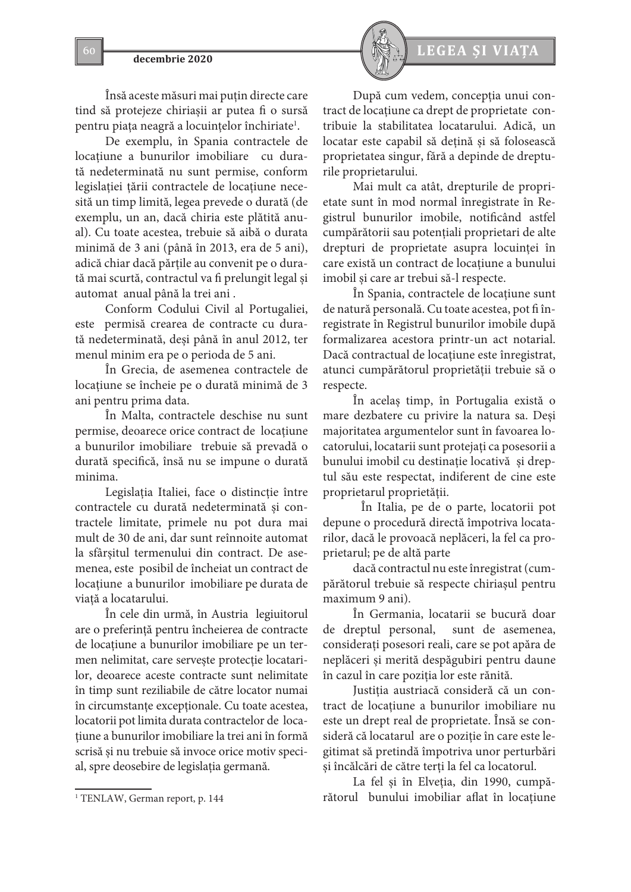Însă aceste măsuri mai puțin directe care tind să protejeze chiriașii ar putea fi o sursă pentru piața neagră a locuințelor închiriate<sup>1</sup>.

De exemplu, în Spania contractele de locațiune a bunurilor imobiliare cu durată nedeterminată nu sunt permise, conform legislației țării contractele de locațiune necesită un timp limită, legea prevede o durată (de exemplu, un an, dacă chiria este plătită anual). Cu toate acestea, trebuie să aibă o durata minimă de 3 ani (până în 2013, era de 5 ani), adică chiar dacă părțile au convenit pe o durată mai scurtă, contractul va fi prelungit legal și automat anual până la trei ani .

Conform Codului Civil al Portugaliei, este permisă crearea de contracte cu durată nedeterminată, deşi până în anul 2012, ter menul minim era pe o perioda de 5 ani.

În Grecia, de asemenea contractele de locațiune se încheie pe o durată minimă de 3 ani pentru prima data.

În Malta, contractele deschise nu sunt permise, deoarece orice contract de locaţiune a bunurilor imobiliare trebuie să prevadă o durată specifică, însă nu se impune o durată minima.

Legislaţia Italiei, face o distincție între contractele cu durată nedeterminată și contractele limitate, primele nu pot dura mai mult de 30 de ani, dar sunt reînnoite automat la sfârșitul termenului din contract. De asemenea, este posibil de încheiat un contract de locaţiune a bunurilor imobiliare pe durata de viață a locatarului.

În cele din urmă, în Austria legiuitorul are o preferință pentru încheierea de contracte de locaţiune a bunurilor imobiliare pe un termen nelimitat, care servește protecție locatarilor, deoarece aceste contracte sunt nelimitate în timp sunt reziliabile de către locator numai în circumstanțe excepționale. Cu toate acestea, locatorii pot limita durata contractelor de locatiune a bunurilor imobiliare la trei ani în formă scrisă și nu trebuie să invoce orice motiv special, spre deosebire de legislația germană.



După cum vedem, concepția unui contract de locațiune ca drept de proprietate contribuie la stabilitatea locatarului. Adică, un locatar este capabil să dețină și să folosească proprietatea singur, fără a depinde de drepturile proprietarului.

Mai mult ca atât, drepturile de proprietate sunt în mod normal înregistrate în Registrul bunurilor imobile, notificând astfel cumpărătorii sau potențiali proprietari de alte drepturi de proprietate asupra locuinței în care există un contract de locațiune a bunului imobil și care ar trebui să-l respecte.

În Spania, contractele de locațiune sunt de natură personală. Cu toate acestea, pot fi înregistrate în Registrul bunurilor imobile după formalizarea acestora printr-un act notarial. Dacă contractual de locațiune este înregistrat, atunci cumpărătorul proprietății trebuie să o respecte.

În acelaș timp, în Portugalia există o mare dezbatere cu privire la natura sa. Deși majoritatea argumentelor sunt în favoarea locatorului, locatarii sunt protejați ca posesorii a bunului imobil cu destinaţie locativă și dreptul său este respectat, indiferent de cine este proprietarul proprietății.

În Italia, pe de o parte, locatorii pot depune o procedură directă împotriva locatarilor, dacă le provoacă neplăceri, la fel ca proprietarul; pe de altă parte

dacă contractul nu este înregistrat (cumpărătorul trebuie să respecte chiriașul pentru maximum 9 ani).

În Germania, locatarii se bucură doar de dreptul personal, sunt de asemenea, considerați posesori reali, care se pot apăra de neplăceri și merită despăgubiri pentru daune în cazul în care poziția lor este rănită.

Justiția austriacă consideră că un contract de locațiune a bunurilor imobiliare nu este un drept real de proprietate. Însă se consideră că locatarul are o poziție în care este legitimat să pretindă împotriva unor perturbări și încălcări de către terți la fel ca locatorul.

La fel și în Elveția, din 1990, cumpărătorul bunului imobiliar aflat în locaţiune

<sup>1</sup> TENLAW, German report, p. 144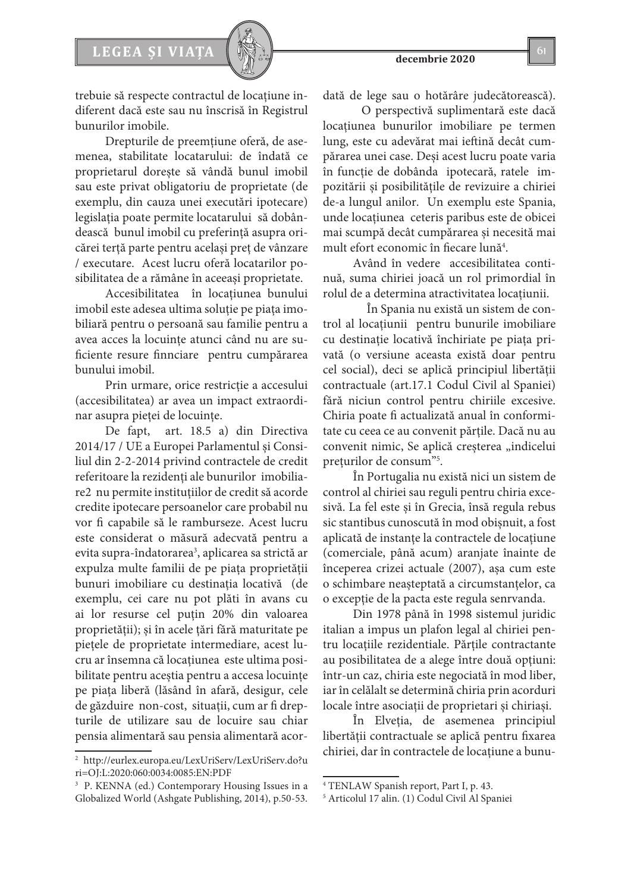

trebuie să respecte contractul de locaţiune indiferent dacă este sau nu înscrisă în Registrul bunurilor imobile.

Drepturile de preemțiune oferă, de asemenea, stabilitate locatarului: de îndată ce proprietarul dorește să vândă bunul imobil sau este privat obligatoriu de proprietate (de exemplu, din cauza unei executări ipotecare) legislația poate permite locatarului să dobândească bunul imobil cu preferință asupra oricărei terță parte pentru același preț de vânzare / executare. Acest lucru oferă locatarilor posibilitatea de a rămâne în aceeași proprietate.

Accesibilitatea în locaţiunea bunului imobil este adesea ultima soluție pe piața imobiliară pentru o persoană sau familie pentru a avea acces la locuințe atunci când nu are suficiente resure finnciare pentru cumpărarea bunului imobil.

Prin urmare, orice restricție a accesului (accesibilitatea) ar avea un impact extraordinar asupra pieţei de locuinţe.

De fapt, art. 18.5 a) din Directiva 2014/17 / UE a Europei Parlamentul și Consiliul din 2-2-2014 privind contractele de credit referitoare la rezidenți ale bunurilor imobiliare2 nu permite instituțiilor de credit să acorde credite ipotecare persoanelor care probabil nu vor fi capabile să le ramburseze. Acest lucru este considerat o măsură adecvată pentru a evita supra-îndatorarea<sup>3</sup>, aplicarea sa strictă ar expulza multe familii de pe piața proprietății bunuri imobiliare cu destinaţia locativă (de exemplu, cei care nu pot plăti în avans cu ai lor resurse cel puțin 20% din valoarea proprietății); și în acele țări fără maturitate pe piețele de proprietate intermediare, acest lucru ar însemna că locaţiunea este ultima posibilitate pentru aceştia pentru a accesa locuințe pe piața liberă (lăsând în afară, desigur, cele de găzduire non-cost, situații, cum ar fi drepturile de utilizare sau de locuire sau chiar pensia alimentară sau pensia alimentară acordată de lege sau o hotărâre judecătorească).

 O perspectivă suplimentară este dacă locatiunea bunurilor imobiliare pe termen lung, este cu adevărat mai ieftină decât cumpărarea unei case. Deși acest lucru poate varia în funcție de dobânda ipotecară, ratele impozitării și posibilitățile de revizuire a chiriei de-a lungul anilor. Un exemplu este Spania, unde locaţiunea ceteris paribus este de obicei mai scumpă decât cumpărarea și necesită mai mult efort economic în fiecare lună<sup>4</sup>.

Având în vedere accesibilitatea continuă, suma chiriei joacă un rol primordial în rolul de a determina atractivitatea locaţiunii.

 În Spania nu există un sistem de control al locaţiunii pentru bunurile imobiliare cu destinaţie locativă închiriate pe piața privată (o versiune aceasta există doar pentru cel social), deci se aplică principiul libertății contractuale (art.17.1 Codul Civil al Spaniei) fără niciun control pentru chiriile excesive. Chiria poate fi actualizată anual în conformitate cu ceea ce au convenit părțile. Dacă nu au convenit nimic, Se aplică creșterea "indicelui prețurilor de consum"5 .

În Portugalia nu există nici un sistem de control al chiriei sau reguli pentru chiria excesivă. La fel este şi în Grecia, însă regula rebus sic stantibus cunoscută în mod obișnuit, a fost aplicată de instanțe la contractele de locaţiune (comerciale, până acum) aranjate înainte de începerea crizei actuale (2007), așa cum este o schimbare neașteptată a circumstanțelor, ca o excepție de la pacta este regula senrvanda.

Din 1978 până în 1998 sistemul juridic italian a impus un plafon legal al chiriei pentru locaţiile rezidentiale. Părțile contractante au posibilitatea de a alege între două opţiuni: într-un caz, chiria este negociată în mod liber, iar în celălalt se determină chiria prin acorduri locale între asociații de proprietari și chiriași.

În Elveția, de asemenea principiul libertății contractuale se aplică pentru fixarea chiriei, dar în contractele de locaţiune a bunu-

<sup>2</sup> http://eurlex.europa.eu/LexUriServ/LexUriServ.do?u ri=OJ:L:2020:060:0034:0085:EN:PDF

<sup>3</sup> P. KENNA (ed.) Contemporary Housing Issues in a Globalized World (Ashgate Publishing, 2014), p.50-53.

<sup>4</sup> TENLAW Spanish report, Part I, p. 43.

<sup>5</sup> Articolul 17 alin. (1) Codul Civil Al Spaniei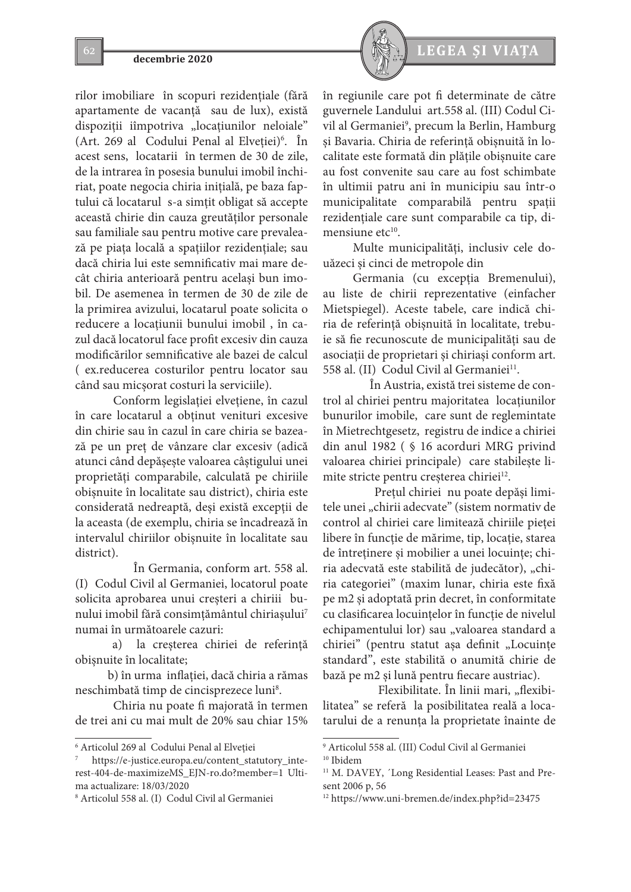rilor imobiliare în scopuri rezidențiale (fără apartamente de vacanță sau de lux), există dispoziții iîmpotriva "locațiunilor neloiale" (Art. 269 al Codului Penal al Elveţiei)6 . În acest sens, locatarii în termen de 30 de zile, de la intrarea în posesia bunului imobil închiriat, poate negocia chiria inițială, pe baza faptului că locatarul s-a simțit obligat să accepte această chirie din cauza greutăților personale sau familiale sau pentru motive care prevalează pe piața locală a spațiilor rezidențiale; sau dacă chiria lui este semnificativ mai mare decât chiria anterioară pentru acelaşi bun imobil. De asemenea în termen de 30 de zile de la primirea avizului, locatarul poate solicita o reducere a locaţiunii bunului imobil , în cazul dacă locatorul face profit excesiv din cauza modificărilor semnificative ale bazei de calcul ( ex.reducerea costurilor pentru locator sau când sau micşorat costuri la serviciile).

Conform legislației elvețiene, în cazul în care locatarul a obtinut venituri excesive din chirie sau în cazul în care chiria se bazează pe un preț de vânzare clar excesiv (adică atunci când depășește valoarea câștigului unei proprietăți comparabile, calculată pe chiriile obișnuite în localitate sau district), chiria este considerată nedreaptă, deși există excepții de la aceasta (de exemplu, chiria se încadrează în intervalul chiriilor obișnuite în localitate sau district).

 În Germania, conform art. 558 al. (I) Codul Civil al Germaniei, locatorul poate solicita aprobarea unui creșteri a chiriii bunului imobil fără consimțământul chiriașului<sup>7</sup> numai în următoarele cazuri:

 a) la creşterea chiriei de referință obișnuite în localitate;

 b) în urma inflaţiei, dacă chiria a rămas neschimbată timp de cincisprezece luni<sup>8</sup>.

Chiria nu poate fi majorată în termen de trei ani cu mai mult de 20% sau chiar 15%



în regiunile care pot fi determinate de către guvernele Landului art.558 al. (III) Codul Civil al Germaniei<sup>9</sup>, precum la Berlin, Hamburg și Bavaria. Chiria de referință obișnuită în localitate este formată din plățile obișnuite care au fost convenite sau care au fost schimbate în ultimii patru ani în municipiu sau într-o municipalitate comparabilă pentru spații rezidențiale care sunt comparabile ca tip, dimensiune et $c^{10}$ .

Multe municipalități, inclusiv cele douăzeci și cinci de metropole din

Germania (cu excepția Bremenului), au liste de chirii reprezentative (einfacher Mietspiegel). Aceste tabele, care indică chiria de referință obișnuită în localitate, trebuie să fie recunoscute de municipalități sau de asociații de proprietari și chiriași conform art. 558 al. (II) Codul Civil al Germaniei<sup>11</sup>.

 În Austria, există trei sisteme de control al chiriei pentru majoritatea locaţiunilor bunurilor imobile, care sunt de reglemintate în Mietrechtgesetz, registru de indice a chiriei din anul 1982 ( § 16 acorduri MRG privind valoarea chiriei principale) care stabilește limite stricte pentru creșterea chiriei<sup>12</sup>.

 Preţul chiriei nu poate depăși limitele unei "chirii adecvate" (sistem normativ de control al chiriei care limitează chiriile pieței libere în funcție de mărime, tip, locație, starea de întreținere și mobilier a unei locuințe; chiria adecvată este stabilită de judecător), "chiria categoriei" (maxim lunar, chiria este fixă pe m2 și adoptată prin decret, în conformitate cu clasificarea locuințelor în funcție de nivelul echipamentului lor) sau "valoarea standard a chiriei" (pentru statut așa definit "Locuințe standard", este stabilită o anumită chirie de bază pe m2 și lună pentru fiecare austriac).

Flexibilitate. În linii mari, "flexibilitatea" se referă la posibilitatea reală a locatarului de a renunța la proprietate înainte de

<sup>6</sup> Articolul 269 al Codului Penal al Elveţiei

<sup>7</sup> https://e-justice.europa.eu/content\_statutory\_interest-404-de-maximizeMS\_EJN-ro.do?member=1 Ultima actualizare: 18/03/2020

<sup>8</sup> Articolul 558 al. (I) Codul Civil al Germaniei

<sup>9</sup> Articolul 558 al. (III) Codul Civil al Germaniei <sup>10</sup> Ibidem

<sup>&</sup>lt;sup>11</sup> M. DAVEY, 'Long Residential Leases: Past and Present 2006 p, 56

<sup>12</sup> https://www.uni-bremen.de/index.php?id=23475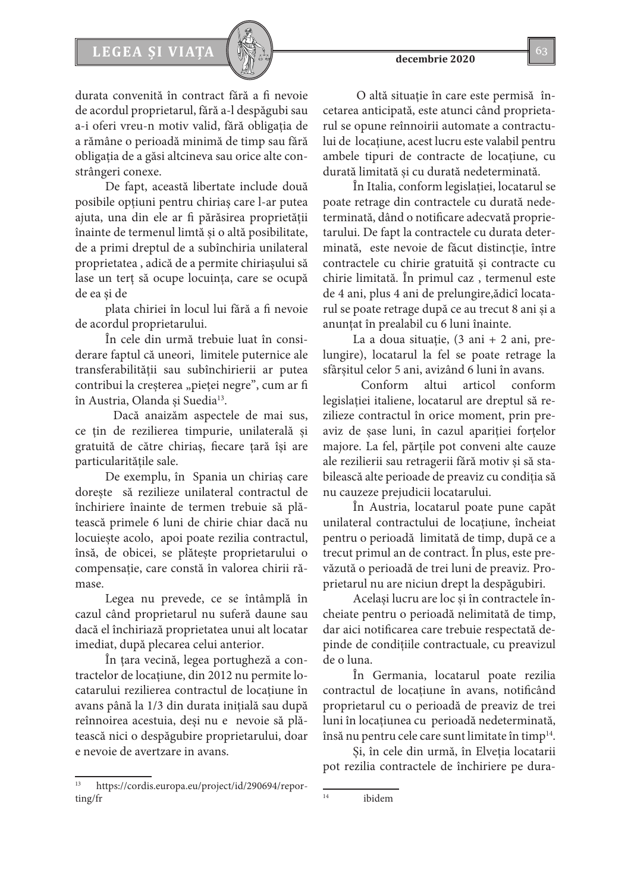# LEGEA ȘI VIAȚA  $\left[\begin{array}{c} \sqrt{2} & \sqrt{2} \\ \sqrt{2} & \sqrt{2} & \sqrt{2} \\ \sqrt{2} & \sqrt{2} & \sqrt{2} \\ \sqrt{2} & \sqrt{2} & \sqrt{2} \\ \sqrt{2} & \sqrt{2} & \sqrt{2} \\ \sqrt{2} & \sqrt{2} & \sqrt{2} \\ \sqrt{2} & \sqrt{2} & \sqrt{2} \\ \sqrt{2} & \sqrt{2} & \sqrt{2} \\ \sqrt{2} & \sqrt{2} & \sqrt{2} \\ \sqrt{2} & \sqrt{2} & \sqrt{2} \\ \sqrt{2} & \sqrt{2} & \sqrt{2} \\ \sqrt{2}$

durata convenită în contract fără a fi nevoie de acordul proprietarul, fără a-l despăgubi sau a-i oferi vreu-n motiv valid, fără obligația de a rămâne o perioadă minimă de timp sau fără obligația de a găsi altcineva sau orice alte constrângeri conexe.

De fapt, această libertate include două posibile opțiuni pentru chiriaș care l-ar putea ajuta, una din ele ar fi părăsirea proprietății înainte de termenul limtă și o altă posibilitate, de a primi dreptul de a subînchiria unilateral proprietatea , adică de a permite chiriașului să lase un terț să ocupe locuința, care se ocupă de ea și de

plata chiriei în locul lui fără a fi nevoie de acordul proprietarului.

În cele din urmă trebuie luat în considerare faptul că uneori, limitele puternice ale transferabilității sau subînchirierii ar putea contribui la creșterea "pieței negre", cum ar fi în Austria, Olanda și Suedia<sup>13</sup>.

Dacă anaizăm aspectele de mai sus, ce țin de rezilierea timpurie, unilaterală și gratuită de către chiriaș, fiecare țară își are particularitățile sale.

De exemplu, în Spania un chiriaș care dorește să rezilieze unilateral contractul de închiriere înainte de termen trebuie să plătească primele 6 luni de chirie chiar dacă nu locuiește acolo, apoi poate rezilia contractul, însă, de obicei, se plătește proprietarului o compensație, care constă în valorea chirii rămase.

Legea nu prevede, ce se întâmplă în cazul când proprietarul nu suferă daune sau dacă el închiriază proprietatea unui alt locatar imediat, după plecarea celui anterior.

În țara vecină, legea portugheză a contractelor de locațiune, din 2012 nu permite locatarului rezilierea contractul de locațiune în avans până la 1/3 din durata inițială sau după reînnoirea acestuia, deși nu e nevoie să plătească nici o despăgubire proprietarului, doar e nevoie de avertzare in avans.

 O altă situație în care este permisă încetarea anticipată, este atunci când proprietarul se opune reînnoirii automate a contractului de locațiune, acest lucru este valabil pentru ambele tipuri de contracte de locațiune, cu durată limitată și cu durată nedeterminată.

În Italia, conform legislației, locatarul se poate retrage din contractele cu durată nedeterminată, dând o notificare adecvată proprietarului. De fapt la contractele cu durata determinată, este nevoie de făcut distincție, între contractele cu chirie gratuită și contracte cu chirie limitată. În primul caz , termenul este de 4 ani, plus 4 ani de prelungire,ădicî locatarul se poate retrage după ce au trecut 8 ani și a anunțat în prealabil cu 6 luni înainte.

La a doua situație,  $(3 \text{ ani} + 2 \text{ ani}, \text{pre} - \text{tri})$ lungire), locatarul la fel se poate retrage la sfârșitul celor 5 ani, avizând 6 luni în avans.

Conform altui articol conform legislației italiene, locatarul are dreptul să rezilieze contractul în orice moment, prin preaviz de șase luni, în cazul apariției forțelor majore. La fel, părțile pot conveni alte cauze ale rezilierii sau retragerii fără motiv și să stabilească alte perioade de preaviz cu condiția să nu cauzeze prejudicii locatarului.

În Austria, locatarul poate pune capăt unilateral contractului de locaţiune, încheiat pentru o perioadă limitată de timp, după ce a trecut primul an de contract. În plus, este prevăzută o perioadă de trei luni de preaviz. Proprietarul nu are niciun drept la despăgubiri.

Același lucru are loc și în contractele încheiate pentru o perioadă nelimitată de timp, dar aici notificarea care trebuie respectată depinde de condițiile contractuale, cu preavizul de o luna.

În Germania, locatarul poate rezilia contractul de locatiune în avans, notificând proprietarul cu o perioadă de preaviz de trei luni în locațiunea cu perioadă nedeterminată, însă nu pentru cele care sunt limitate în timp<sup>14</sup>.

Și, în cele din urmă, în Elveția locatarii pot rezilia contractele de închiriere pe dura-

https://cordis.europa.eu/project/id/290694/reporting/fr

<sup>14</sup> ibidem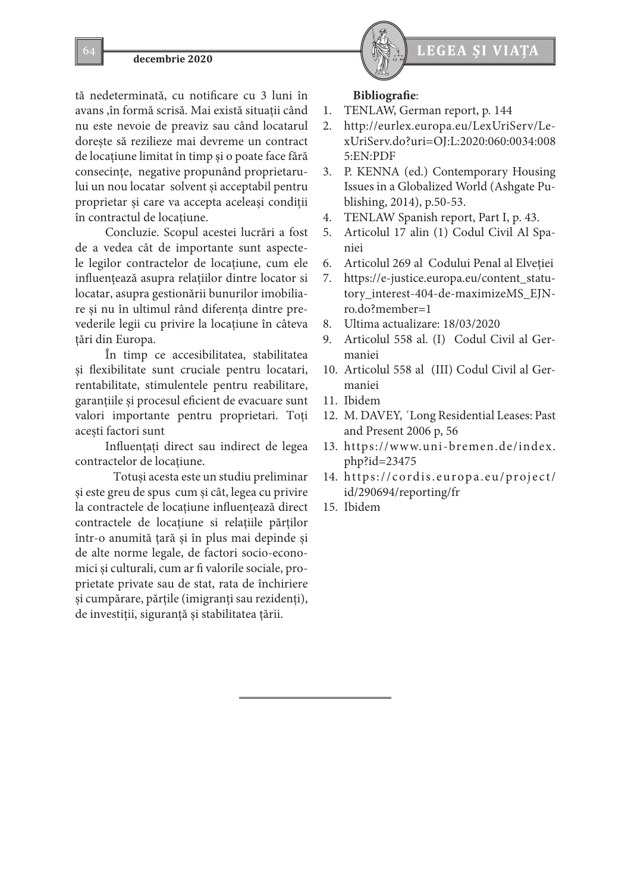tă nedeterminată, cu notificare cu 3 luni în avans ,în formă scrisă. Mai există situații când nu este nevoie de preaviz sau când locatarul dorește să rezilieze mai devreme un contract de locațiune limitat în timp și o poate face fără consecințe, negative propunând proprietarului un nou locatar solvent și acceptabil pentru proprietar și care va accepta aceleași condiții în contractul de locațiune.

Concluzie. Scopul acestei lucrări a fost de a vedea cât de importante sunt aspectele legilor contractelor de locațiune, cum ele influențează asupra relațiilor dintre locator si locatar, asupra gestionării bunurilor imobiliare și nu în ultimul rând diferența dintre prevederile legii cu privire la locațiune în câteva țări din Europa.

În timp ce accesibilitatea, stabilitatea și flexibilitate sunt cruciale pentru locatari, rentabilitate, stimulentele pentru reabilitare, garanțiile și procesul eficient de evacuare sunt valori importante pentru proprietari. Toți acești factori sunt

Influențaţi direct sau indirect de legea contractelor de locațiune.

Totuși acesta este un studiu preliminar și este greu de spus cum și cât, legea cu privire la contractele de locațiune influențează direct contractele de locațiune si relațiile părților într-o anumită țară și în plus mai depinde și de alte norme legale, de factori socio-economici și culturali, cum ar fi valorile sociale, proprietate private sau de stat, rata de închiriere și cumpărare, părțile (imigranți sau rezidenți), de investiții, siguranță și stabilitatea țării.



### **Bibliografie**:

- 1. TENLAW, German report, p. 144
- 2. http://eurlex.europa.eu/LexUriServ/LexUriServ.do?uri=OJ:L:2020:060:0034:008 5:EN:PDF
- 3. P. KENNA (ed.) Contemporary Housing Issues in a Globalized World (Ashgate Publishing, 2014), p.50-53.
- 4. TENLAW Spanish report, Part I, p. 43.
- 5. Articolul 17 alin (1) Codul Civil Al Spaniei
- 6. Articolul 269 al Codului Penal al Elveţiei
- 7. https://e-justice.europa.eu/content\_statutory\_interest-404-de-maximizeMS\_EJNro.do?member=1
- 8. Ultima actualizare: 18/03/2020
- 9. Articolul 558 al. (I) Codul Civil al Germaniei
- 10. Articolul 558 al (III) Codul Civil al Germaniei
- 11. Ibidem
- 12. M. DAVEY, ´Long Residential Leases: Past and Present 2006 p, 56
- 13. https://www.uni-bremen.de/index. php?id=23475
- 14. https://cordis.europa.eu/project/ id/290694/reporting/fr
- 15. Ibidem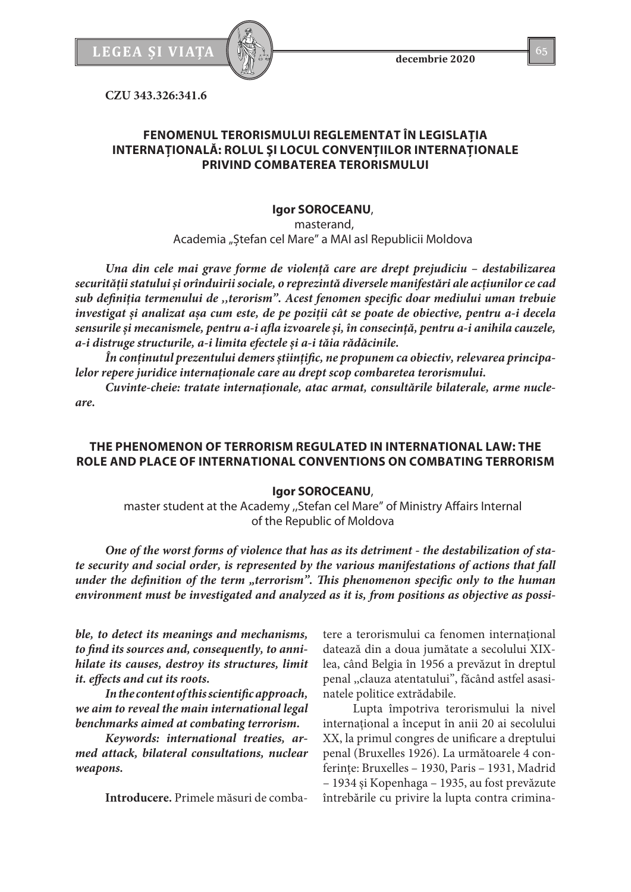

**decembrie 2020**

**CZU 343.326:341.6**

# **FENOMENUL TERORISMULUI REGLEMENTAT ÎN LEGISLAŢIA INTERNAŢIONALĂ: ROLUL ŞI LOCUL CONVENŢIILOR INTERNAŢIONALE PRIVIND COMBATEREA TERORISMULUI**

# **Igor SOROCEANU**,

 masterand, Academia "Ștefan cel Mare" a MAI asl Republicii Moldova

*Una din cele mai grave forme de violență care are drept prejudiciu – destabilizarea securității statului și orînduirii sociale, o reprezintă diversele manifestări ale acțiunilor ce cad sub definiția termenului de ,,terorism". Acest fenomen specific doar mediului uman trebuie investigat și analizat așa cum este, de pe poziţii cât se poate de obiective, pentru a-i decela sensurile și mecanismele, pentru a-i afla izvoarele și, în consecinţă, pentru a-i anihila cauzele, a-i distruge structurile, a-i limita efectele și a-i tăia rădăcinile.*

*În conținutul prezentului demers științific, ne propunem ca obiectiv, relevarea principalelor repere juridice internaționale care au drept scop combaretea terorismului.*

*Cuvinte-cheie: tratate internaționale, atac armat, consultările bilaterale, arme nucleare.*

# **THE PHENOMENON OF TERRORISM REGULATED IN INTERNATIONAL LAW: THE ROLE AND PLACE OF INTERNATIONAL CONVENTIONS ON COMBATING TERRORISM**

# **Igor SOROCEANU**,

master student at the Academy ,,Stefan cel Mare" of Ministry Affairs Internal of the Republic of Moldova

*One of the worst forms of violence that has as its detriment - the destabilization of state security and social order, is represented by the various manifestations of actions that fall under the definition of the term "terrorism". This phenomenon specific only to the human environment must be investigated and analyzed as it is, from positions as objective as possi-*

*ble, to detect its meanings and mechanisms, to find its sources and, consequently, to annihilate its causes, destroy its structures, limit it. effects and cut its roots.*

*In the content of this scientific approach, we aim to reveal the main international legal benchmarks aimed at combating terrorism.*

*Keywords: international treaties, armed attack, bilateral consultations, nuclear weapons.*

**Introducere.** Primele măsuri de comba-

tere a terorismului ca fenomen international datează din a doua jumătate a secolului XIXlea, când Belgia în 1956 a prevăzut în dreptul penal ,,clauza atentatului", făcând astfel asasinatele politice extrădabile.

Lupta împotriva terorismului la nivel internaţional a început în anii 20 ai secolului XX, la primul congres de unificare a dreptului penal (Bruxelles 1926). La următoarele 4 conferinţe: Bruxelles – 1930, Paris – 1931, Madrid – 1934 şi Kopenhaga – 1935, au fost prevăzute întrebările cu privire la lupta contra crimina-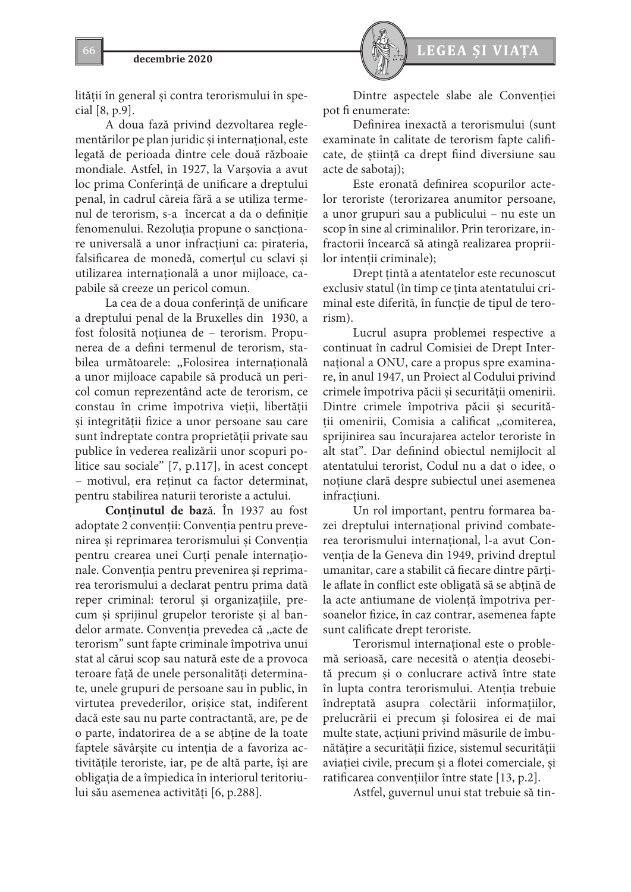

lităţii în general şi contra terorismului în special [8, p.9].

A doua fază privind dezvoltarea reglementărilor pe plan juridic şi internaţional, este legată de perioada dintre cele două războaie mondiale. Astfel, în 1927, la Varşovia a avut loc prima Conferinţă de unificare a dreptului penal, în cadrul căreia fără a se utiliza termenul de terorism, s-a încercat a da o definiție fenomenului. Rezoluția propune o sancționare universală a unor infracţiuni ca: pirateria, falsificarea de monedă, comerţul cu sclavi şi utilizarea internaţională a unor mijloace, capabile să creeze un pericol comun.

La cea de a doua conferinţă de unificare a dreptului penal de la Bruxelles din 1930, a fost folosită noţiunea de – terorism. Propunerea de a defini termenul de terorism, stabilea următoarele: ,,Folosirea internaţională a unor mijloace capabile să producă un pericol comun reprezentând acte de terorism, ce constau în crime împotriva vieţii, libertăţii şi integrităţii fizice a unor persoane sau care sunt îndreptate contra proprietăţii private sau publice în vederea realizării unor scopuri politice sau sociale" [7, p.117], în acest concept – motivul, era reţinut ca factor determinat, pentru stabilirea naturii teroriste a actului.

**Conținutul de baz**ă. În 1937 au fost adoptate 2 convenţii: Convenţia pentru prevenirea și reprimarea terorismului și Convenția pentru crearea unei Curţi penale internaţionale. Convenţia pentru prevenirea şi reprimarea terorismului a declarat pentru prima dată reper criminal: terorul şi organizaţiile, precum şi sprijinul grupelor teroriste şi al bandelor armate. Convenţia prevedea că ,,acte de terorism" sunt fapte criminale împotriva unui stat al cărui scop sau natură este de a provoca teroare faţă de unele personalităţi determinate, unele grupuri de persoane sau în public, în virtutea prevederilor, orişice stat, indiferent dacă este sau nu parte contractantă, are, pe de o parte, îndatorirea de a se abţine de la toate faptele săvârşite cu intenţia de a favoriza activităţile teroriste, iar, pe de altă parte, îşi are obligaţia de a împiedica în interiorul teritoriului său asemenea activităţi [6, p.288].



Dintre aspectele slabe ale Convenţiei pot fi enumerate:

Definirea inexactă a terorismului (sunt examinate în calitate de terorism fapte calificate, de ştiinţă ca drept fiind diversiune sau acte de sabotaj);

Este eronată definirea scopurilor actelor teroriste (terorizarea anumitor persoane, a unor grupuri sau a publicului – nu este un scop în sine al criminalilor. Prin terorizare, infractorii încearcă să atingă realizarea propriilor intentii criminale);

Drept ţintă a atentatelor este recunoscut exclusiv statul (în timp ce ţinta atentatului criminal este diferită, în funcţie de tipul de terorism).

Lucrul asupra problemei respective a continuat în cadrul Comisiei de Drept Internațional a ONU, care a propus spre examinare, în anul 1947, un Proiect al Codului privind crimele împotriva păcii şi securităţii omenirii. Dintre crimele împotriva păcii şi securităţii omenirii, Comisia a calificat ,,comiterea, sprijinirea sau încurajarea actelor teroriste în alt stat". Dar definind obiectul nemijlocit al atentatului terorist, Codul nu a dat o idee, o noţiune clară despre subiectul unei asemenea infractiuni.

Un rol important, pentru formarea bazei dreptului internaţional privind combaterea terorismului internațional, l-a avut Convenţia de la Geneva din 1949, privind dreptul umanitar, care a stabilit că fiecare dintre părţile aflate în conflict este obligată să se abțină de la acte antiumane de violenţă împotriva persoanelor fizice, în caz contrar, asemenea fapte sunt calificate drept teroriste.

Terorismul internaţional este o problemă serioasă, care necesită o atenția deosebită precum şi o conlucrare activă între state în lupta contra terorismului. Atenţia trebuie îndreptată asupra colectării informaţiilor, prelucrării ei precum şi folosirea ei de mai multe state, acţiuni privind măsurile de îmbunătățire a securității fizice, sistemul securității aviaţiei civile, precum şi a flotei comerciale, şi ratificarea convenţiilor între state [13, p.2].

Astfel, guvernul unui stat trebuie să tin-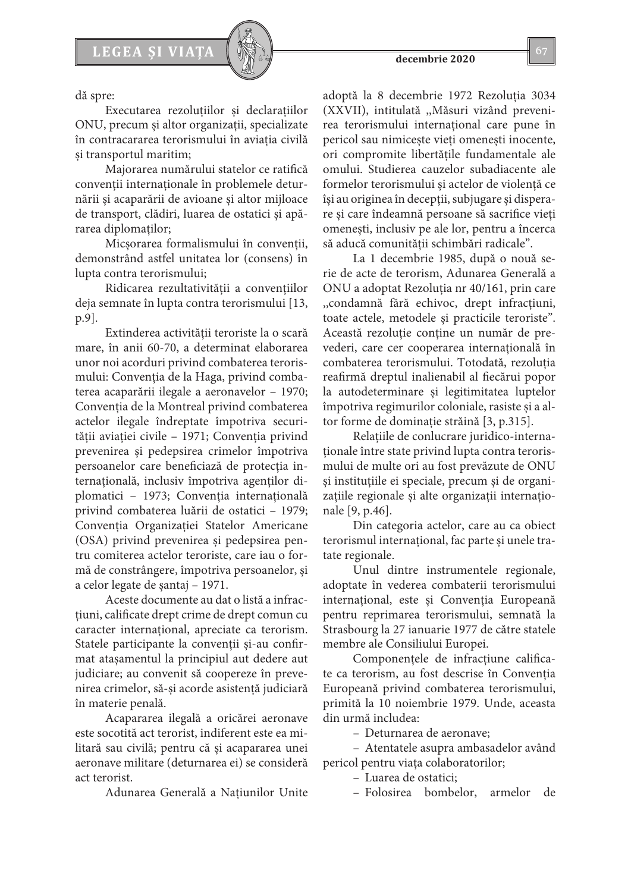

dă spre:

Executarea rezoluţiilor şi declaraţiilor ONU, precum și altor organizații, specializate în contracararea terorismului în aviaţia civilă şi transportul maritim;

Majorarea numărului statelor ce ratifică convenţii internaţionale în problemele deturnării şi acaparării de avioane şi altor mijloace de transport, clădiri, luarea de ostatici şi apărarea diplomatilor;

Micşorarea formalismului în convenţii, demonstrând astfel unitatea lor (consens) în lupta contra terorismului;

Ridicarea rezultativităţii a convenţiilor deja semnate în lupta contra terorismului [13, p.9].

Extinderea activității teroriste la o scară mare, în anii 60-70, a determinat elaborarea unor noi acorduri privind combaterea terorismului: Convenţia de la Haga, privind combaterea acaparării ilegale a aeronavelor – 1970; Convenţia de la Montreal privind combaterea actelor ilegale îndreptate împotriva securităţii aviaţiei civile – 1971; Convenţia privind prevenirea şi pedepsirea crimelor împotriva persoanelor care beneficiază de protecţia internaţională, inclusiv împotriva agenţilor diplomatici – 1973; Convenţia internaţională privind combaterea luării de ostatici – 1979; Convenţia Organizaţiei Statelor Americane (OSA) privind prevenirea şi pedepsirea pentru comiterea actelor teroriste, care iau o formă de constrângere, împotriva persoanelor, şi a celor legate de şantaj – 1971.

Aceste documente au dat o listă a infracţiuni, calificate drept crime de drept comun cu caracter internaţional, apreciate ca terorism. Statele participante la convenții și-au confirmat ataşamentul la principiul aut dedere aut judiciare; au convenit să coopereze în prevenirea crimelor, să-şi acorde asistenţă judiciară în materie penală.

Acapararea ilegală a oricărei aeronave este socotită act terorist, indiferent este ea militară sau civilă; pentru că și acapararea unei aeronave militare (deturnarea ei) se consideră act terorist.

Adunarea Generală a Naţiunilor Unite

adoptă la 8 decembrie 1972 Rezoluţia 3034 (XXVII), intitulată ,,Măsuri vizând prevenirea terorismului internațional care pune în pericol sau nimiceşte vieţi omeneşti inocente, ori compromite libertățile fundamentale ale omului. Studierea cauzelor subadiacente ale formelor terorismului și actelor de violență ce îşi au originea în decepţii, subjugare şi disperare şi care îndeamnă persoane să sacrifice vieţi omeneşti, inclusiv pe ale lor, pentru a încerca să aducă comunităţii schimbări radicale".

La 1 decembrie 1985, după o nouă serie de acte de terorism, Adunarea Generală a ONU a adoptat Rezoluţia nr 40/161, prin care ,,condamnă fără echivoc, drept infracţiuni, toate actele, metodele şi practicile teroriste". Această rezoluţie conţine un număr de prevederi, care cer cooperarea internaţională în combaterea terorismului. Totodată, rezoluţia reafirmă dreptul inalienabil al fiecărui popor la autodeterminare şi legitimitatea luptelor împotriva regimurilor coloniale, rasiste şi a altor forme de dominaţie străină [3, p.315].

Relaţiile de conlucrare juridico-internaţionale între state privind lupta contra terorismului de multe ori au fost prevăzute de ONU şi instituţiile ei speciale, precum şi de organizațiile regionale și alte organizații internaționale [9, p.46].

Din categoria actelor, care au ca obiect terorismul international, fac parte și unele tratate regionale.

Unul dintre instrumentele regionale, adoptate în vederea combaterii terorismului internațional, este și Convenția Europeană pentru reprimarea terorismului, semnată la Strasbourg la 27 ianuarie 1977 de către statele membre ale Consiliului Europei.

Componenţele de infracţiune calificate ca terorism, au fost descrise în Convenţia Europeană privind combaterea terorismului, primită la 10 noiembrie 1979. Unde, aceasta din urmă includea:

– Deturnarea de aeronave;

– Atentatele asupra ambasadelor având pericol pentru viata colaboratorilor;

– Luarea de ostatici;

– Folosirea bombelor, armelor de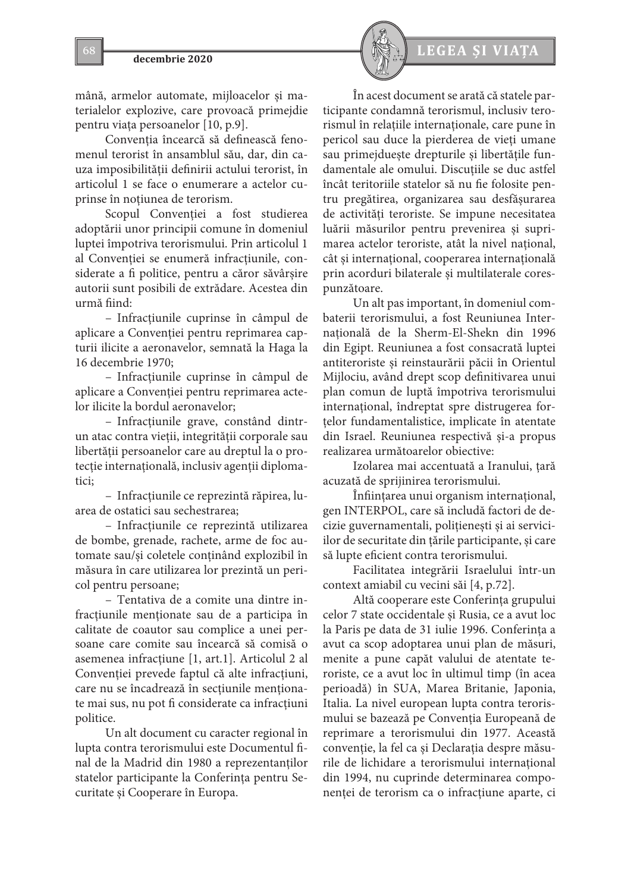mână, armelor automate, mijloacelor şi materialelor explozive, care provoacă primejdie pentru viaţa persoanelor [10, p.9].

Conventia încearcă să definească fenomenul terorist în ansamblul său, dar, din cauza imposibilităţii definirii actului terorist, în articolul 1 se face o enumerare a actelor cuprinse în notiunea de terorism.

Scopul Convenţiei a fost studierea adoptării unor principii comune în domeniul luptei împotriva terorismului. Prin articolul 1 al Convenţiei se enumeră infracţiunile, considerate a fi politice, pentru a căror săvârşire autorii sunt posibili de extrădare. Acestea din urmă fiind:

– Infracţiunile cuprinse în câmpul de aplicare a Convenţiei pentru reprimarea capturii ilicite a aeronavelor, semnată la Haga la 16 decembrie 1970;

– Infracţiunile cuprinse în câmpul de aplicare a Convenţiei pentru reprimarea actelor ilicite la bordul aeronavelor;

– Infracţiunile grave, constând dintrun atac contra vieţii, integrităţii corporale sau libertăţii persoanelor care au dreptul la o protecţie internaţională, inclusiv agenţii diplomatici;

– Infracţiunile ce reprezintă răpirea, luarea de ostatici sau sechestrarea;

– Infracţiunile ce reprezintă utilizarea de bombe, grenade, rachete, arme de foc automate sau/şi coletele conţinând explozibil în măsura în care utilizarea lor prezintă un pericol pentru persoane;

– Tentativa de a comite una dintre infracţiunile menţionate sau de a participa în calitate de coautor sau complice a unei persoane care comite sau încearcă să comisă o asemenea infracţiune [1, art.1]. Articolul 2 al Convenţiei prevede faptul că alte infracţiuni, care nu se încadrează în secţiunile menţionate mai sus, nu pot fi considerate ca infracţiuni politice.

Un alt document cu caracter regional în lupta contra terorismului este Documentul final de la Madrid din 1980 a reprezentanților statelor participante la Conferinţa pentru Securitate şi Cooperare în Europa.



În acest document se arată că statele participante condamnă terorismul, inclusiv terorismul în relaţiile internaţionale, care pune în pericol sau duce la pierderea de vieţi umane sau primejdueşte drepturile şi libertăţile fundamentale ale omului. Discuţiile se duc astfel încât teritoriile statelor să nu fie folosite pentru pregătirea, organizarea sau desfăşurarea de activităţi teroriste. Se impune necesitatea luării măsurilor pentru prevenirea şi suprimarea actelor teroriste, atât la nivel naţional, cât şi internaţional, cooperarea internaţională prin acorduri bilaterale şi multilaterale corespunzătoare.

Un alt pas important, în domeniul combaterii terorismului, a fost Reuniunea Internatională de la Sherm-El-Shekn din 1996 din Egipt. Reuniunea a fost consacrată luptei antiteroriste şi reinstaurării păcii în Orientul Mijlociu, având drept scop definitivarea unui plan comun de luptă împotriva terorismului internaţional, îndreptat spre distrugerea forţelor fundamentalistice, implicate în atentate din Israel. Reuniunea respectivă şi-a propus realizarea următoarelor obiective:

Izolarea mai accentuată a Iranului, ţară acuzată de sprijinirea terorismului.

Înfiinţarea unui organism internaţional, gen INTERPOL, care să includă factori de decizie guvernamentali, poliţieneşti şi ai serviciilor de securitate din ţările participante, şi care să lupte eficient contra terorismului.

Facilitatea integrării Israelului într-un context amiabil cu vecini săi [4, p.72].

Altă cooperare este Conferinţa grupului celor 7 state occidentale şi Rusia, ce a avut loc la Paris pe data de 31 iulie 1996. Conferinţa a avut ca scop adoptarea unui plan de măsuri, menite a pune capăt valului de atentate teroriste, ce a avut loc în ultimul timp (în acea perioadă) în SUA, Marea Britanie, Japonia, Italia. La nivel european lupta contra terorismului se bazează pe Convenţia Europeană de reprimare a terorismului din 1977. Această convenţie, la fel ca şi Declaraţia despre măsurile de lichidare a terorismului international din 1994, nu cuprinde determinarea componenţei de terorism ca o infracţiune aparte, ci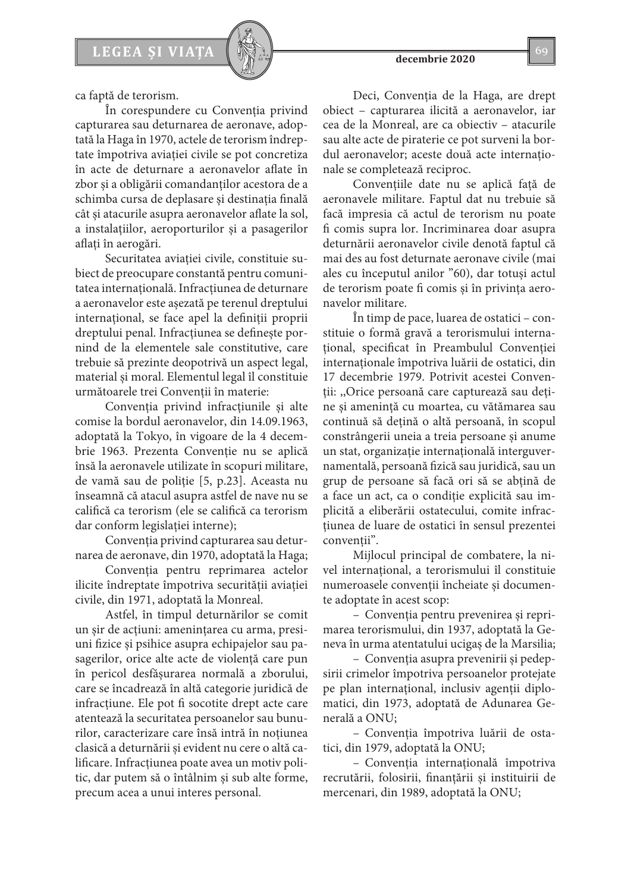ca faptă de terorism.

În corespundere cu Convenţia privind capturarea sau deturnarea de aeronave, adoptată la Haga în 1970, actele de terorism îndreptate împotriva aviaţiei civile se pot concretiza în acte de deturnare a aeronavelor aflate în zbor şi a obligării comandanţilor acestora de a schimba cursa de deplasare şi destinaţia finală cât şi atacurile asupra aeronavelor aflate la sol, a instalaţiilor, aeroporturilor şi a pasagerilor aflaţi în aerogări.

Securitatea aviaţiei civile, constituie subiect de preocupare constantă pentru comunitatea internaţională. Infracţiunea de deturnare a aeronavelor este aşezată pe terenul dreptului internaţional, se face apel la definiţii proprii dreptului penal. Infracţiunea se defineşte pornind de la elementele sale constitutive, care trebuie să prezinte deopotrivă un aspect legal, material şi moral. Elementul legal îl constituie următoarele trei Convenţii în materie:

Convenţia privind infracţiunile şi alte comise la bordul aeronavelor, din 14.09.1963, adoptată la Tokyo, în vigoare de la 4 decembrie 1963. Prezenta Convenție nu se aplică însă la aeronavele utilizate în scopuri militare, de vamă sau de poliţie [5, p.23]. Aceasta nu înseamnă că atacul asupra astfel de nave nu se califică ca terorism (ele se califică ca terorism dar conform legislaţiei interne);

Conventia privind capturarea sau deturnarea de aeronave, din 1970, adoptată la Haga;

Convenţia pentru reprimarea actelor ilicite îndreptate împotriva securității aviației civile, din 1971, adoptată la Monreal.

Astfel, în timpul deturnărilor se comit un şir de acţiuni: ameninţarea cu arma, presiuni fizice şi psihice asupra echipajelor sau pasagerilor, orice alte acte de violenţă care pun în pericol desfăşurarea normală a zborului, care se încadrează în altă categorie juridică de infractiune. Ele pot fi socotite drept acte care atentează la securitatea persoanelor sau bunurilor, caracterizare care însă intră în noțiunea clasică a deturnării şi evident nu cere o altă calificare. Infracţiunea poate avea un motiv politic, dar putem să o întâlnim şi sub alte forme, precum acea a unui interes personal.

Deci, Convenţia de la Haga, are drept obiect – capturarea ilicită a aeronavelor, iar cea de la Monreal, are ca obiectiv – atacurile sau alte acte de piraterie ce pot surveni la bordul aeronavelor; aceste două acte internaţionale se completează reciproc.

Convenţiile date nu se aplică faţă de aeronavele militare. Faptul dat nu trebuie să facă impresia că actul de terorism nu poate fi comis supra lor. Incriminarea doar asupra deturnării aeronavelor civile denotă faptul că mai des au fost deturnate aeronave civile (mai ales cu începutul anilor "60), dar totuşi actul de terorism poate fi comis şi în privinţa aeronavelor militare.

În timp de pace, luarea de ostatici – constituie o formă gravă a terorismului internaţional, specificat în Preambulul Convenţiei internaţionale împotriva luării de ostatici, din 17 decembrie 1979. Potrivit acestei Convenţii: ,,Orice persoană care capturează sau deţine şi ameninţă cu moartea, cu vătămarea sau continuă să deţină o altă persoană, în scopul constrângerii uneia a treia persoane şi anume un stat, organizaţie internaţională interguvernamentală, persoană fizică sau juridică, sau un grup de persoane să facă ori să se abţină de a face un act, ca o condiţie explicită sau implicită a eliberării ostatecului, comite infracţiunea de luare de ostatici în sensul prezentei conventii".

Mijlocul principal de combatere, la nivel international, a terorismului îl constituie numeroasele convenții încheiate și documente adoptate în acest scop:

– Convenţia pentru prevenirea şi reprimarea terorismului, din 1937, adoptată la Geneva în urma atentatului ucigaş de la Marsilia;

– Convenţia asupra prevenirii şi pedepsirii crimelor împotriva persoanelor protejate pe plan internaţional, inclusiv agenţii diplomatici, din 1973, adoptată de Adunarea Generală a ONU;

– Convenţia împotriva luării de ostatici, din 1979, adoptată la ONU;

– Convenţia internaţională împotriva recrutării, folosirii, finanţării şi instituirii de mercenari, din 1989, adoptată la ONU;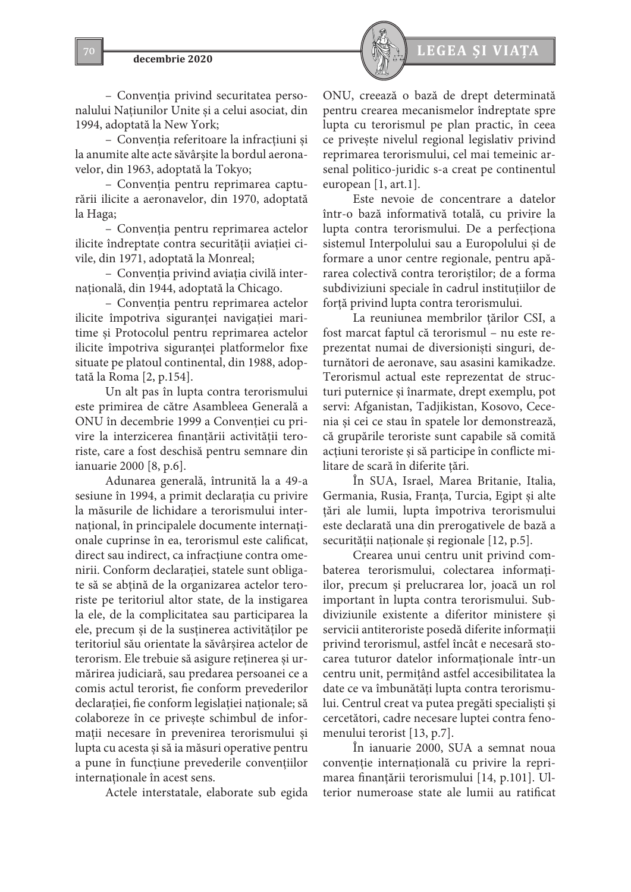

– Convenţia privind securitatea personalului Naţiunilor Unite şi a celui asociat, din 1994, adoptată la New York;

– Convenţia referitoare la infracţiuni şi la anumite alte acte săvârşite la bordul aeronavelor, din 1963, adoptată la Tokyo;

– Convenţia pentru reprimarea capturării ilicite a aeronavelor, din 1970, adoptată la Haga;

– Convenţia pentru reprimarea actelor ilicite îndreptate contra securităţii aviaţiei civile, din 1971, adoptată la Monreal;

– Convenţia privind aviaţia civilă internaţională, din 1944, adoptată la Chicago.

– Convenţia pentru reprimarea actelor ilicite împotriva siguranţei navigaţiei maritime şi Protocolul pentru reprimarea actelor ilicite împotriva siguranţei platformelor fixe situate pe platoul continental, din 1988, adoptată la Roma [2, p.154].

Un alt pas în lupta contra terorismului este primirea de către Asambleea Generală a ONU în decembrie 1999 a Convenţiei cu privire la interzicerea finanţării activităţii teroriste, care a fost deschisă pentru semnare din ianuarie 2000 [8, p.6].

Adunarea generală, întrunită la a 49-a sesiune în 1994, a primit declaraţia cu privire la măsurile de lichidare a terorismului internaţional, în principalele documente internaţionale cuprinse în ea, terorismul este calificat, direct sau indirect, ca infracţiune contra omenirii. Conform declaraţiei, statele sunt obligate să se abţină de la organizarea actelor teroriste pe teritoriul altor state, de la instigarea la ele, de la complicitatea sau participarea la ele, precum şi de la susţinerea activităţilor pe teritoriul său orientate la săvârşirea actelor de terorism. Ele trebuie să asigure reţinerea şi urmărirea judiciară, sau predarea persoanei ce a comis actul terorist, fie conform prevederilor declaraţiei, fie conform legislaţiei naţionale; să colaboreze în ce priveşte schimbul de informaţii necesare în prevenirea terorismului şi lupta cu acesta şi să ia măsuri operative pentru a pune în funcţiune prevederile convenţiilor internaţionale în acest sens.

Actele interstatale, elaborate sub egida



ONU, creează o bază de drept determinată pentru crearea mecanismelor îndreptate spre lupta cu terorismul pe plan practic, în ceea ce priveşte nivelul regional legislativ privind reprimarea terorismului, cel mai temeinic arsenal politico-juridic s-a creat pe continentul european [1, art.1].

Este nevoie de concentrare a datelor într-o bază informativă totală, cu privire la lupta contra terorismului. De a perfecţiona sistemul Interpolului sau a Europolului şi de formare a unor centre regionale, pentru apărarea colectivă contra teroriştilor; de a forma subdiviziuni speciale în cadrul instituţiilor de forţă privind lupta contra terorismului.

La reuniunea membrilor ţărilor CSI, a fost marcat faptul că terorismul – nu este reprezentat numai de diversionişti singuri, deturnători de aeronave, sau asasini kamikadze. Terorismul actual este reprezentat de structuri puternice şi înarmate, drept exemplu, pot servi: Afganistan, Tadjikistan, Kosovo, Cecenia şi cei ce stau în spatele lor demonstrează, că grupările teroriste sunt capabile să comită acţiuni teroriste şi să participe în conflicte militare de scară în diferite ţări.

În SUA, Israel, Marea Britanie, Italia, Germania, Rusia, Franţa, Turcia, Egipt şi alte ţări ale lumii, lupta împotriva terorismului este declarată una din prerogativele de bază a securității naționale și regionale [12, p.5].

Crearea unui centru unit privind combaterea terorismului, colectarea informaţiilor, precum şi prelucrarea lor, joacă un rol important în lupta contra terorismului. Subdiviziunile existente a diferitor ministere şi servicii antiteroriste posedă diferite informaţii privind terorismul, astfel încât e necesară stocarea tuturor datelor informationale într-un centru unit, permiţând astfel accesibilitatea la date ce va îmbunătăţi lupta contra terorismului. Centrul creat va putea pregăti specialişti şi cercetători, cadre necesare luptei contra fenomenului terorist [13, p.7].

În ianuarie 2000, SUA a semnat noua convenţie internaţională cu privire la reprimarea finanţării terorismului [14, p.101]. Ulterior numeroase state ale lumii au ratificat